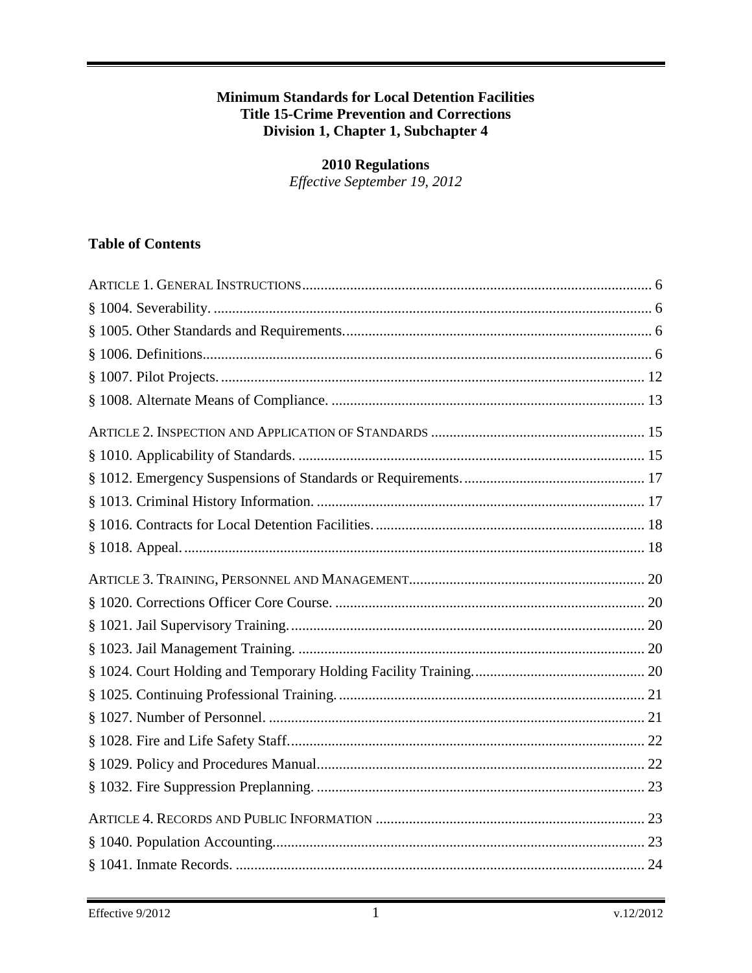#### **Minimum Standards for Local Detention Facilities Title 15-Crime Prevention and Corrections** Division 1, Chapter 1, Subchapter 4

# **2010 Regulations**

Effective September 19, 2012

## **Table of Contents**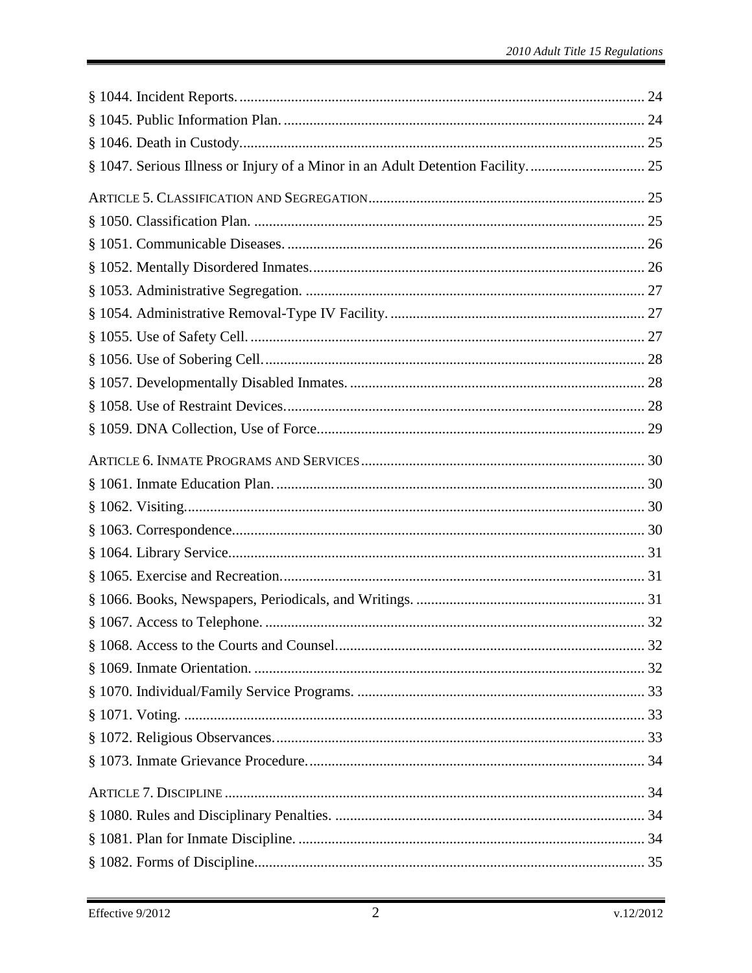| § 1047. Serious Illness or Injury of a Minor in an Adult Detention Facility 25 |  |
|--------------------------------------------------------------------------------|--|
|                                                                                |  |
|                                                                                |  |
|                                                                                |  |
|                                                                                |  |
|                                                                                |  |
|                                                                                |  |
|                                                                                |  |
|                                                                                |  |
|                                                                                |  |
|                                                                                |  |
|                                                                                |  |
|                                                                                |  |
|                                                                                |  |
|                                                                                |  |
|                                                                                |  |
|                                                                                |  |
|                                                                                |  |
|                                                                                |  |
|                                                                                |  |
|                                                                                |  |
|                                                                                |  |
|                                                                                |  |
|                                                                                |  |
|                                                                                |  |
|                                                                                |  |
|                                                                                |  |
|                                                                                |  |
|                                                                                |  |
|                                                                                |  |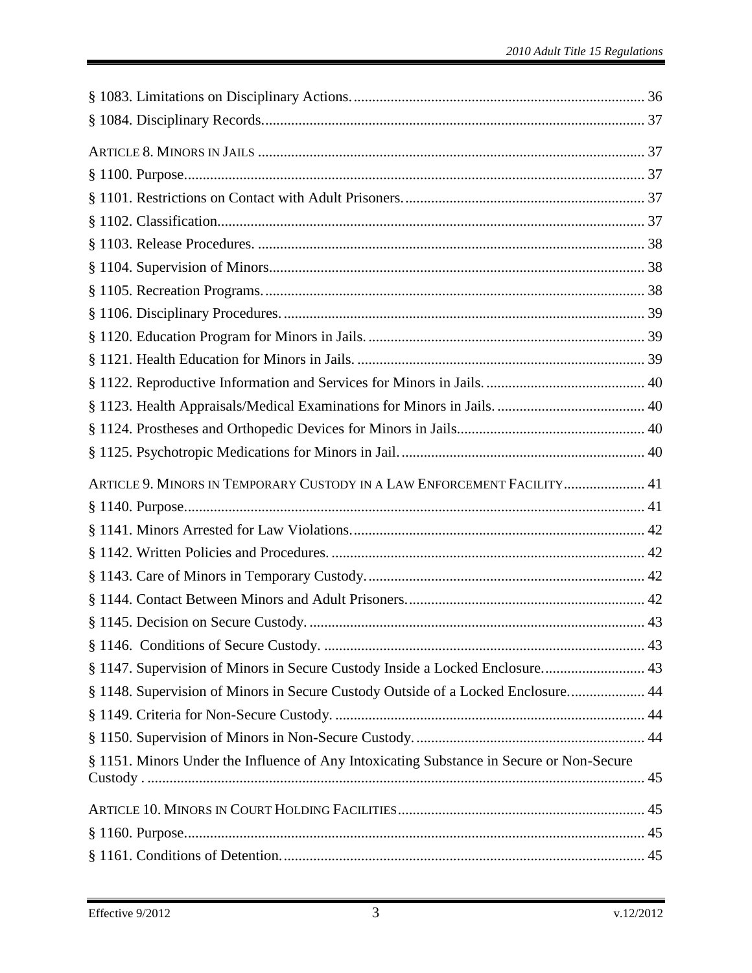| ARTICLE 9. MINORS IN TEMPORARY CUSTODY IN A LAW ENFORCEMENT FACILITY 41                  |  |
|------------------------------------------------------------------------------------------|--|
|                                                                                          |  |
|                                                                                          |  |
|                                                                                          |  |
|                                                                                          |  |
|                                                                                          |  |
|                                                                                          |  |
|                                                                                          |  |
| § 1147. Supervision of Minors in Secure Custody Inside a Locked Enclosure 43             |  |
| § 1148. Supervision of Minors in Secure Custody Outside of a Locked Enclosure 44         |  |
|                                                                                          |  |
|                                                                                          |  |
| § 1151. Minors Under the Influence of Any Intoxicating Substance in Secure or Non-Secure |  |
|                                                                                          |  |
|                                                                                          |  |
|                                                                                          |  |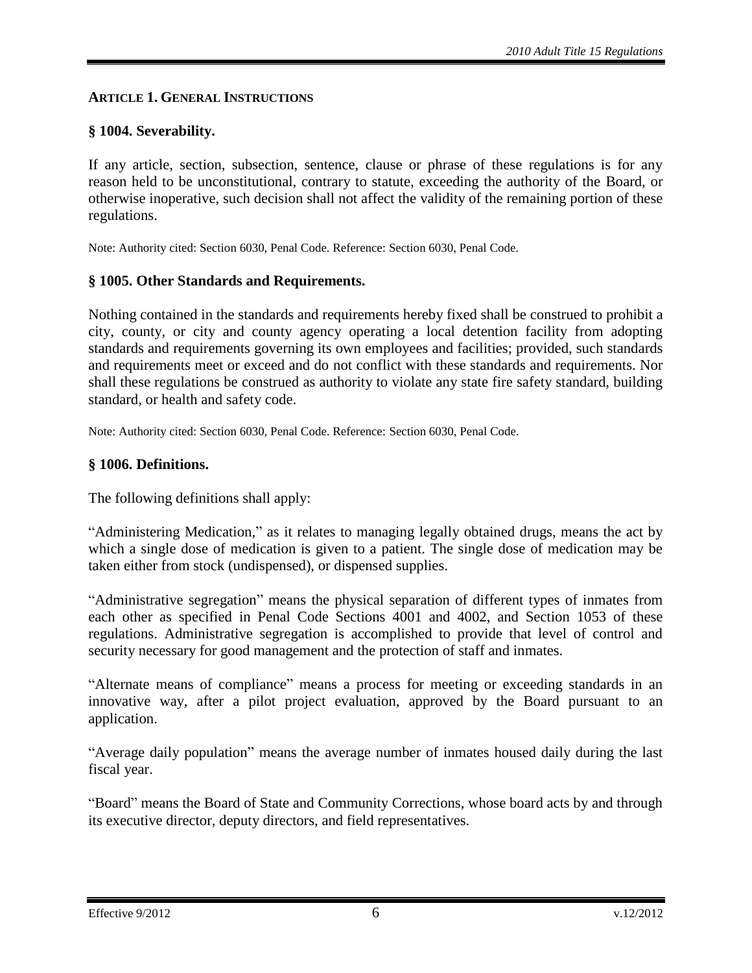#### <span id="page-5-0"></span>**ARTICLE 1. GENERAL INSTRUCTIONS**

#### <span id="page-5-1"></span>**§ 1004. Severability.**

If any article, section, subsection, sentence, clause or phrase of these regulations is for any reason held to be unconstitutional, contrary to statute, exceeding the authority of the Board, or otherwise inoperative, such decision shall not affect the validity of the remaining portion of these regulations.

Note: Authority cited: Section 6030, Penal Code. Reference: Section 6030, Penal Code.

#### <span id="page-5-2"></span>**§ 1005. Other Standards and Requirements.**

Nothing contained in the standards and requirements hereby fixed shall be construed to prohibit a city, county, or city and county agency operating a local detention facility from adopting standards and requirements governing its own employees and facilities; provided, such standards and requirements meet or exceed and do not conflict with these standards and requirements. Nor shall these regulations be construed as authority to violate any state fire safety standard, building standard, or health and safety code.

Note: Authority cited: Section 6030, Penal Code. Reference: Section 6030, Penal Code.

#### <span id="page-5-3"></span>**§ 1006. Definitions.**

The following definitions shall apply:

"Administering Medication," as it relates to managing legally obtained drugs, means the act by which a single dose of medication is given to a patient. The single dose of medication may be taken either from stock (undispensed), or dispensed supplies.

"Administrative segregation" means the physical separation of different types of inmates from each other as specified in Penal Code Sections 4001 and 4002, and Section 1053 of these regulations. Administrative segregation is accomplished to provide that level of control and security necessary for good management and the protection of staff and inmates.

"Alternate means of compliance" means a process for meeting or exceeding standards in an innovative way, after a pilot project evaluation, approved by the Board pursuant to an application.

"Average daily population" means the average number of inmates housed daily during the last fiscal year.

"Board" means the Board of State and Community Corrections, whose board acts by and through its executive director, deputy directors, and field representatives.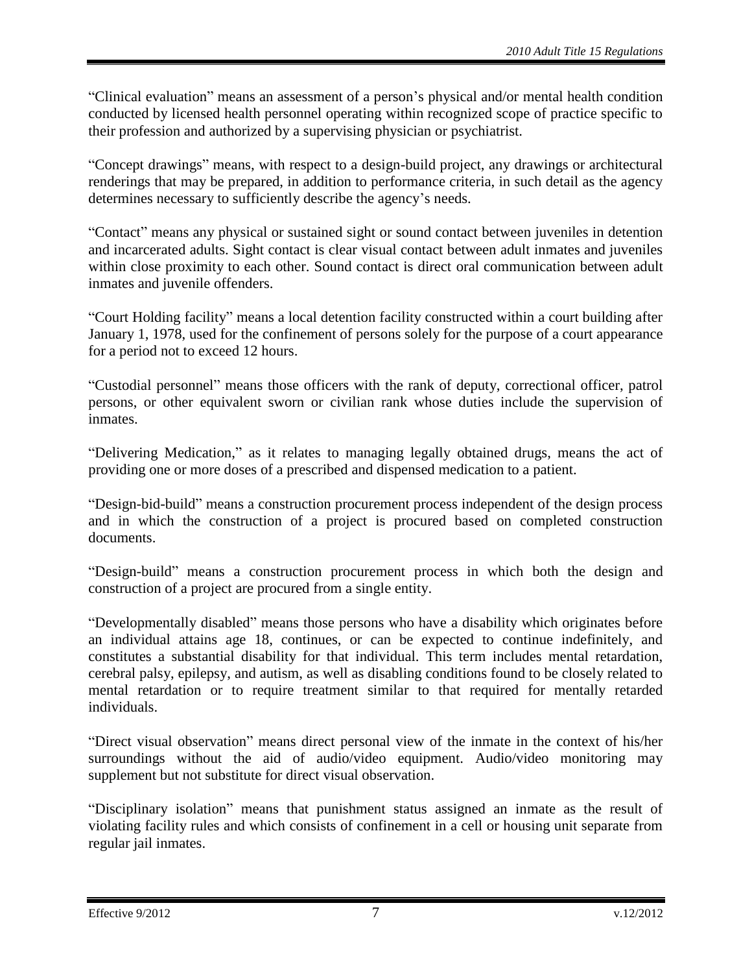"Clinical evaluation" means an assessment of a person's physical and/or mental health condition conducted by licensed health personnel operating within recognized scope of practice specific to their profession and authorized by a supervising physician or psychiatrist.

"Concept drawings" means, with respect to a design-build project, any drawings or architectural renderings that may be prepared, in addition to performance criteria, in such detail as the agency determines necessary to sufficiently describe the agency's needs.

"Contact" means any physical or sustained sight or sound contact between juveniles in detention and incarcerated adults. Sight contact is clear visual contact between adult inmates and juveniles within close proximity to each other. Sound contact is direct oral communication between adult inmates and juvenile offenders.

"Court Holding facility" means a local detention facility constructed within a court building after January 1, 1978, used for the confinement of persons solely for the purpose of a court appearance for a period not to exceed 12 hours.

"Custodial personnel" means those officers with the rank of deputy, correctional officer, patrol persons, or other equivalent sworn or civilian rank whose duties include the supervision of inmates.

"Delivering Medication," as it relates to managing legally obtained drugs, means the act of providing one or more doses of a prescribed and dispensed medication to a patient.

"Design-bid-build" means a construction procurement process independent of the design process and in which the construction of a project is procured based on completed construction documents.

"Design-build" means a construction procurement process in which both the design and construction of a project are procured from a single entity.

"Developmentally disabled" means those persons who have a disability which originates before an individual attains age 18, continues, or can be expected to continue indefinitely, and constitutes a substantial disability for that individual. This term includes mental retardation, cerebral palsy, epilepsy, and autism, as well as disabling conditions found to be closely related to mental retardation or to require treatment similar to that required for mentally retarded individuals.

"Direct visual observation" means direct personal view of the inmate in the context of his/her surroundings without the aid of audio/video equipment. Audio/video monitoring may supplement but not substitute for direct visual observation.

"Disciplinary isolation" means that punishment status assigned an inmate as the result of violating facility rules and which consists of confinement in a cell or housing unit separate from regular jail inmates.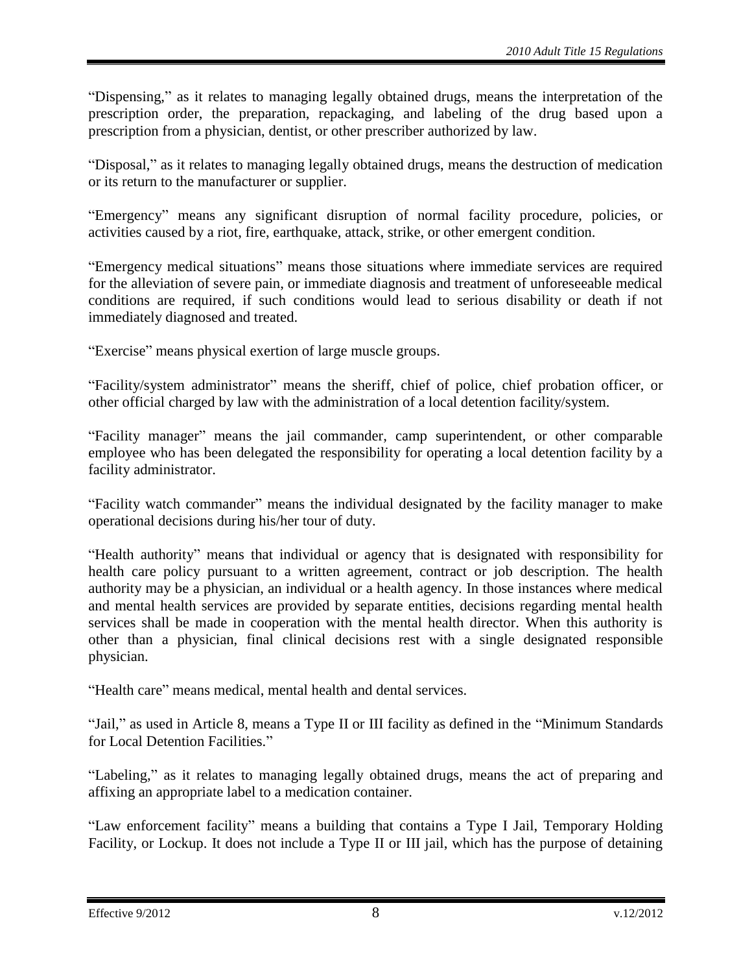"Dispensing," as it relates to managing legally obtained drugs, means the interpretation of the prescription order, the preparation, repackaging, and labeling of the drug based upon a prescription from a physician, dentist, or other prescriber authorized by law.

"Disposal," as it relates to managing legally obtained drugs, means the destruction of medication or its return to the manufacturer or supplier.

"Emergency" means any significant disruption of normal facility procedure, policies, or activities caused by a riot, fire, earthquake, attack, strike, or other emergent condition.

"Emergency medical situations" means those situations where immediate services are required for the alleviation of severe pain, or immediate diagnosis and treatment of unforeseeable medical conditions are required, if such conditions would lead to serious disability or death if not immediately diagnosed and treated.

"Exercise" means physical exertion of large muscle groups.

"Facility/system administrator" means the sheriff, chief of police, chief probation officer, or other official charged by law with the administration of a local detention facility/system.

"Facility manager" means the jail commander, camp superintendent, or other comparable employee who has been delegated the responsibility for operating a local detention facility by a facility administrator.

"Facility watch commander" means the individual designated by the facility manager to make operational decisions during his/her tour of duty.

"Health authority" means that individual or agency that is designated with responsibility for health care policy pursuant to a written agreement, contract or job description. The health authority may be a physician, an individual or a health agency. In those instances where medical and mental health services are provided by separate entities, decisions regarding mental health services shall be made in cooperation with the mental health director. When this authority is other than a physician, final clinical decisions rest with a single designated responsible physician.

"Health care" means medical, mental health and dental services.

"Jail," as used in Article 8, means a Type II or III facility as defined in the "Minimum Standards for Local Detention Facilities."

"Labeling," as it relates to managing legally obtained drugs, means the act of preparing and affixing an appropriate label to a medication container.

"Law enforcement facility" means a building that contains a Type I Jail, Temporary Holding Facility, or Lockup. It does not include a Type II or III jail, which has the purpose of detaining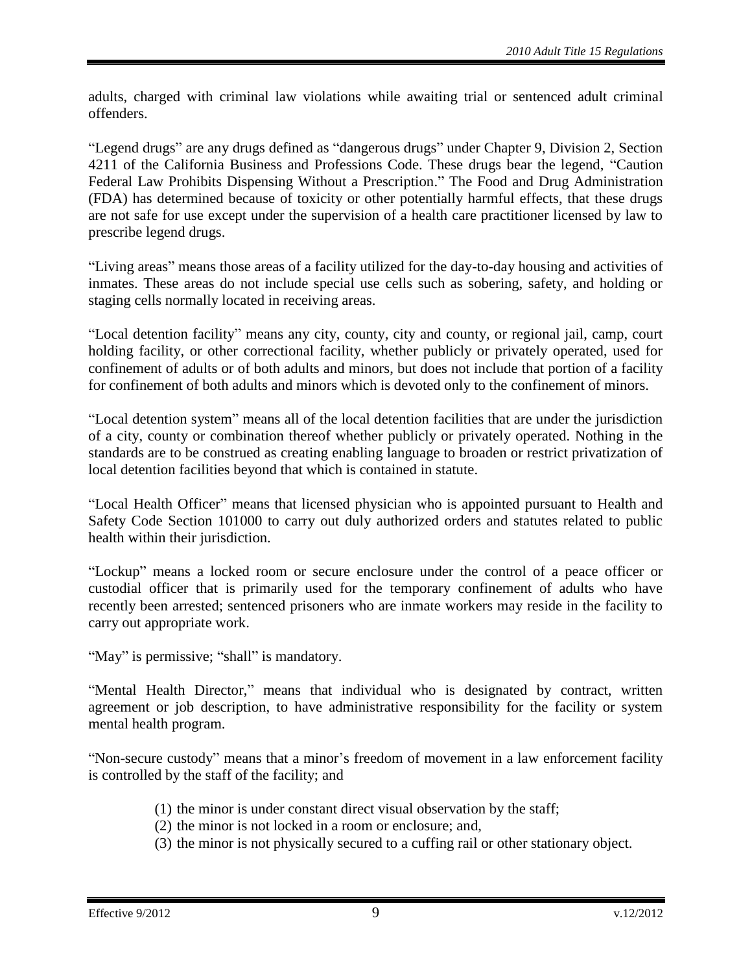adults, charged with criminal law violations while awaiting trial or sentenced adult criminal offenders.

"Legend drugs" are any drugs defined as "dangerous drugs" under Chapter 9, Division 2, Section 4211 of the California Business and Professions Code. These drugs bear the legend, "Caution Federal Law Prohibits Dispensing Without a Prescription." The Food and Drug Administration (FDA) has determined because of toxicity or other potentially harmful effects, that these drugs are not safe for use except under the supervision of a health care practitioner licensed by law to prescribe legend drugs.

"Living areas" means those areas of a facility utilized for the day-to-day housing and activities of inmates. These areas do not include special use cells such as sobering, safety, and holding or staging cells normally located in receiving areas.

"Local detention facility" means any city, county, city and county, or regional jail, camp, court holding facility, or other correctional facility, whether publicly or privately operated, used for confinement of adults or of both adults and minors, but does not include that portion of a facility for confinement of both adults and minors which is devoted only to the confinement of minors.

"Local detention system" means all of the local detention facilities that are under the jurisdiction of a city, county or combination thereof whether publicly or privately operated. Nothing in the standards are to be construed as creating enabling language to broaden or restrict privatization of local detention facilities beyond that which is contained in statute.

"Local Health Officer" means that licensed physician who is appointed pursuant to Health and Safety Code Section 101000 to carry out duly authorized orders and statutes related to public health within their jurisdiction.

"Lockup" means a locked room or secure enclosure under the control of a peace officer or custodial officer that is primarily used for the temporary confinement of adults who have recently been arrested; sentenced prisoners who are inmate workers may reside in the facility to carry out appropriate work.

"May" is permissive; "shall" is mandatory.

"Mental Health Director," means that individual who is designated by contract, written agreement or job description, to have administrative responsibility for the facility or system mental health program.

"Non-secure custody" means that a minor's freedom of movement in a law enforcement facility is controlled by the staff of the facility; and

- (1) the minor is under constant direct visual observation by the staff;
- (2) the minor is not locked in a room or enclosure; and,
- (3) the minor is not physically secured to a cuffing rail or other stationary object.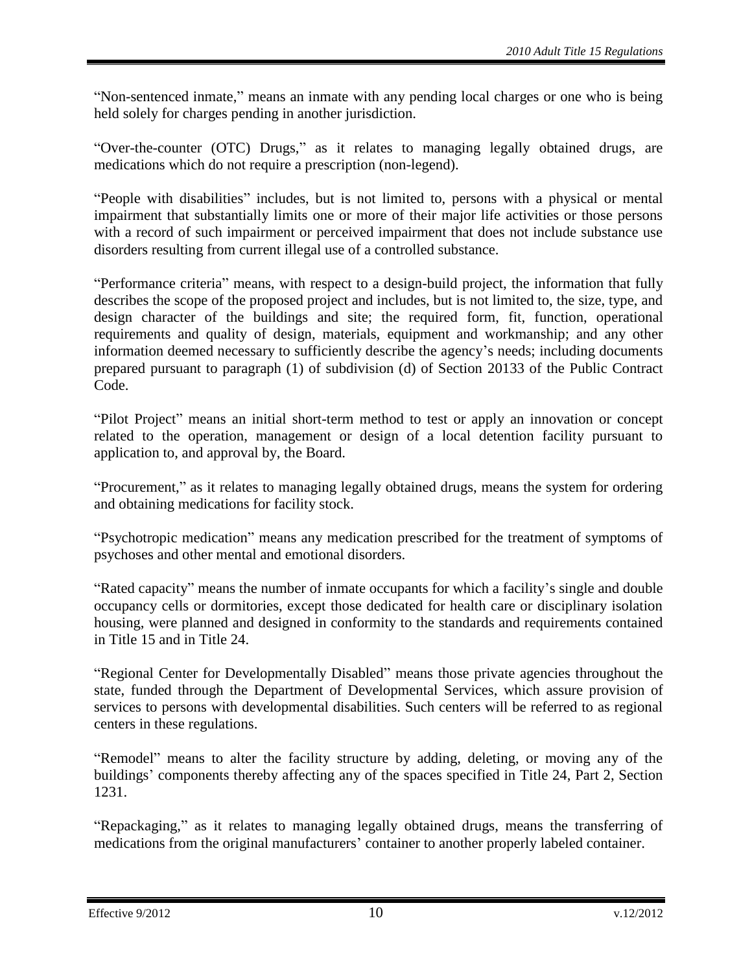"Non-sentenced inmate," means an inmate with any pending local charges or one who is being held solely for charges pending in another jurisdiction.

"Over-the-counter (OTC) Drugs," as it relates to managing legally obtained drugs, are medications which do not require a prescription (non-legend).

"People with disabilities" includes, but is not limited to, persons with a physical or mental impairment that substantially limits one or more of their major life activities or those persons with a record of such impairment or perceived impairment that does not include substance use disorders resulting from current illegal use of a controlled substance.

"Performance criteria" means, with respect to a design-build project, the information that fully describes the scope of the proposed project and includes, but is not limited to, the size, type, and design character of the buildings and site; the required form, fit, function, operational requirements and quality of design, materials, equipment and workmanship; and any other information deemed necessary to sufficiently describe the agency's needs; including documents prepared pursuant to paragraph (1) of subdivision (d) of Section 20133 of the Public Contract Code.

"Pilot Project" means an initial short-term method to test or apply an innovation or concept related to the operation, management or design of a local detention facility pursuant to application to, and approval by, the Board.

"Procurement," as it relates to managing legally obtained drugs, means the system for ordering and obtaining medications for facility stock.

"Psychotropic medication" means any medication prescribed for the treatment of symptoms of psychoses and other mental and emotional disorders.

"Rated capacity" means the number of inmate occupants for which a facility's single and double occupancy cells or dormitories, except those dedicated for health care or disciplinary isolation housing, were planned and designed in conformity to the standards and requirements contained in Title 15 and in Title 24.

"Regional Center for Developmentally Disabled" means those private agencies throughout the state, funded through the Department of Developmental Services, which assure provision of services to persons with developmental disabilities. Such centers will be referred to as regional centers in these regulations.

"Remodel" means to alter the facility structure by adding, deleting, or moving any of the buildings' components thereby affecting any of the spaces specified in Title 24, Part 2, Section 1231.

"Repackaging," as it relates to managing legally obtained drugs, means the transferring of medications from the original manufacturers' container to another properly labeled container.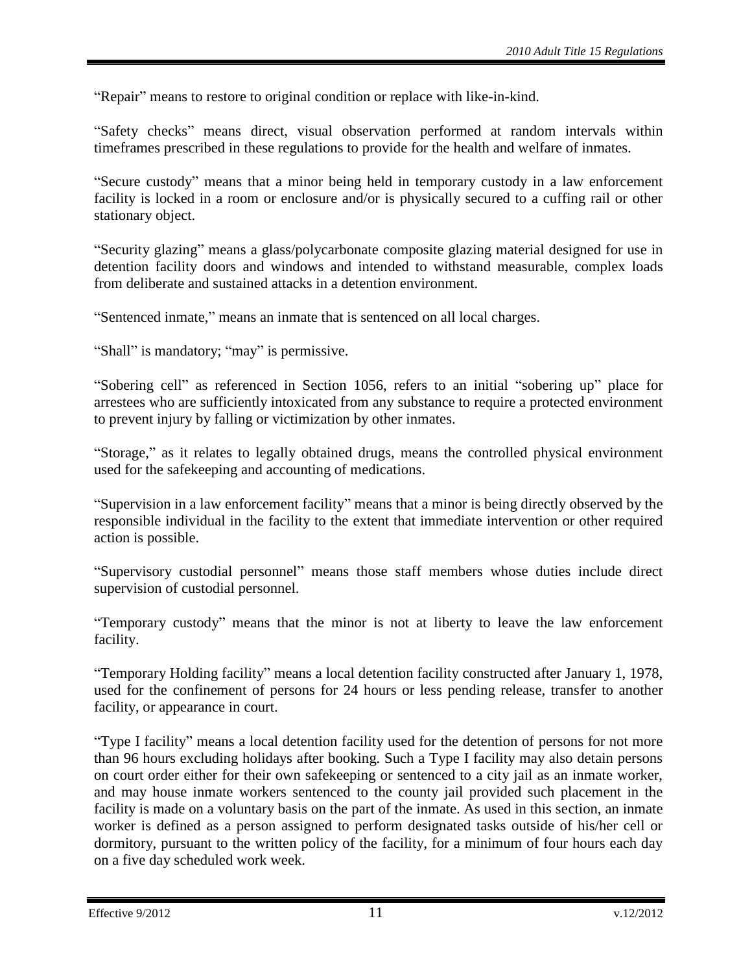"Repair" means to restore to original condition or replace with like-in-kind.

"Safety checks" means direct, visual observation performed at random intervals within timeframes prescribed in these regulations to provide for the health and welfare of inmates.

"Secure custody" means that a minor being held in temporary custody in a law enforcement facility is locked in a room or enclosure and/or is physically secured to a cuffing rail or other stationary object.

"Security glazing" means a glass/polycarbonate composite glazing material designed for use in detention facility doors and windows and intended to withstand measurable, complex loads from deliberate and sustained attacks in a detention environment.

"Sentenced inmate," means an inmate that is sentenced on all local charges.

"Shall" is mandatory; "may" is permissive.

"Sobering cell" as referenced in Section 1056, refers to an initial "sobering up" place for arrestees who are sufficiently intoxicated from any substance to require a protected environment to prevent injury by falling or victimization by other inmates.

"Storage," as it relates to legally obtained drugs, means the controlled physical environment used for the safekeeping and accounting of medications.

"Supervision in a law enforcement facility" means that a minor is being directly observed by the responsible individual in the facility to the extent that immediate intervention or other required action is possible.

"Supervisory custodial personnel" means those staff members whose duties include direct supervision of custodial personnel.

"Temporary custody" means that the minor is not at liberty to leave the law enforcement facility.

"Temporary Holding facility" means a local detention facility constructed after January 1, 1978, used for the confinement of persons for 24 hours or less pending release, transfer to another facility, or appearance in court.

"Type I facility" means a local detention facility used for the detention of persons for not more than 96 hours excluding holidays after booking. Such a Type I facility may also detain persons on court order either for their own safekeeping or sentenced to a city jail as an inmate worker, and may house inmate workers sentenced to the county jail provided such placement in the facility is made on a voluntary basis on the part of the inmate. As used in this section, an inmate worker is defined as a person assigned to perform designated tasks outside of his/her cell or dormitory, pursuant to the written policy of the facility, for a minimum of four hours each day on a five day scheduled work week.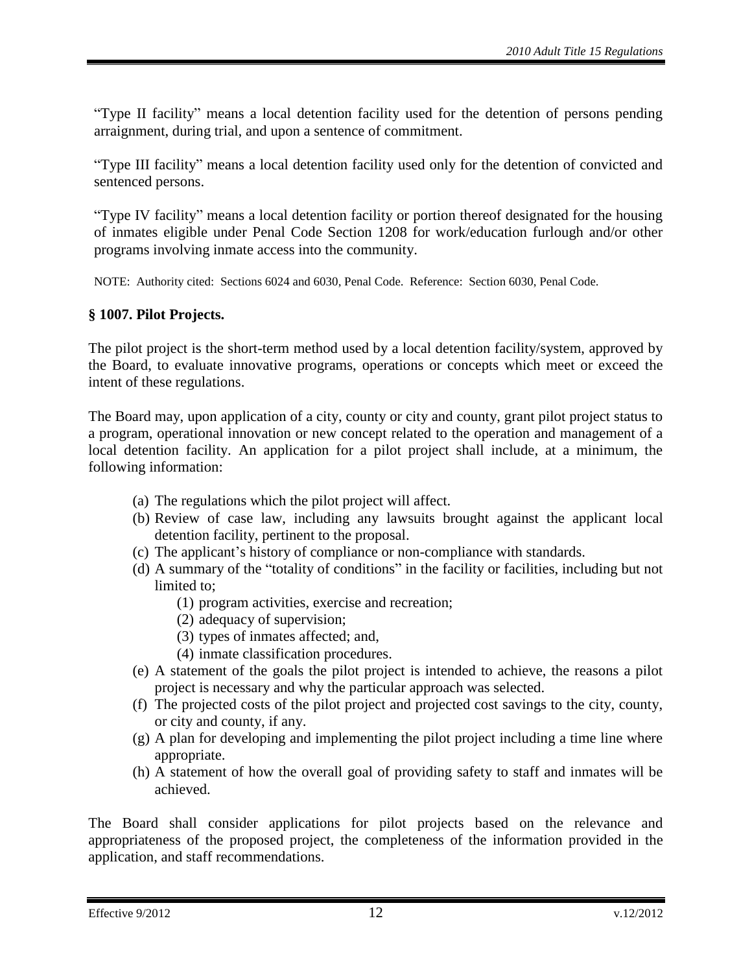"Type II facility" means a local detention facility used for the detention of persons pending arraignment, during trial, and upon a sentence of commitment.

"Type III facility" means a local detention facility used only for the detention of convicted and sentenced persons.

"Type IV facility" means a local detention facility or portion thereof designated for the housing of inmates eligible under Penal Code Section 1208 for work/education furlough and/or other programs involving inmate access into the community.

NOTE: Authority cited: Sections 6024 and 6030, Penal Code. Reference: Section 6030, Penal Code.

## <span id="page-11-0"></span>**§ 1007. Pilot Projects.**

The pilot project is the short-term method used by a local detention facility/system, approved by the Board, to evaluate innovative programs, operations or concepts which meet or exceed the intent of these regulations.

The Board may, upon application of a city, county or city and county, grant pilot project status to a program, operational innovation or new concept related to the operation and management of a local detention facility. An application for a pilot project shall include, at a minimum, the following information:

- (a) The regulations which the pilot project will affect.
- (b) Review of case law, including any lawsuits brought against the applicant local detention facility, pertinent to the proposal.
- (c) The applicant's history of compliance or non-compliance with standards.
- (d) A summary of the "totality of conditions" in the facility or facilities, including but not limited to;
	- (1) program activities, exercise and recreation;
	- (2) adequacy of supervision;
	- (3) types of inmates affected; and,
	- (4) inmate classification procedures.
- (e) A statement of the goals the pilot project is intended to achieve, the reasons a pilot project is necessary and why the particular approach was selected.
- (f) The projected costs of the pilot project and projected cost savings to the city, county, or city and county, if any.
- (g) A plan for developing and implementing the pilot project including a time line where appropriate.
- (h) A statement of how the overall goal of providing safety to staff and inmates will be achieved.

The Board shall consider applications for pilot projects based on the relevance and appropriateness of the proposed project, the completeness of the information provided in the application, and staff recommendations.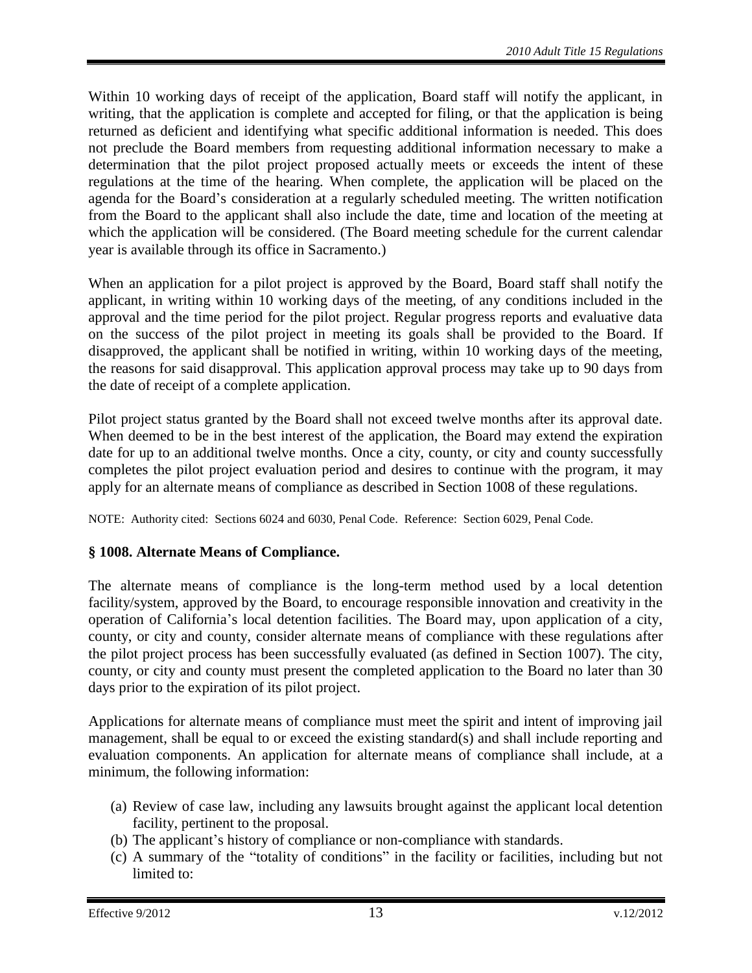Within 10 working days of receipt of the application, Board staff will notify the applicant, in writing, that the application is complete and accepted for filing, or that the application is being returned as deficient and identifying what specific additional information is needed. This does not preclude the Board members from requesting additional information necessary to make a determination that the pilot project proposed actually meets or exceeds the intent of these regulations at the time of the hearing. When complete, the application will be placed on the agenda for the Board's consideration at a regularly scheduled meeting. The written notification from the Board to the applicant shall also include the date, time and location of the meeting at which the application will be considered. (The Board meeting schedule for the current calendar year is available through its office in Sacramento.)

When an application for a pilot project is approved by the Board, Board staff shall notify the applicant, in writing within 10 working days of the meeting, of any conditions included in the approval and the time period for the pilot project. Regular progress reports and evaluative data on the success of the pilot project in meeting its goals shall be provided to the Board. If disapproved, the applicant shall be notified in writing, within 10 working days of the meeting, the reasons for said disapproval. This application approval process may take up to 90 days from the date of receipt of a complete application.

Pilot project status granted by the Board shall not exceed twelve months after its approval date. When deemed to be in the best interest of the application, the Board may extend the expiration date for up to an additional twelve months. Once a city, county, or city and county successfully completes the pilot project evaluation period and desires to continue with the program, it may apply for an alternate means of compliance as described in Section 1008 of these regulations.

NOTE: Authority cited: Sections 6024 and 6030, Penal Code. Reference: Section 6029, Penal Code.

# <span id="page-12-0"></span>**§ 1008. Alternate Means of Compliance.**

The alternate means of compliance is the long-term method used by a local detention facility/system, approved by the Board, to encourage responsible innovation and creativity in the operation of California's local detention facilities. The Board may, upon application of a city, county, or city and county, consider alternate means of compliance with these regulations after the pilot project process has been successfully evaluated (as defined in Section 1007). The city, county, or city and county must present the completed application to the Board no later than 30 days prior to the expiration of its pilot project.

Applications for alternate means of compliance must meet the spirit and intent of improving jail management, shall be equal to or exceed the existing standard(s) and shall include reporting and evaluation components. An application for alternate means of compliance shall include, at a minimum, the following information:

- (a) Review of case law, including any lawsuits brought against the applicant local detention facility, pertinent to the proposal.
- (b) The applicant's history of compliance or non-compliance with standards.
- (c) A summary of the "totality of conditions" in the facility or facilities, including but not limited to: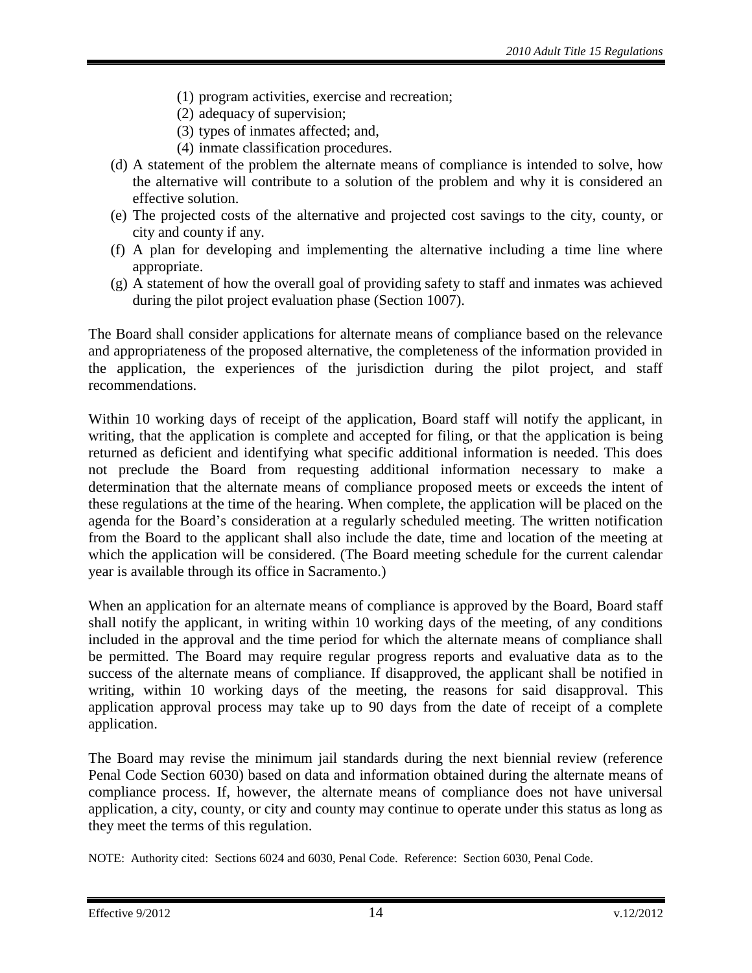- (1) program activities, exercise and recreation;
- (2) adequacy of supervision;
- (3) types of inmates affected; and,
- (4) inmate classification procedures.
- (d) A statement of the problem the alternate means of compliance is intended to solve, how the alternative will contribute to a solution of the problem and why it is considered an effective solution.
- (e) The projected costs of the alternative and projected cost savings to the city, county, or city and county if any.
- (f) A plan for developing and implementing the alternative including a time line where appropriate.
- (g) A statement of how the overall goal of providing safety to staff and inmates was achieved during the pilot project evaluation phase (Section 1007).

The Board shall consider applications for alternate means of compliance based on the relevance and appropriateness of the proposed alternative, the completeness of the information provided in the application, the experiences of the jurisdiction during the pilot project, and staff recommendations.

Within 10 working days of receipt of the application, Board staff will notify the applicant, in writing, that the application is complete and accepted for filing, or that the application is being returned as deficient and identifying what specific additional information is needed. This does not preclude the Board from requesting additional information necessary to make a determination that the alternate means of compliance proposed meets or exceeds the intent of these regulations at the time of the hearing. When complete, the application will be placed on the agenda for the Board's consideration at a regularly scheduled meeting. The written notification from the Board to the applicant shall also include the date, time and location of the meeting at which the application will be considered. (The Board meeting schedule for the current calendar year is available through its office in Sacramento.)

When an application for an alternate means of compliance is approved by the Board, Board staff shall notify the applicant, in writing within 10 working days of the meeting, of any conditions included in the approval and the time period for which the alternate means of compliance shall be permitted. The Board may require regular progress reports and evaluative data as to the success of the alternate means of compliance. If disapproved, the applicant shall be notified in writing, within 10 working days of the meeting, the reasons for said disapproval. This application approval process may take up to 90 days from the date of receipt of a complete application.

The Board may revise the minimum jail standards during the next biennial review (reference Penal Code Section 6030) based on data and information obtained during the alternate means of compliance process. If, however, the alternate means of compliance does not have universal application, a city, county, or city and county may continue to operate under this status as long as they meet the terms of this regulation.

NOTE: Authority cited: Sections 6024 and 6030, Penal Code. Reference: Section 6030, Penal Code.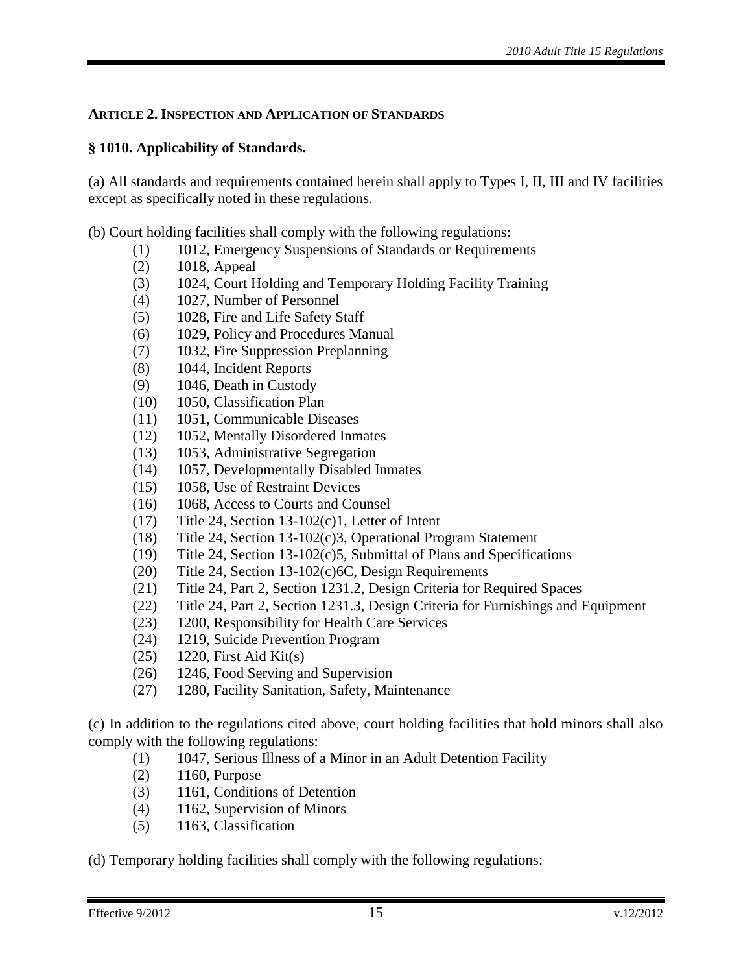# <span id="page-14-0"></span>**ARTICLE 2. INSPECTION AND APPLICATION OF STANDARDS**

# <span id="page-14-1"></span>**§ 1010. Applicability of Standards.**

(a) All standards and requirements contained herein shall apply to Types I, II, III and IV facilities except as specifically noted in these regulations.

(b) Court holding facilities shall comply with the following regulations:

- (1) 1012, Emergency Suspensions of Standards or Requirements
- (2) 1018, Appeal
- (3) 1024, Court Holding and Temporary Holding Facility Training
- (4) 1027, Number of Personnel
- (5) 1028, Fire and Life Safety Staff
- (6) 1029, Policy and Procedures Manual
- (7) 1032, Fire Suppression Preplanning
- (8) 1044, Incident Reports
- (9) 1046, Death in Custody
- (10) 1050, Classification Plan
- (11) 1051, Communicable Diseases
- (12) 1052, Mentally Disordered Inmates
- (13) 1053, Administrative Segregation
- (14) 1057, Developmentally Disabled Inmates
- (15) 1058, Use of Restraint Devices
- (16) 1068, Access to Courts and Counsel
- (17) Title 24, Section 13-102(c)1, Letter of Intent
- (18) Title 24, Section 13-102(c)3, Operational Program Statement
- (19) Title 24, Section 13-102(c)5, Submittal of Plans and Specifications
- (20) Title 24, Section 13-102(c)6C, Design Requirements
- (21) Title 24, Part 2, Section 1231.2, Design Criteria for Required Spaces
- (22) Title 24, Part 2, Section 1231.3, Design Criteria for Furnishings and Equipment
- (23) 1200, Responsibility for Health Care Services
- (24) 1219, Suicide Prevention Program
- (25) 1220, First Aid Kit(s)
- (26) 1246, Food Serving and Supervision
- (27) 1280, Facility Sanitation, Safety, Maintenance

(c) In addition to the regulations cited above, court holding facilities that hold minors shall also comply with the following regulations:

- (1) 1047, Serious Illness of a Minor in an Adult Detention Facility
- (2) 1160, Purpose
- (3) 1161, Conditions of Detention
- (4) 1162, Supervision of Minors
- (5) 1163, Classification

(d) Temporary holding facilities shall comply with the following regulations: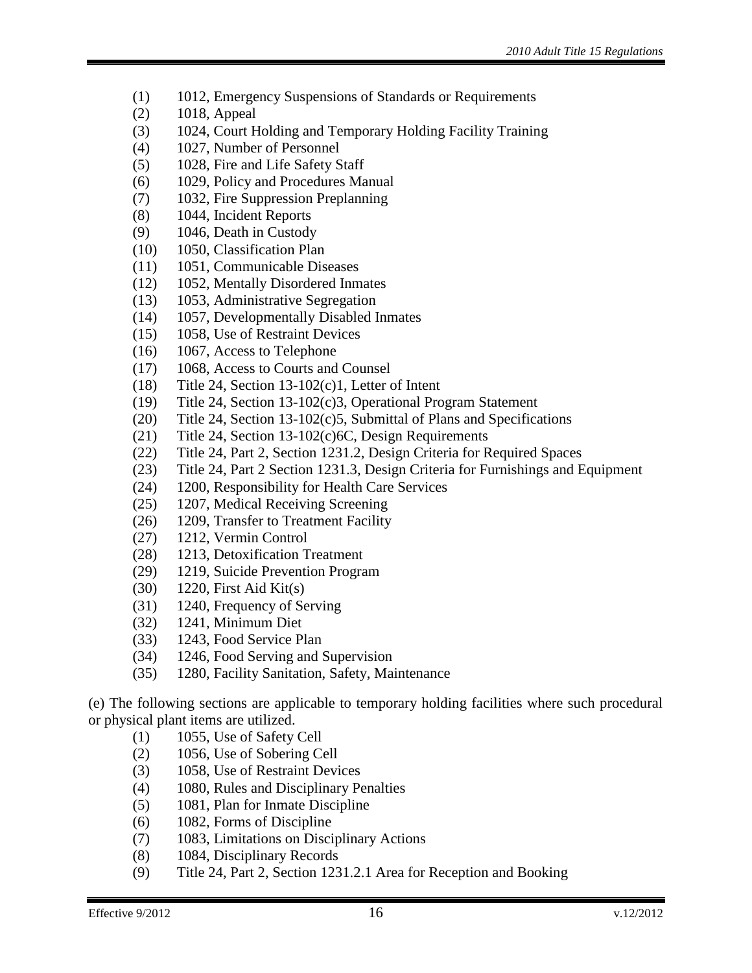- (1) 1012, Emergency Suspensions of Standards or Requirements
- (2) 1018, Appeal
- (3) 1024, Court Holding and Temporary Holding Facility Training
- (4) 1027, Number of Personnel
- (5) 1028, Fire and Life Safety Staff
- (6) 1029, Policy and Procedures Manual
- (7) 1032, Fire Suppression Preplanning
- (8) 1044, Incident Reports
- (9) 1046, Death in Custody
- (10) 1050, Classification Plan
- (11) 1051, Communicable Diseases
- (12) 1052, Mentally Disordered Inmates
- (13) 1053, Administrative Segregation
- (14) 1057, Developmentally Disabled Inmates
- (15) 1058, Use of Restraint Devices
- (16) 1067, Access to Telephone
- (17) 1068, Access to Courts and Counsel
- (18) Title 24, Section 13-102(c)1, Letter of Intent
- (19) Title 24, Section 13-102(c)3, Operational Program Statement
- (20) Title 24, Section 13-102(c)5, Submittal of Plans and Specifications
- (21) Title 24, Section 13-102(c)6C, Design Requirements
- (22) Title 24, Part 2, Section 1231.2, Design Criteria for Required Spaces
- (23) Title 24, Part 2 Section 1231.3, Design Criteria for Furnishings and Equipment
- (24) 1200, Responsibility for Health Care Services
- (25) 1207, Medical Receiving Screening
- (26) 1209, Transfer to Treatment Facility
- (27) 1212, Vermin Control
- (28) 1213, Detoxification Treatment
- (29) 1219, Suicide Prevention Program
- (30) 1220, First Aid Kit(s)
- (31) 1240, Frequency of Serving
- (32) 1241, Minimum Diet
- (33) 1243, Food Service Plan
- (34) 1246, Food Serving and Supervision
- (35) 1280, Facility Sanitation, Safety, Maintenance

(e) The following sections are applicable to temporary holding facilities where such procedural or physical plant items are utilized.

- (1) 1055, Use of Safety Cell
- (2) 1056, Use of Sobering Cell
- (3) 1058, Use of Restraint Devices
- (4) 1080, Rules and Disciplinary Penalties
- (5) 1081, Plan for Inmate Discipline
- (6) 1082, Forms of Discipline
- (7) 1083, Limitations on Disciplinary Actions
- (8) 1084, Disciplinary Records
- (9) Title 24, Part 2, Section 1231.2.1 Area for Reception and Booking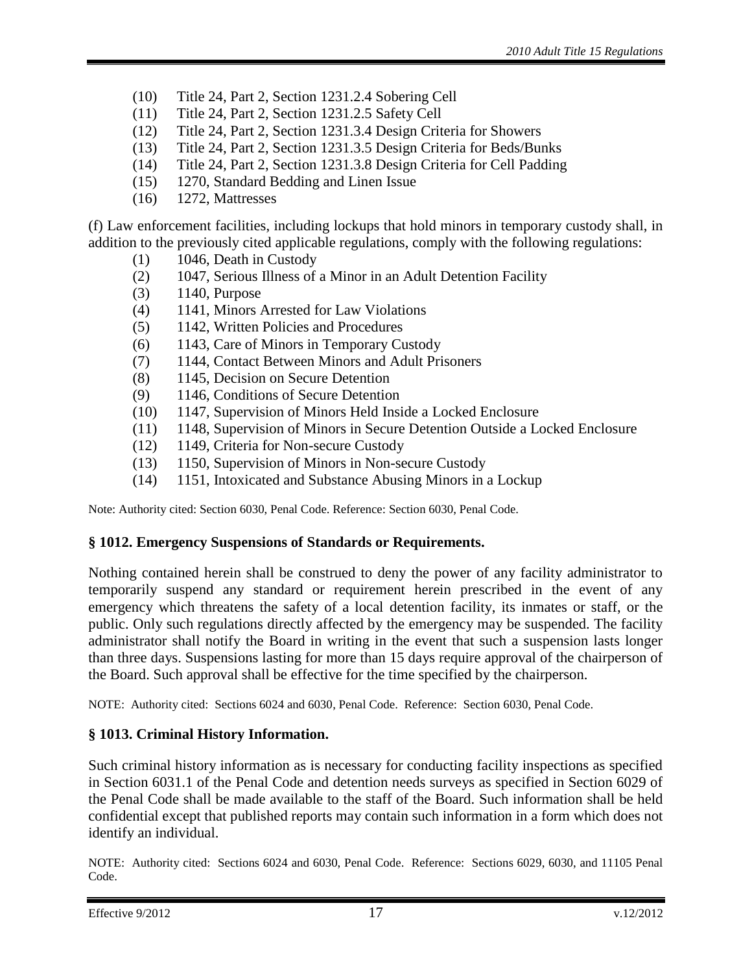- (10) Title 24, Part 2, Section 1231.2.4 Sobering Cell
- (11) Title 24, Part 2, Section 1231.2.5 Safety Cell
- (12) Title 24, Part 2, Section 1231.3.4 Design Criteria for Showers
- (13) Title 24, Part 2, Section 1231.3.5 Design Criteria for Beds/Bunks
- (14) Title 24, Part 2, Section 1231.3.8 Design Criteria for Cell Padding
- (15) 1270, Standard Bedding and Linen Issue
- (16) 1272, Mattresses

(f) Law enforcement facilities, including lockups that hold minors in temporary custody shall, in addition to the previously cited applicable regulations, comply with the following regulations:

- $(1)$  1046, Death in Custody
- (2) 1047, Serious Illness of a Minor in an Adult Detention Facility
- (3) 1140, Purpose
- (4) 1141, Minors Arrested for Law Violations
- (5) 1142, Written Policies and Procedures
- (6) 1143, Care of Minors in Temporary Custody
- (7) 1144, Contact Between Minors and Adult Prisoners
- (8) 1145, Decision on Secure Detention
- (9) 1146, Conditions of Secure Detention
- (10) 1147, Supervision of Minors Held Inside a Locked Enclosure
- (11) 1148, Supervision of Minors in Secure Detention Outside a Locked Enclosure
- (12) 1149, Criteria for Non-secure Custody
- (13) 1150, Supervision of Minors in Non-secure Custody
- (14) 1151, Intoxicated and Substance Abusing Minors in a Lockup

Note: Authority cited: Section 6030, Penal Code. Reference: Section 6030, Penal Code.

## <span id="page-16-0"></span>**§ 1012. Emergency Suspensions of Standards or Requirements.**

Nothing contained herein shall be construed to deny the power of any facility administrator to temporarily suspend any standard or requirement herein prescribed in the event of any emergency which threatens the safety of a local detention facility, its inmates or staff, or the public. Only such regulations directly affected by the emergency may be suspended. The facility administrator shall notify the Board in writing in the event that such a suspension lasts longer than three days. Suspensions lasting for more than 15 days require approval of the chairperson of the Board. Such approval shall be effective for the time specified by the chairperson.

NOTE: Authority cited: Sections 6024 and 6030, Penal Code. Reference: Section 6030, Penal Code.

## <span id="page-16-1"></span>**§ 1013. Criminal History Information.**

Such criminal history information as is necessary for conducting facility inspections as specified in Section 6031.1 of the Penal Code and detention needs surveys as specified in Section 6029 of the Penal Code shall be made available to the staff of the Board. Such information shall be held confidential except that published reports may contain such information in a form which does not identify an individual.

NOTE: Authority cited: Sections 6024 and 6030, Penal Code. Reference: Sections 6029, 6030, and 11105 Penal Code.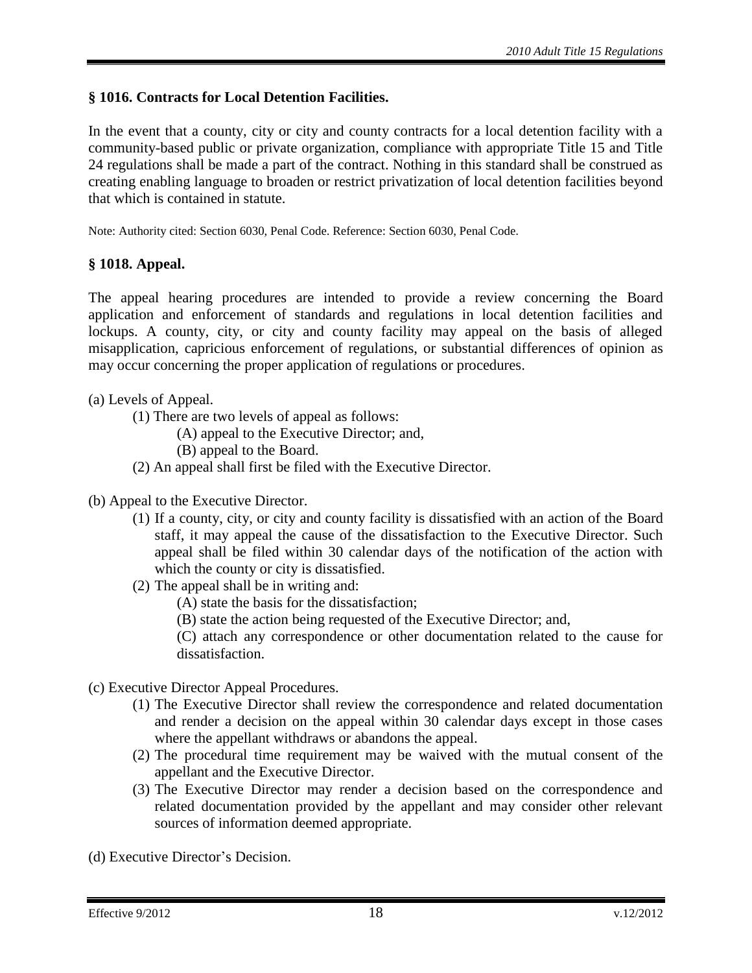# <span id="page-17-0"></span>**§ 1016. Contracts for Local Detention Facilities.**

In the event that a county, city or city and county contracts for a local detention facility with a community-based public or private organization, compliance with appropriate Title 15 and Title 24 regulations shall be made a part of the contract. Nothing in this standard shall be construed as creating enabling language to broaden or restrict privatization of local detention facilities beyond that which is contained in statute.

Note: Authority cited: Section 6030, Penal Code. Reference: Section 6030, Penal Code.

## <span id="page-17-1"></span>**§ 1018. Appeal.**

The appeal hearing procedures are intended to provide a review concerning the Board application and enforcement of standards and regulations in local detention facilities and lockups. A county, city, or city and county facility may appeal on the basis of alleged misapplication, capricious enforcement of regulations, or substantial differences of opinion as may occur concerning the proper application of regulations or procedures.

- (a) Levels of Appeal.
	- (1) There are two levels of appeal as follows:

(A) appeal to the Executive Director; and,

- (B) appeal to the Board.
- (2) An appeal shall first be filed with the Executive Director.
- (b) Appeal to the Executive Director.
	- (1) If a county, city, or city and county facility is dissatisfied with an action of the Board staff, it may appeal the cause of the dissatisfaction to the Executive Director. Such appeal shall be filed within 30 calendar days of the notification of the action with which the county or city is dissatisfied.
	- (2) The appeal shall be in writing and:
		- (A) state the basis for the dissatisfaction;
		- (B) state the action being requested of the Executive Director; and,

(C) attach any correspondence or other documentation related to the cause for dissatisfaction.

- (c) Executive Director Appeal Procedures.
	- (1) The Executive Director shall review the correspondence and related documentation and render a decision on the appeal within 30 calendar days except in those cases where the appellant withdraws or abandons the appeal.
	- (2) The procedural time requirement may be waived with the mutual consent of the appellant and the Executive Director.
	- (3) The Executive Director may render a decision based on the correspondence and related documentation provided by the appellant and may consider other relevant sources of information deemed appropriate.

(d) Executive Director's Decision.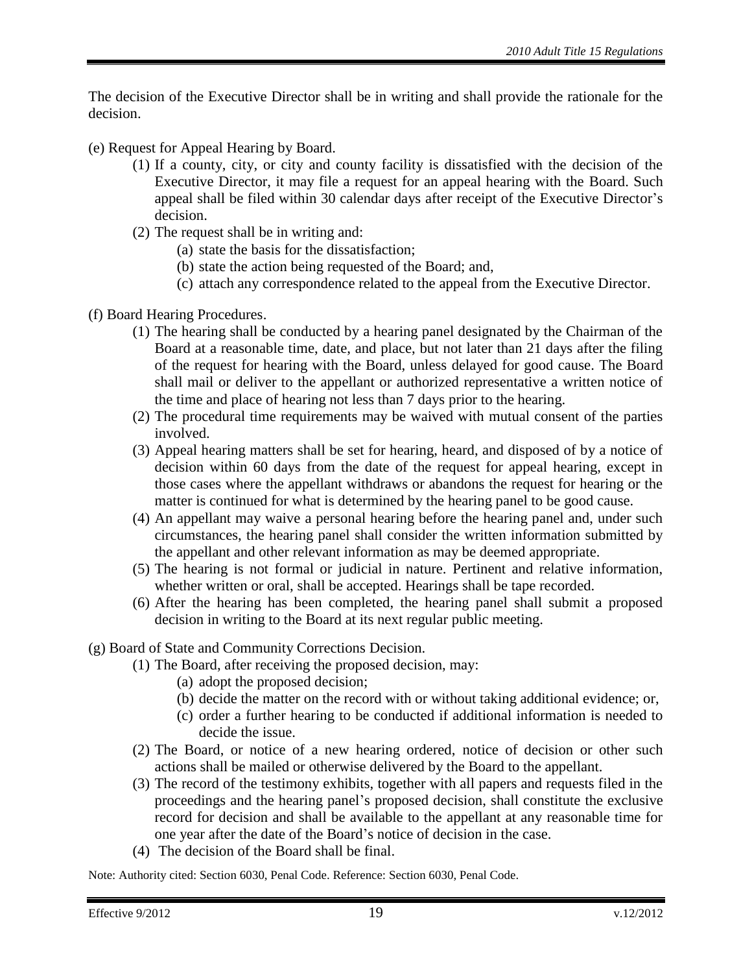The decision of the Executive Director shall be in writing and shall provide the rationale for the decision.

- (e) Request for Appeal Hearing by Board.
	- (1) If a county, city, or city and county facility is dissatisfied with the decision of the Executive Director, it may file a request for an appeal hearing with the Board. Such appeal shall be filed within 30 calendar days after receipt of the Executive Director's decision.
	- (2) The request shall be in writing and:
		- (a) state the basis for the dissatisfaction;
		- (b) state the action being requested of the Board; and,
		- (c) attach any correspondence related to the appeal from the Executive Director.
- (f) Board Hearing Procedures.
	- (1) The hearing shall be conducted by a hearing panel designated by the Chairman of the Board at a reasonable time, date, and place, but not later than 21 days after the filing of the request for hearing with the Board, unless delayed for good cause. The Board shall mail or deliver to the appellant or authorized representative a written notice of the time and place of hearing not less than 7 days prior to the hearing.
	- (2) The procedural time requirements may be waived with mutual consent of the parties involved.
	- (3) Appeal hearing matters shall be set for hearing, heard, and disposed of by a notice of decision within 60 days from the date of the request for appeal hearing, except in those cases where the appellant withdraws or abandons the request for hearing or the matter is continued for what is determined by the hearing panel to be good cause.
	- (4) An appellant may waive a personal hearing before the hearing panel and, under such circumstances, the hearing panel shall consider the written information submitted by the appellant and other relevant information as may be deemed appropriate.
	- (5) The hearing is not formal or judicial in nature. Pertinent and relative information, whether written or oral, shall be accepted. Hearings shall be tape recorded.
	- (6) After the hearing has been completed, the hearing panel shall submit a proposed decision in writing to the Board at its next regular public meeting.
- (g) Board of State and Community Corrections Decision.
	- (1) The Board, after receiving the proposed decision, may:
		- (a) adopt the proposed decision;
		- (b) decide the matter on the record with or without taking additional evidence; or,
		- (c) order a further hearing to be conducted if additional information is needed to decide the issue.
	- (2) The Board, or notice of a new hearing ordered, notice of decision or other such actions shall be mailed or otherwise delivered by the Board to the appellant.
	- (3) The record of the testimony exhibits, together with all papers and requests filed in the proceedings and the hearing panel's proposed decision, shall constitute the exclusive record for decision and shall be available to the appellant at any reasonable time for one year after the date of the Board's notice of decision in the case.
	- (4) The decision of the Board shall be final.

Note: Authority cited: Section 6030, Penal Code. Reference: Section 6030, Penal Code.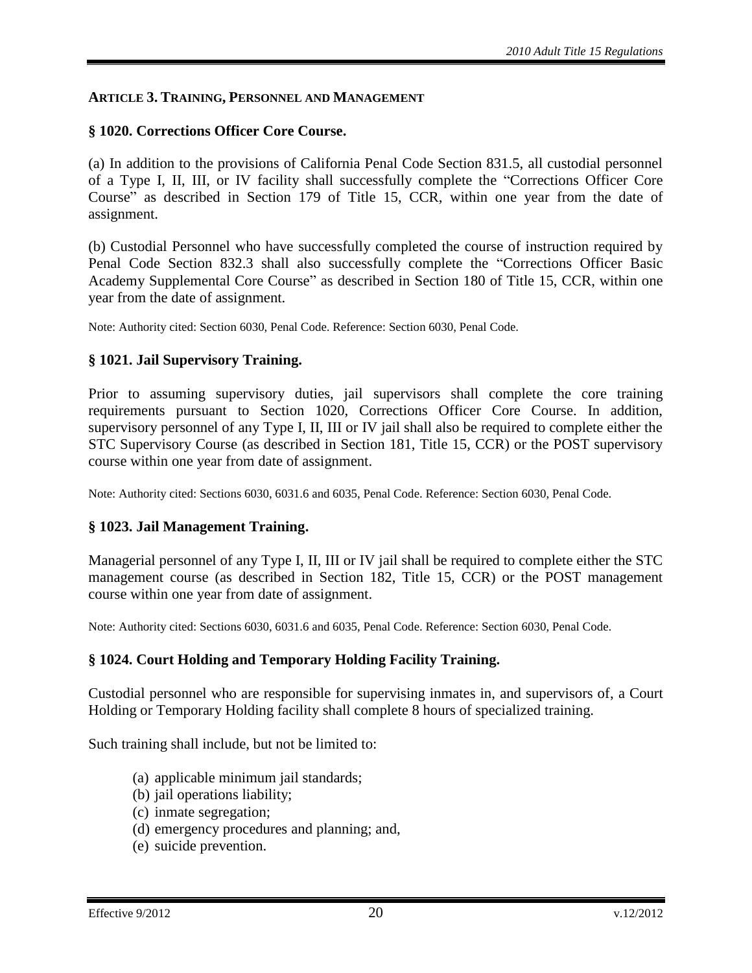#### <span id="page-19-0"></span>**ARTICLE 3. TRAINING, PERSONNEL AND MANAGEMENT**

#### <span id="page-19-1"></span>**§ 1020. Corrections Officer Core Course.**

(a) In addition to the provisions of California Penal Code Section 831.5, all custodial personnel of a Type I, II, III, or IV facility shall successfully complete the "Corrections Officer Core Course" as described in Section 179 of Title 15, CCR, within one year from the date of assignment.

(b) Custodial Personnel who have successfully completed the course of instruction required by Penal Code Section 832.3 shall also successfully complete the "Corrections Officer Basic Academy Supplemental Core Course" as described in Section 180 of Title 15, CCR, within one year from the date of assignment.

Note: Authority cited: Section 6030, Penal Code. Reference: Section 6030, Penal Code.

#### <span id="page-19-2"></span>**§ 1021. Jail Supervisory Training.**

Prior to assuming supervisory duties, jail supervisors shall complete the core training requirements pursuant to Section 1020, Corrections Officer Core Course. In addition, supervisory personnel of any Type I, II, III or IV jail shall also be required to complete either the STC Supervisory Course (as described in Section 181, Title 15, CCR) or the POST supervisory course within one year from date of assignment.

Note: Authority cited: Sections 6030, 6031.6 and 6035, Penal Code. Reference: Section 6030, Penal Code.

#### <span id="page-19-3"></span>**§ 1023. Jail Management Training.**

Managerial personnel of any Type I, II, III or IV jail shall be required to complete either the STC management course (as described in Section 182, Title 15, CCR) or the POST management course within one year from date of assignment.

Note: Authority cited: Sections 6030, 6031.6 and 6035, Penal Code. Reference: Section 6030, Penal Code.

#### <span id="page-19-4"></span>**§ 1024. Court Holding and Temporary Holding Facility Training.**

Custodial personnel who are responsible for supervising inmates in, and supervisors of, a Court Holding or Temporary Holding facility shall complete 8 hours of specialized training.

Such training shall include, but not be limited to:

- (a) applicable minimum jail standards;
- (b) jail operations liability;
- (c) inmate segregation;
- (d) emergency procedures and planning; and,
- (e) suicide prevention.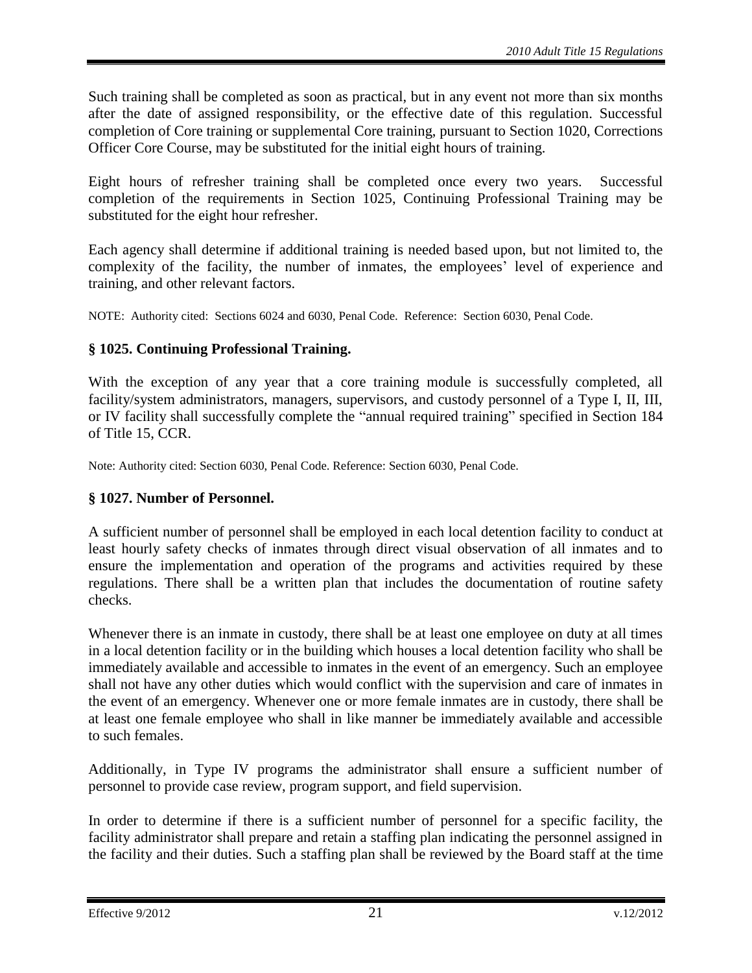Such training shall be completed as soon as practical, but in any event not more than six months after the date of assigned responsibility, or the effective date of this regulation. Successful completion of Core training or supplemental Core training, pursuant to Section 1020, Corrections Officer Core Course, may be substituted for the initial eight hours of training.

Eight hours of refresher training shall be completed once every two years. Successful completion of the requirements in Section 1025, Continuing Professional Training may be substituted for the eight hour refresher.

Each agency shall determine if additional training is needed based upon, but not limited to, the complexity of the facility, the number of inmates, the employees' level of experience and training, and other relevant factors.

NOTE: Authority cited: Sections 6024 and 6030, Penal Code. Reference: Section 6030, Penal Code.

# <span id="page-20-0"></span>**§ 1025. Continuing Professional Training.**

With the exception of any year that a core training module is successfully completed, all facility/system administrators, managers, supervisors, and custody personnel of a Type I, II, III, or IV facility shall successfully complete the "annual required training" specified in Section 184 of Title 15, CCR.

Note: Authority cited: Section 6030, Penal Code. Reference: Section 6030, Penal Code.

# <span id="page-20-1"></span>**§ 1027. Number of Personnel.**

A sufficient number of personnel shall be employed in each local detention facility to conduct at least hourly safety checks of inmates through direct visual observation of all inmates and to ensure the implementation and operation of the programs and activities required by these regulations. There shall be a written plan that includes the documentation of routine safety checks.

Whenever there is an inmate in custody, there shall be at least one employee on duty at all times in a local detention facility or in the building which houses a local detention facility who shall be immediately available and accessible to inmates in the event of an emergency. Such an employee shall not have any other duties which would conflict with the supervision and care of inmates in the event of an emergency. Whenever one or more female inmates are in custody, there shall be at least one female employee who shall in like manner be immediately available and accessible to such females.

Additionally, in Type IV programs the administrator shall ensure a sufficient number of personnel to provide case review, program support, and field supervision.

In order to determine if there is a sufficient number of personnel for a specific facility, the facility administrator shall prepare and retain a staffing plan indicating the personnel assigned in the facility and their duties. Such a staffing plan shall be reviewed by the Board staff at the time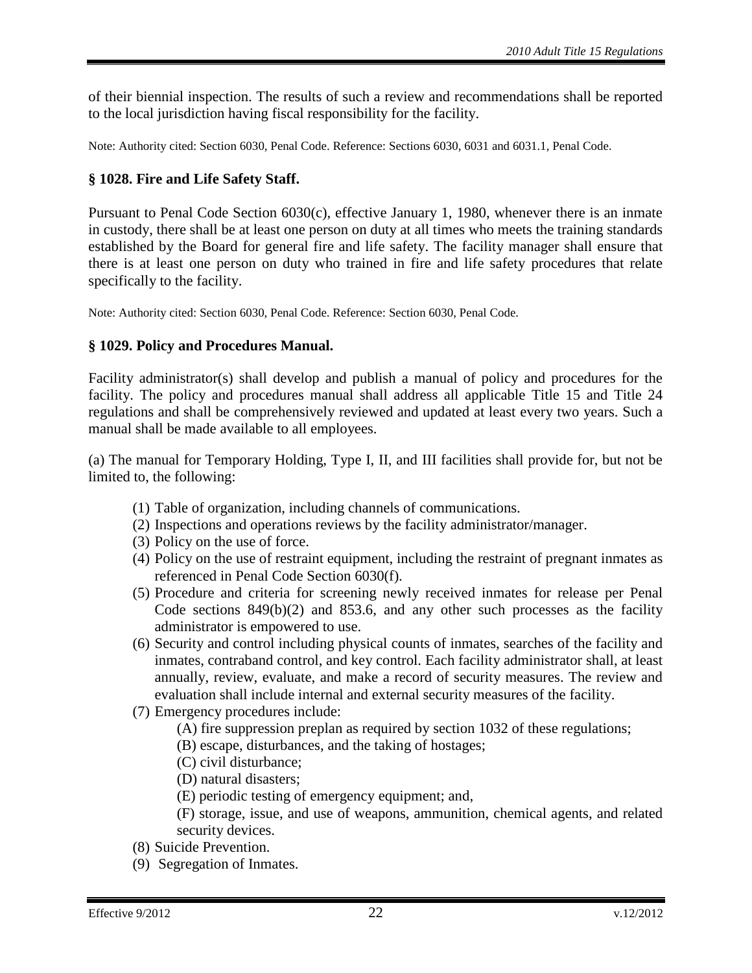of their biennial inspection. The results of such a review and recommendations shall be reported to the local jurisdiction having fiscal responsibility for the facility.

Note: Authority cited: Section 6030, Penal Code. Reference: Sections 6030, 6031 and 6031.1, Penal Code.

# <span id="page-21-0"></span>**§ 1028. Fire and Life Safety Staff.**

Pursuant to Penal Code Section 6030(c), effective January 1, 1980, whenever there is an inmate in custody, there shall be at least one person on duty at all times who meets the training standards established by the Board for general fire and life safety. The facility manager shall ensure that there is at least one person on duty who trained in fire and life safety procedures that relate specifically to the facility.

Note: Authority cited: Section 6030, Penal Code. Reference: Section 6030, Penal Code.

## <span id="page-21-1"></span>**§ 1029. Policy and Procedures Manual.**

Facility administrator(s) shall develop and publish a manual of policy and procedures for the facility. The policy and procedures manual shall address all applicable Title 15 and Title 24 regulations and shall be comprehensively reviewed and updated at least every two years. Such a manual shall be made available to all employees.

(a) The manual for Temporary Holding, Type I, II, and III facilities shall provide for, but not be limited to, the following:

- (1) Table of organization, including channels of communications.
- (2) Inspections and operations reviews by the facility administrator/manager.
- (3) Policy on the use of force.
- (4) Policy on the use of restraint equipment, including the restraint of pregnant inmates as referenced in Penal Code Section 6030(f).
- (5) Procedure and criteria for screening newly received inmates for release per Penal Code sections 849(b)(2) and 853.6, and any other such processes as the facility administrator is empowered to use.
- (6) Security and control including physical counts of inmates, searches of the facility and inmates, contraband control, and key control. Each facility administrator shall, at least annually, review, evaluate, and make a record of security measures. The review and evaluation shall include internal and external security measures of the facility.
- (7) Emergency procedures include:
	- (A) fire suppression preplan as required by section 1032 of these regulations;
	- (B) escape, disturbances, and the taking of hostages;
	- (C) civil disturbance;
	- (D) natural disasters;
	- (E) periodic testing of emergency equipment; and,

(F) storage, issue, and use of weapons, ammunition, chemical agents, and related security devices.

- (8) Suicide Prevention.
- (9) Segregation of Inmates.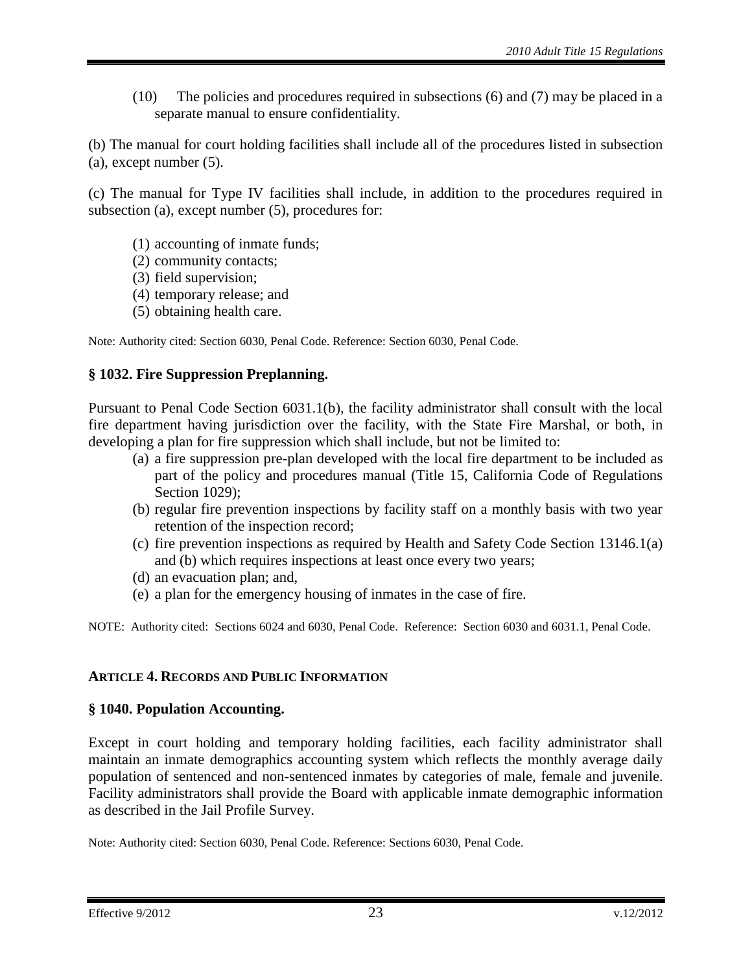(10) The policies and procedures required in subsections (6) and (7) may be placed in a separate manual to ensure confidentiality.

(b) The manual for court holding facilities shall include all of the procedures listed in subsection (a), except number (5).

(c) The manual for Type IV facilities shall include, in addition to the procedures required in subsection (a), except number (5), procedures for:

- (1) accounting of inmate funds;
- (2) community contacts;
- (3) field supervision;
- (4) temporary release; and
- (5) obtaining health care.

Note: Authority cited: Section 6030, Penal Code. Reference: Section 6030, Penal Code.

## <span id="page-22-0"></span>**§ 1032. Fire Suppression Preplanning.**

Pursuant to Penal Code Section 6031.1(b), the facility administrator shall consult with the local fire department having jurisdiction over the facility, with the State Fire Marshal, or both, in developing a plan for fire suppression which shall include, but not be limited to:

- (a) a fire suppression pre-plan developed with the local fire department to be included as part of the policy and procedures manual (Title 15, California Code of Regulations Section 1029);
- (b) regular fire prevention inspections by facility staff on a monthly basis with two year retention of the inspection record;
- (c) fire prevention inspections as required by Health and Safety Code Section 13146.1(a) and (b) which requires inspections at least once every two years;
- (d) an evacuation plan; and,
- (e) a plan for the emergency housing of inmates in the case of fire.

NOTE: Authority cited: Sections 6024 and 6030, Penal Code. Reference: Section 6030 and 6031.1, Penal Code.

## <span id="page-22-1"></span>**ARTICLE 4. RECORDS AND PUBLIC INFORMATION**

## <span id="page-22-2"></span>**§ 1040. Population Accounting.**

Except in court holding and temporary holding facilities, each facility administrator shall maintain an inmate demographics accounting system which reflects the monthly average daily population of sentenced and non-sentenced inmates by categories of male, female and juvenile. Facility administrators shall provide the Board with applicable inmate demographic information as described in the Jail Profile Survey.

Note: Authority cited: Section 6030, Penal Code. Reference: Sections 6030, Penal Code.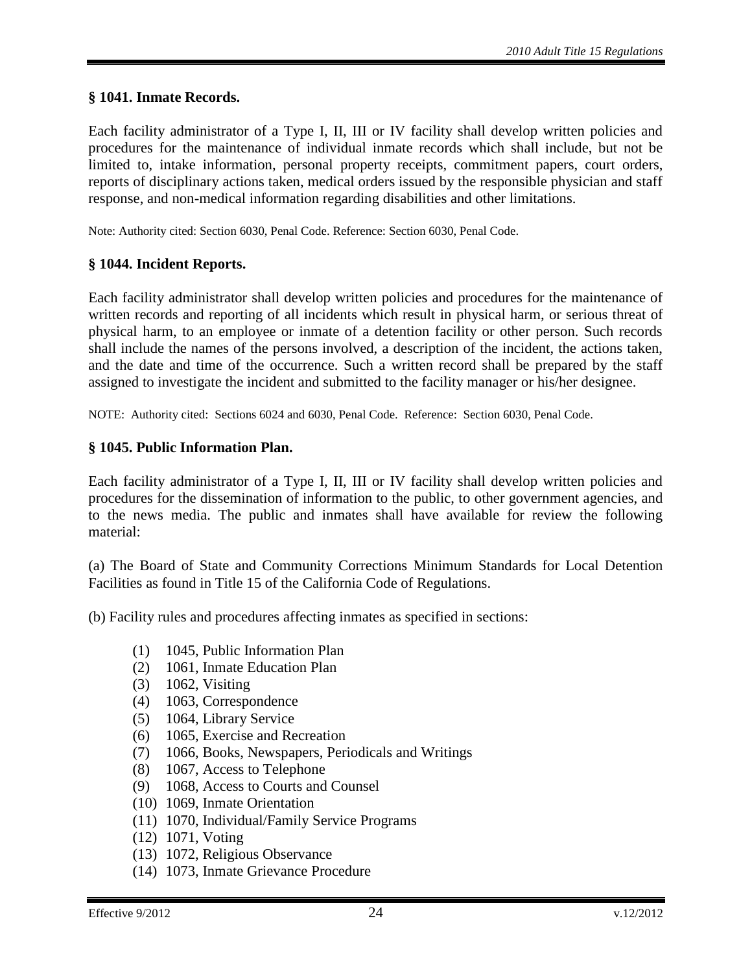#### <span id="page-23-0"></span>**§ 1041. Inmate Records.**

Each facility administrator of a Type I, II, III or IV facility shall develop written policies and procedures for the maintenance of individual inmate records which shall include, but not be limited to, intake information, personal property receipts, commitment papers, court orders, reports of disciplinary actions taken, medical orders issued by the responsible physician and staff response, and non-medical information regarding disabilities and other limitations.

Note: Authority cited: Section 6030, Penal Code. Reference: Section 6030, Penal Code.

#### <span id="page-23-1"></span>**§ 1044. Incident Reports.**

Each facility administrator shall develop written policies and procedures for the maintenance of written records and reporting of all incidents which result in physical harm, or serious threat of physical harm, to an employee or inmate of a detention facility or other person. Such records shall include the names of the persons involved, a description of the incident, the actions taken, and the date and time of the occurrence. Such a written record shall be prepared by the staff assigned to investigate the incident and submitted to the facility manager or his/her designee.

NOTE: Authority cited: Sections 6024 and 6030, Penal Code. Reference: Section 6030, Penal Code.

#### <span id="page-23-2"></span>**§ 1045. Public Information Plan.**

Each facility administrator of a Type I, II, III or IV facility shall develop written policies and procedures for the dissemination of information to the public, to other government agencies, and to the news media. The public and inmates shall have available for review the following material:

(a) The Board of State and Community Corrections Minimum Standards for Local Detention Facilities as found in Title 15 of the California Code of Regulations.

(b) Facility rules and procedures affecting inmates as specified in sections:

- (1) 1045, Public Information Plan
- (2) 1061, Inmate Education Plan
- (3) 1062, Visiting
- (4) 1063, Correspondence
- (5) 1064, Library Service
- (6) 1065, Exercise and Recreation
- (7) 1066, Books, Newspapers, Periodicals and Writings
- (8) 1067, Access to Telephone
- (9) 1068, Access to Courts and Counsel
- (10) 1069, Inmate Orientation
- (11) 1070, Individual/Family Service Programs
- (12) 1071, Voting
- (13) 1072, Religious Observance
- (14) 1073, Inmate Grievance Procedure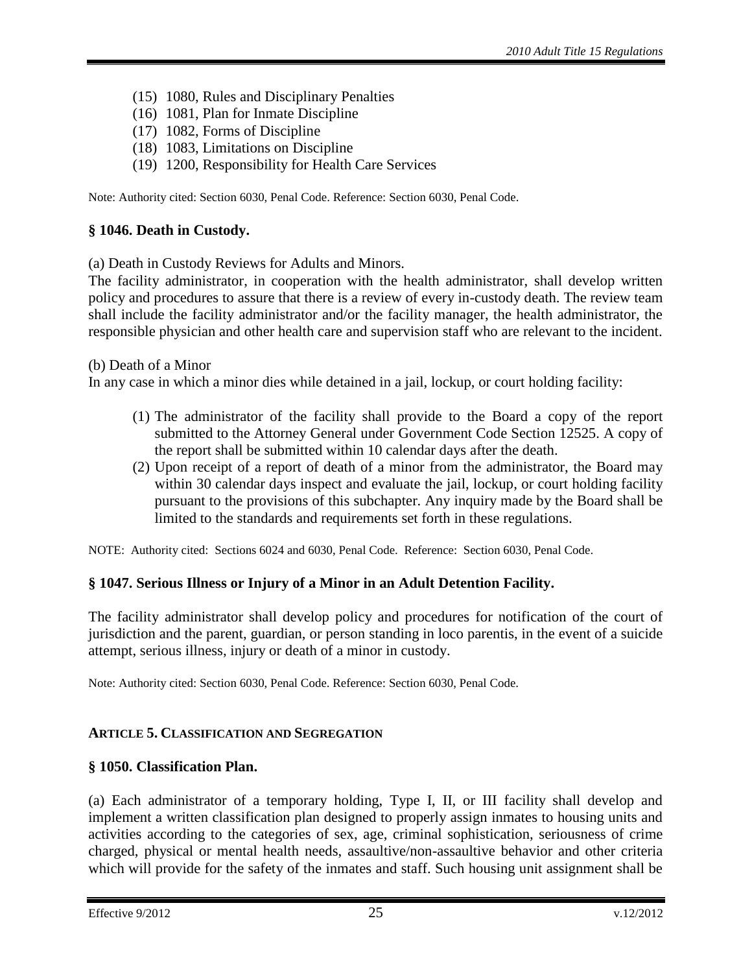- (15) 1080, Rules and Disciplinary Penalties
- (16) 1081, Plan for Inmate Discipline
- (17) 1082, Forms of Discipline
- (18) 1083, Limitations on Discipline
- (19) 1200, Responsibility for Health Care Services

Note: Authority cited: Section 6030, Penal Code. Reference: Section 6030, Penal Code.

#### <span id="page-24-0"></span>**§ 1046. Death in Custody.**

(a) Death in Custody Reviews for Adults and Minors.

The facility administrator, in cooperation with the health administrator, shall develop written policy and procedures to assure that there is a review of every in-custody death. The review team shall include the facility administrator and/or the facility manager, the health administrator, the responsible physician and other health care and supervision staff who are relevant to the incident.

(b) Death of a Minor

In any case in which a minor dies while detained in a jail, lockup, or court holding facility:

- (1) The administrator of the facility shall provide to the Board a copy of the report submitted to the Attorney General under Government Code Section 12525. A copy of the report shall be submitted within 10 calendar days after the death.
- (2) Upon receipt of a report of death of a minor from the administrator, the Board may within 30 calendar days inspect and evaluate the jail, lockup, or court holding facility pursuant to the provisions of this subchapter. Any inquiry made by the Board shall be limited to the standards and requirements set forth in these regulations.

NOTE: Authority cited: Sections 6024 and 6030, Penal Code. Reference: Section 6030, Penal Code.

## <span id="page-24-1"></span>**§ 1047. Serious Illness or Injury of a Minor in an Adult Detention Facility.**

The facility administrator shall develop policy and procedures for notification of the court of jurisdiction and the parent, guardian, or person standing in loco parentis, in the event of a suicide attempt, serious illness, injury or death of a minor in custody.

Note: Authority cited: Section 6030, Penal Code. Reference: Section 6030, Penal Code.

#### <span id="page-24-2"></span>**ARTICLE 5. CLASSIFICATION AND SEGREGATION**

#### <span id="page-24-3"></span>**§ 1050. Classification Plan.**

(a) Each administrator of a temporary holding, Type I, II, or III facility shall develop and implement a written classification plan designed to properly assign inmates to housing units and activities according to the categories of sex, age, criminal sophistication, seriousness of crime charged, physical or mental health needs, assaultive/non-assaultive behavior and other criteria which will provide for the safety of the inmates and staff. Such housing unit assignment shall be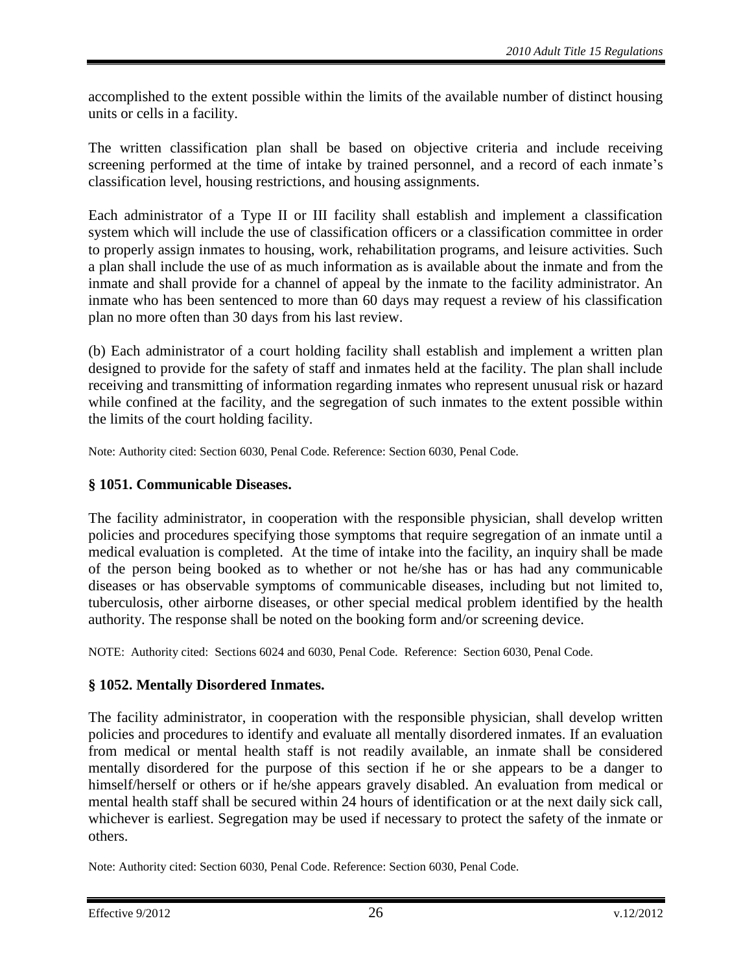accomplished to the extent possible within the limits of the available number of distinct housing units or cells in a facility.

The written classification plan shall be based on objective criteria and include receiving screening performed at the time of intake by trained personnel, and a record of each inmate's classification level, housing restrictions, and housing assignments.

Each administrator of a Type II or III facility shall establish and implement a classification system which will include the use of classification officers or a classification committee in order to properly assign inmates to housing, work, rehabilitation programs, and leisure activities. Such a plan shall include the use of as much information as is available about the inmate and from the inmate and shall provide for a channel of appeal by the inmate to the facility administrator. An inmate who has been sentenced to more than 60 days may request a review of his classification plan no more often than 30 days from his last review.

(b) Each administrator of a court holding facility shall establish and implement a written plan designed to provide for the safety of staff and inmates held at the facility. The plan shall include receiving and transmitting of information regarding inmates who represent unusual risk or hazard while confined at the facility, and the segregation of such inmates to the extent possible within the limits of the court holding facility.

Note: Authority cited: Section 6030, Penal Code. Reference: Section 6030, Penal Code.

#### <span id="page-25-0"></span>**§ 1051. Communicable Diseases.**

The facility administrator, in cooperation with the responsible physician, shall develop written policies and procedures specifying those symptoms that require segregation of an inmate until a medical evaluation is completed. At the time of intake into the facility, an inquiry shall be made of the person being booked as to whether or not he/she has or has had any communicable diseases or has observable symptoms of communicable diseases, including but not limited to, tuberculosis, other airborne diseases, or other special medical problem identified by the health authority. The response shall be noted on the booking form and/or screening device.

NOTE: Authority cited: Sections 6024 and 6030, Penal Code. Reference: Section 6030, Penal Code.

# <span id="page-25-1"></span>**§ 1052. Mentally Disordered Inmates.**

The facility administrator, in cooperation with the responsible physician, shall develop written policies and procedures to identify and evaluate all mentally disordered inmates. If an evaluation from medical or mental health staff is not readily available, an inmate shall be considered mentally disordered for the purpose of this section if he or she appears to be a danger to himself/herself or others or if he/she appears gravely disabled. An evaluation from medical or mental health staff shall be secured within 24 hours of identification or at the next daily sick call, whichever is earliest. Segregation may be used if necessary to protect the safety of the inmate or others.

Note: Authority cited: Section 6030, Penal Code. Reference: Section 6030, Penal Code.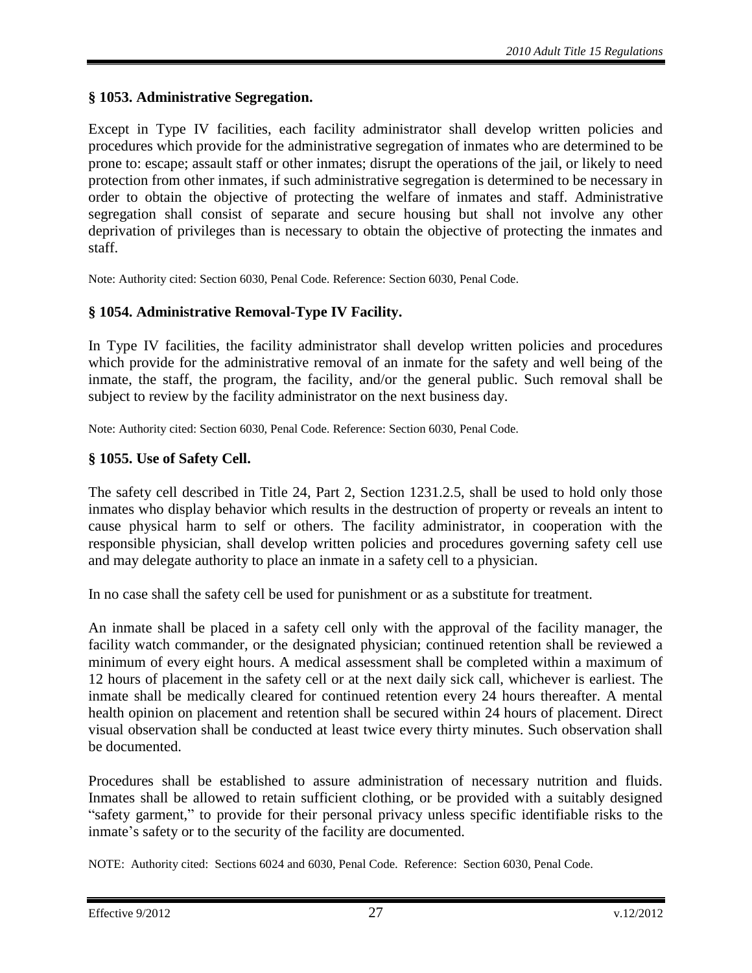# <span id="page-26-0"></span>**§ 1053. Administrative Segregation.**

Except in Type IV facilities, each facility administrator shall develop written policies and procedures which provide for the administrative segregation of inmates who are determined to be prone to: escape; assault staff or other inmates; disrupt the operations of the jail, or likely to need protection from other inmates, if such administrative segregation is determined to be necessary in order to obtain the objective of protecting the welfare of inmates and staff. Administrative segregation shall consist of separate and secure housing but shall not involve any other deprivation of privileges than is necessary to obtain the objective of protecting the inmates and staff.

Note: Authority cited: Section 6030, Penal Code. Reference: Section 6030, Penal Code.

# <span id="page-26-1"></span>**§ 1054. Administrative Removal-Type IV Facility.**

In Type IV facilities, the facility administrator shall develop written policies and procedures which provide for the administrative removal of an inmate for the safety and well being of the inmate, the staff, the program, the facility, and/or the general public. Such removal shall be subject to review by the facility administrator on the next business day.

Note: Authority cited: Section 6030, Penal Code. Reference: Section 6030, Penal Code.

# <span id="page-26-2"></span>**§ 1055. Use of Safety Cell.**

The safety cell described in Title 24, Part 2, Section 1231.2.5, shall be used to hold only those inmates who display behavior which results in the destruction of property or reveals an intent to cause physical harm to self or others. The facility administrator, in cooperation with the responsible physician, shall develop written policies and procedures governing safety cell use and may delegate authority to place an inmate in a safety cell to a physician.

In no case shall the safety cell be used for punishment or as a substitute for treatment.

An inmate shall be placed in a safety cell only with the approval of the facility manager, the facility watch commander, or the designated physician; continued retention shall be reviewed a minimum of every eight hours. A medical assessment shall be completed within a maximum of 12 hours of placement in the safety cell or at the next daily sick call, whichever is earliest. The inmate shall be medically cleared for continued retention every 24 hours thereafter. A mental health opinion on placement and retention shall be secured within 24 hours of placement. Direct visual observation shall be conducted at least twice every thirty minutes. Such observation shall be documented.

Procedures shall be established to assure administration of necessary nutrition and fluids. Inmates shall be allowed to retain sufficient clothing, or be provided with a suitably designed "safety garment," to provide for their personal privacy unless specific identifiable risks to the inmate's safety or to the security of the facility are documented.

NOTE: Authority cited: Sections 6024 and 6030, Penal Code. Reference: Section 6030, Penal Code.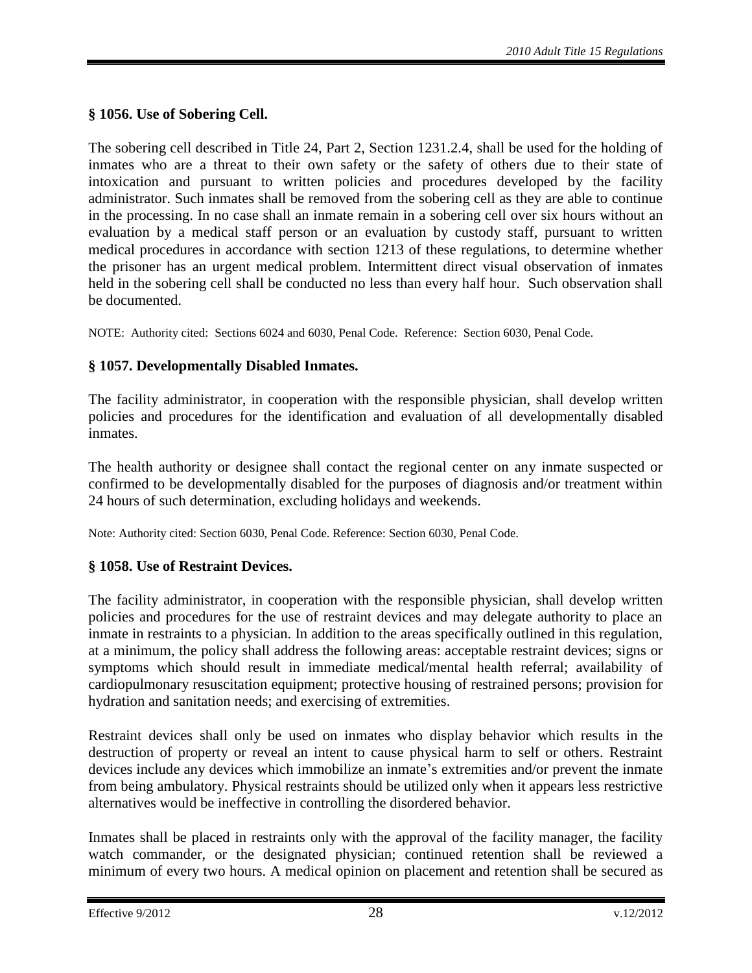# <span id="page-27-0"></span>**§ 1056. Use of Sobering Cell.**

The sobering cell described in Title 24, Part 2, Section 1231.2.4, shall be used for the holding of inmates who are a threat to their own safety or the safety of others due to their state of intoxication and pursuant to written policies and procedures developed by the facility administrator. Such inmates shall be removed from the sobering cell as they are able to continue in the processing. In no case shall an inmate remain in a sobering cell over six hours without an evaluation by a medical staff person or an evaluation by custody staff, pursuant to written medical procedures in accordance with section 1213 of these regulations, to determine whether the prisoner has an urgent medical problem. Intermittent direct visual observation of inmates held in the sobering cell shall be conducted no less than every half hour. Such observation shall be documented.

NOTE: Authority cited: Sections 6024 and 6030, Penal Code. Reference: Section 6030, Penal Code.

# <span id="page-27-1"></span>**§ 1057. Developmentally Disabled Inmates.**

The facility administrator, in cooperation with the responsible physician, shall develop written policies and procedures for the identification and evaluation of all developmentally disabled inmates.

The health authority or designee shall contact the regional center on any inmate suspected or confirmed to be developmentally disabled for the purposes of diagnosis and/or treatment within 24 hours of such determination, excluding holidays and weekends.

Note: Authority cited: Section 6030, Penal Code. Reference: Section 6030, Penal Code.

## <span id="page-27-2"></span>**§ 1058. Use of Restraint Devices.**

The facility administrator, in cooperation with the responsible physician, shall develop written policies and procedures for the use of restraint devices and may delegate authority to place an inmate in restraints to a physician. In addition to the areas specifically outlined in this regulation, at a minimum, the policy shall address the following areas: acceptable restraint devices; signs or symptoms which should result in immediate medical/mental health referral; availability of cardiopulmonary resuscitation equipment; protective housing of restrained persons; provision for hydration and sanitation needs; and exercising of extremities.

Restraint devices shall only be used on inmates who display behavior which results in the destruction of property or reveal an intent to cause physical harm to self or others. Restraint devices include any devices which immobilize an inmate's extremities and/or prevent the inmate from being ambulatory. Physical restraints should be utilized only when it appears less restrictive alternatives would be ineffective in controlling the disordered behavior.

Inmates shall be placed in restraints only with the approval of the facility manager, the facility watch commander, or the designated physician; continued retention shall be reviewed a minimum of every two hours. A medical opinion on placement and retention shall be secured as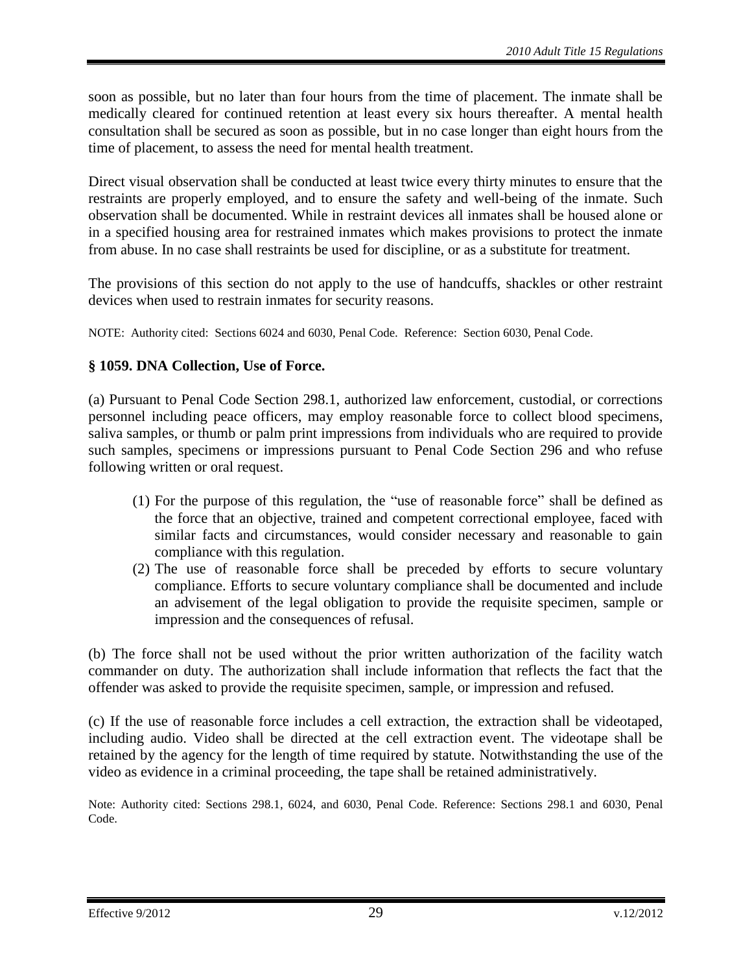soon as possible, but no later than four hours from the time of placement. The inmate shall be medically cleared for continued retention at least every six hours thereafter. A mental health consultation shall be secured as soon as possible, but in no case longer than eight hours from the time of placement, to assess the need for mental health treatment.

Direct visual observation shall be conducted at least twice every thirty minutes to ensure that the restraints are properly employed, and to ensure the safety and well-being of the inmate. Such observation shall be documented. While in restraint devices all inmates shall be housed alone or in a specified housing area for restrained inmates which makes provisions to protect the inmate from abuse. In no case shall restraints be used for discipline, or as a substitute for treatment.

The provisions of this section do not apply to the use of handcuffs, shackles or other restraint devices when used to restrain inmates for security reasons.

NOTE: Authority cited: Sections 6024 and 6030, Penal Code. Reference: Section 6030, Penal Code.

# <span id="page-28-0"></span>**§ 1059. DNA Collection, Use of Force.**

(a) Pursuant to Penal Code Section 298.1, authorized law enforcement, custodial, or corrections personnel including peace officers, may employ reasonable force to collect blood specimens, saliva samples, or thumb or palm print impressions from individuals who are required to provide such samples, specimens or impressions pursuant to Penal Code Section 296 and who refuse following written or oral request.

- (1) For the purpose of this regulation, the "use of reasonable force" shall be defined as the force that an objective, trained and competent correctional employee, faced with similar facts and circumstances, would consider necessary and reasonable to gain compliance with this regulation.
- (2) The use of reasonable force shall be preceded by efforts to secure voluntary compliance. Efforts to secure voluntary compliance shall be documented and include an advisement of the legal obligation to provide the requisite specimen, sample or impression and the consequences of refusal.

(b) The force shall not be used without the prior written authorization of the facility watch commander on duty. The authorization shall include information that reflects the fact that the offender was asked to provide the requisite specimen, sample, or impression and refused.

(c) If the use of reasonable force includes a cell extraction, the extraction shall be videotaped, including audio. Video shall be directed at the cell extraction event. The videotape shall be retained by the agency for the length of time required by statute. Notwithstanding the use of the video as evidence in a criminal proceeding, the tape shall be retained administratively.

Note: Authority cited: Sections 298.1, 6024, and 6030, Penal Code. Reference: Sections 298.1 and 6030, Penal Code.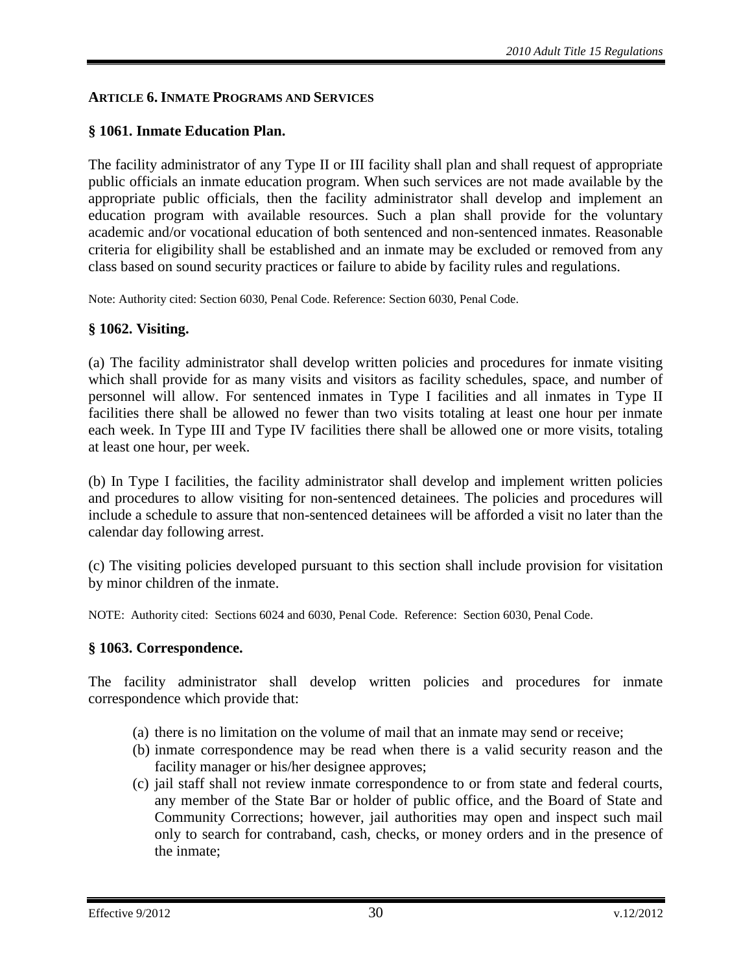#### <span id="page-29-0"></span>**ARTICLE 6. INMATE PROGRAMS AND SERVICES**

## <span id="page-29-1"></span>**§ 1061. Inmate Education Plan.**

The facility administrator of any Type II or III facility shall plan and shall request of appropriate public officials an inmate education program. When such services are not made available by the appropriate public officials, then the facility administrator shall develop and implement an education program with available resources. Such a plan shall provide for the voluntary academic and/or vocational education of both sentenced and non-sentenced inmates. Reasonable criteria for eligibility shall be established and an inmate may be excluded or removed from any class based on sound security practices or failure to abide by facility rules and regulations.

Note: Authority cited: Section 6030, Penal Code. Reference: Section 6030, Penal Code.

## <span id="page-29-2"></span>**§ 1062. Visiting.**

(a) The facility administrator shall develop written policies and procedures for inmate visiting which shall provide for as many visits and visitors as facility schedules, space, and number of personnel will allow. For sentenced inmates in Type I facilities and all inmates in Type II facilities there shall be allowed no fewer than two visits totaling at least one hour per inmate each week. In Type III and Type IV facilities there shall be allowed one or more visits, totaling at least one hour, per week.

(b) In Type I facilities, the facility administrator shall develop and implement written policies and procedures to allow visiting for non-sentenced detainees. The policies and procedures will include a schedule to assure that non-sentenced detainees will be afforded a visit no later than the calendar day following arrest.

(c) The visiting policies developed pursuant to this section shall include provision for visitation by minor children of the inmate.

NOTE: Authority cited: Sections 6024 and 6030, Penal Code. Reference: Section 6030, Penal Code.

#### <span id="page-29-3"></span>**§ 1063. Correspondence.**

The facility administrator shall develop written policies and procedures for inmate correspondence which provide that:

- (a) there is no limitation on the volume of mail that an inmate may send or receive;
- (b) inmate correspondence may be read when there is a valid security reason and the facility manager or his/her designee approves;
- (c) jail staff shall not review inmate correspondence to or from state and federal courts, any member of the State Bar or holder of public office, and the Board of State and Community Corrections; however, jail authorities may open and inspect such mail only to search for contraband, cash, checks, or money orders and in the presence of the inmate;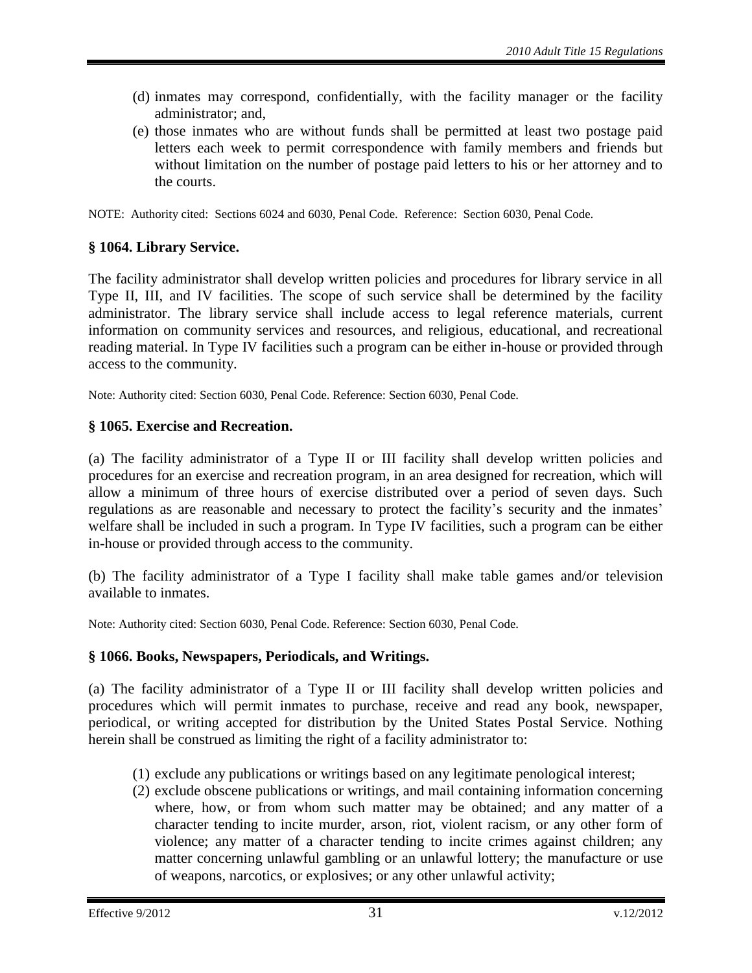- (d) inmates may correspond, confidentially, with the facility manager or the facility administrator; and,
- (e) those inmates who are without funds shall be permitted at least two postage paid letters each week to permit correspondence with family members and friends but without limitation on the number of postage paid letters to his or her attorney and to the courts.

NOTE: Authority cited: Sections 6024 and 6030, Penal Code. Reference: Section 6030, Penal Code.

# <span id="page-30-0"></span>**§ 1064. Library Service.**

The facility administrator shall develop written policies and procedures for library service in all Type II, III, and IV facilities. The scope of such service shall be determined by the facility administrator. The library service shall include access to legal reference materials, current information on community services and resources, and religious, educational, and recreational reading material. In Type IV facilities such a program can be either in-house or provided through access to the community.

Note: Authority cited: Section 6030, Penal Code. Reference: Section 6030, Penal Code.

## <span id="page-30-1"></span>**§ 1065. Exercise and Recreation.**

(a) The facility administrator of a Type II or III facility shall develop written policies and procedures for an exercise and recreation program, in an area designed for recreation, which will allow a minimum of three hours of exercise distributed over a period of seven days. Such regulations as are reasonable and necessary to protect the facility's security and the inmates' welfare shall be included in such a program. In Type IV facilities, such a program can be either in-house or provided through access to the community.

(b) The facility administrator of a Type I facility shall make table games and/or television available to inmates.

Note: Authority cited: Section 6030, Penal Code. Reference: Section 6030, Penal Code.

## <span id="page-30-2"></span>**§ 1066. Books, Newspapers, Periodicals, and Writings.**

(a) The facility administrator of a Type II or III facility shall develop written policies and procedures which will permit inmates to purchase, receive and read any book, newspaper, periodical, or writing accepted for distribution by the United States Postal Service. Nothing herein shall be construed as limiting the right of a facility administrator to:

- (1) exclude any publications or writings based on any legitimate penological interest;
- (2) exclude obscene publications or writings, and mail containing information concerning where, how, or from whom such matter may be obtained; and any matter of a character tending to incite murder, arson, riot, violent racism, or any other form of violence; any matter of a character tending to incite crimes against children; any matter concerning unlawful gambling or an unlawful lottery; the manufacture or use of weapons, narcotics, or explosives; or any other unlawful activity;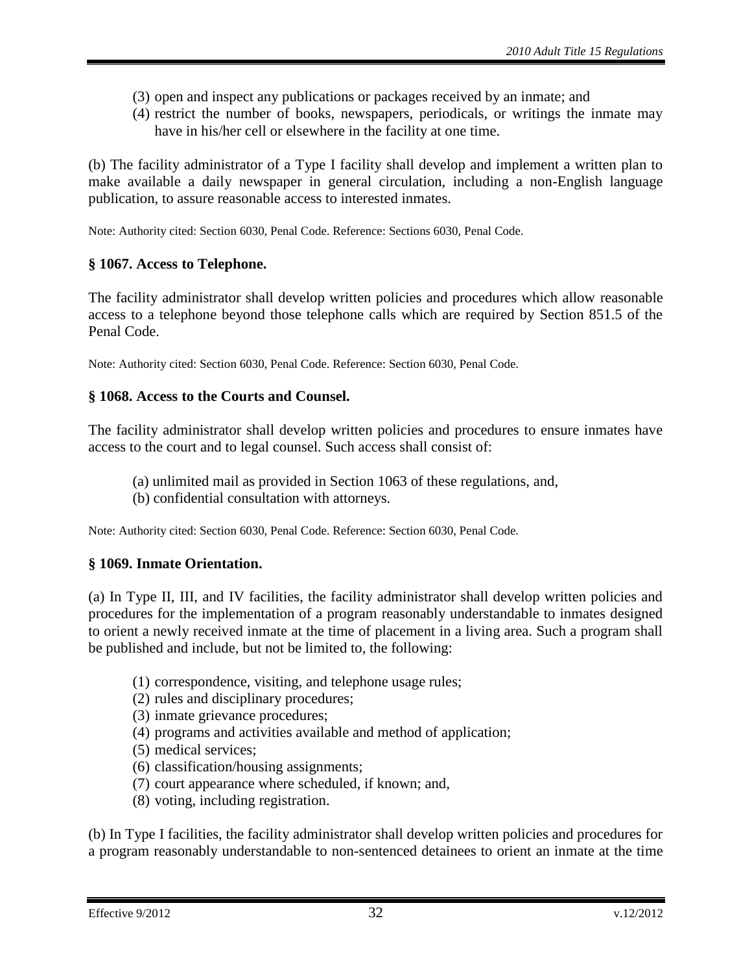- (3) open and inspect any publications or packages received by an inmate; and
- (4) restrict the number of books, newspapers, periodicals, or writings the inmate may have in his/her cell or elsewhere in the facility at one time.

(b) The facility administrator of a Type I facility shall develop and implement a written plan to make available a daily newspaper in general circulation, including a non-English language publication, to assure reasonable access to interested inmates.

Note: Authority cited: Section 6030, Penal Code. Reference: Sections 6030, Penal Code.

## <span id="page-31-0"></span>**§ 1067. Access to Telephone.**

The facility administrator shall develop written policies and procedures which allow reasonable access to a telephone beyond those telephone calls which are required by Section 851.5 of the Penal Code.

Note: Authority cited: Section 6030, Penal Code. Reference: Section 6030, Penal Code.

# <span id="page-31-1"></span>**§ 1068. Access to the Courts and Counsel.**

The facility administrator shall develop written policies and procedures to ensure inmates have access to the court and to legal counsel. Such access shall consist of:

- (a) unlimited mail as provided in Section 1063 of these regulations, and,
- (b) confidential consultation with attorneys.

Note: Authority cited: Section 6030, Penal Code. Reference: Section 6030, Penal Code.

# <span id="page-31-2"></span>**§ 1069. Inmate Orientation.**

(a) In Type II, III, and IV facilities, the facility administrator shall develop written policies and procedures for the implementation of a program reasonably understandable to inmates designed to orient a newly received inmate at the time of placement in a living area. Such a program shall be published and include, but not be limited to, the following:

- (1) correspondence, visiting, and telephone usage rules;
- (2) rules and disciplinary procedures;
- (3) inmate grievance procedures;
- (4) programs and activities available and method of application;
- (5) medical services;
- (6) classification/housing assignments;
- (7) court appearance where scheduled, if known; and,
- (8) voting, including registration.

(b) In Type I facilities, the facility administrator shall develop written policies and procedures for a program reasonably understandable to non-sentenced detainees to orient an inmate at the time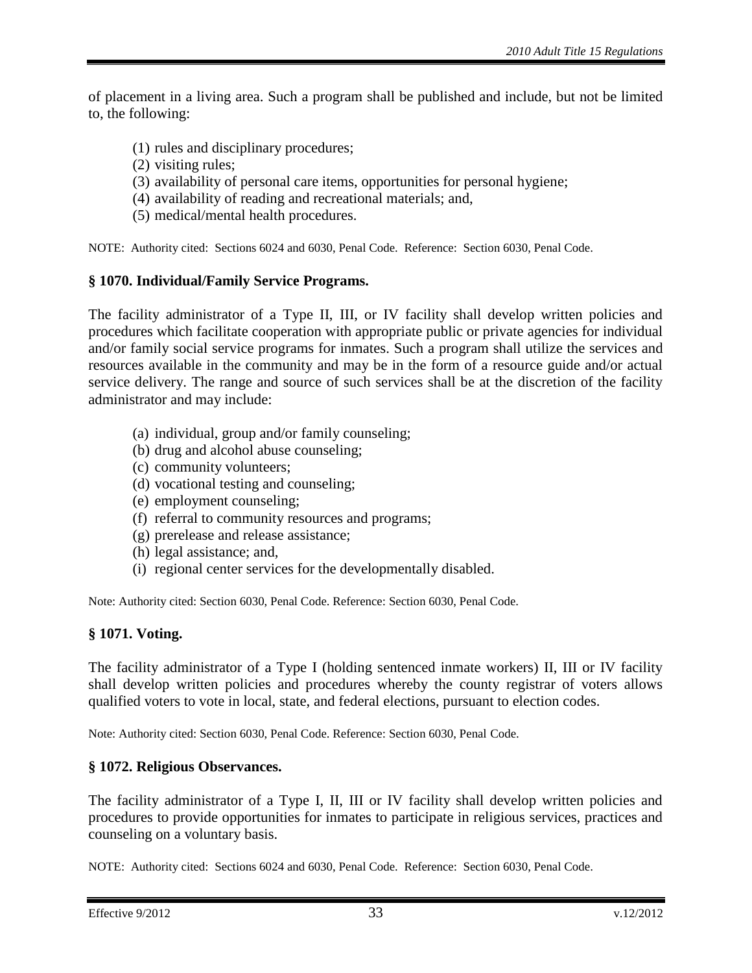of placement in a living area. Such a program shall be published and include, but not be limited to, the following:

- (1) rules and disciplinary procedures;
- (2) visiting rules;
- (3) availability of personal care items, opportunities for personal hygiene;
- (4) availability of reading and recreational materials; and,
- (5) medical/mental health procedures.

NOTE: Authority cited: Sections 6024 and 6030, Penal Code. Reference: Section 6030, Penal Code.

#### <span id="page-32-0"></span>**§ 1070. Individual/Family Service Programs.**

The facility administrator of a Type II, III, or IV facility shall develop written policies and procedures which facilitate cooperation with appropriate public or private agencies for individual and/or family social service programs for inmates. Such a program shall utilize the services and resources available in the community and may be in the form of a resource guide and/or actual service delivery. The range and source of such services shall be at the discretion of the facility administrator and may include:

- (a) individual, group and/or family counseling;
- (b) drug and alcohol abuse counseling;
- (c) community volunteers;
- (d) vocational testing and counseling;
- (e) employment counseling;
- (f) referral to community resources and programs;
- (g) prerelease and release assistance;
- (h) legal assistance; and,
- (i) regional center services for the developmentally disabled.

Note: Authority cited: Section 6030, Penal Code. Reference: Section 6030, Penal Code.

## <span id="page-32-1"></span>**§ 1071. Voting.**

The facility administrator of a Type I (holding sentenced inmate workers) II, III or IV facility shall develop written policies and procedures whereby the county registrar of voters allows qualified voters to vote in local, state, and federal elections, pursuant to election codes.

Note: Authority cited: Section 6030, Penal Code. Reference: Section 6030, Penal Code.

## <span id="page-32-2"></span>**§ 1072. Religious Observances.**

The facility administrator of a Type I, II, III or IV facility shall develop written policies and procedures to provide opportunities for inmates to participate in religious services, practices and counseling on a voluntary basis.

NOTE: Authority cited: Sections 6024 and 6030, Penal Code. Reference: Section 6030, Penal Code.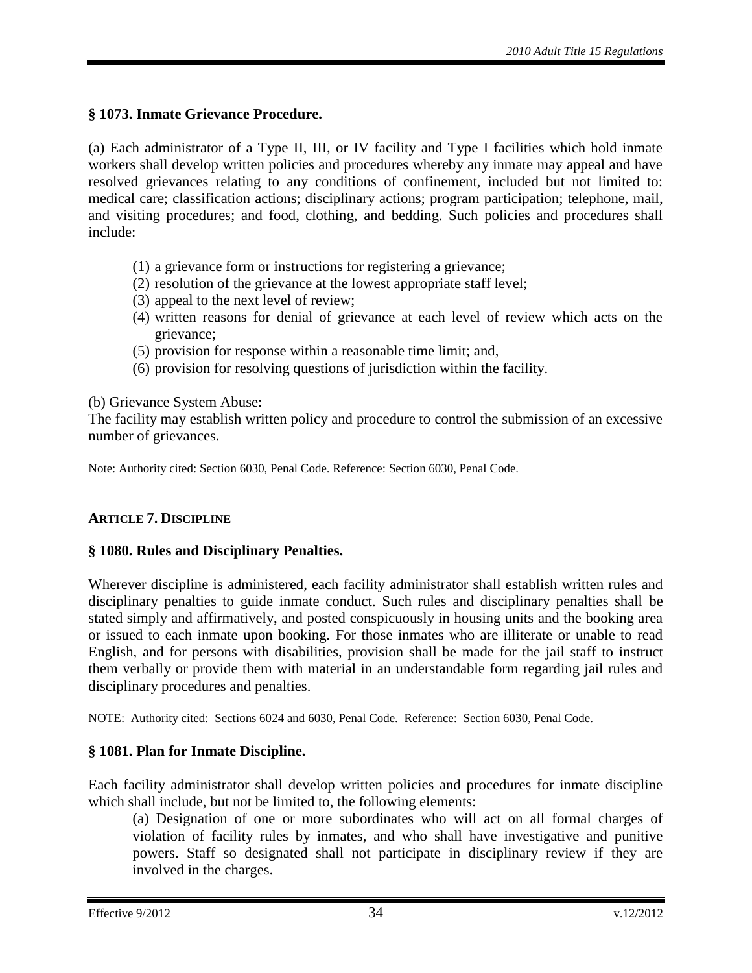# <span id="page-33-0"></span>**§ 1073. Inmate Grievance Procedure.**

(a) Each administrator of a Type II, III, or IV facility and Type I facilities which hold inmate workers shall develop written policies and procedures whereby any inmate may appeal and have resolved grievances relating to any conditions of confinement, included but not limited to: medical care; classification actions; disciplinary actions; program participation; telephone, mail, and visiting procedures; and food, clothing, and bedding. Such policies and procedures shall include:

- (1) a grievance form or instructions for registering a grievance;
- (2) resolution of the grievance at the lowest appropriate staff level;
- (3) appeal to the next level of review;
- (4) written reasons for denial of grievance at each level of review which acts on the grievance;
- (5) provision for response within a reasonable time limit; and,
- (6) provision for resolving questions of jurisdiction within the facility.

#### (b) Grievance System Abuse:

The facility may establish written policy and procedure to control the submission of an excessive number of grievances.

Note: Authority cited: Section 6030, Penal Code. Reference: Section 6030, Penal Code.

## <span id="page-33-1"></span>**ARTICLE 7. DISCIPLINE**

## <span id="page-33-2"></span>**§ 1080. Rules and Disciplinary Penalties.**

Wherever discipline is administered, each facility administrator shall establish written rules and disciplinary penalties to guide inmate conduct. Such rules and disciplinary penalties shall be stated simply and affirmatively, and posted conspicuously in housing units and the booking area or issued to each inmate upon booking. For those inmates who are illiterate or unable to read English, and for persons with disabilities, provision shall be made for the jail staff to instruct them verbally or provide them with material in an understandable form regarding jail rules and disciplinary procedures and penalties.

NOTE: Authority cited: Sections 6024 and 6030, Penal Code. Reference: Section 6030, Penal Code.

## <span id="page-33-3"></span>**§ 1081. Plan for Inmate Discipline.**

Each facility administrator shall develop written policies and procedures for inmate discipline which shall include, but not be limited to, the following elements:

(a) Designation of one or more subordinates who will act on all formal charges of violation of facility rules by inmates, and who shall have investigative and punitive powers. Staff so designated shall not participate in disciplinary review if they are involved in the charges.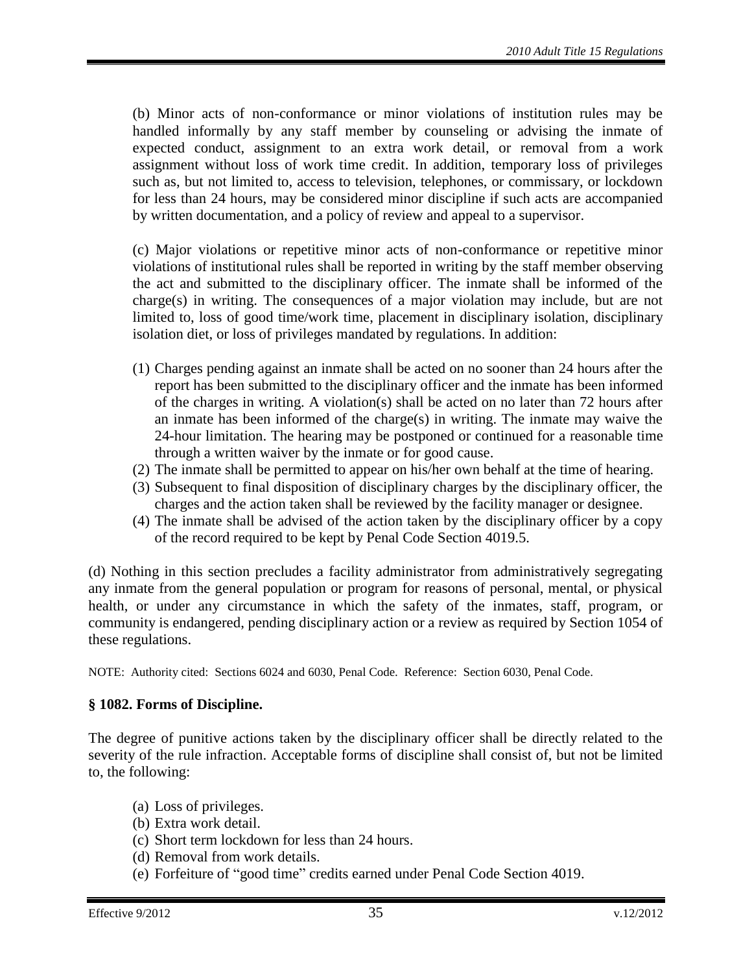(b) Minor acts of non-conformance or minor violations of institution rules may be handled informally by any staff member by counseling or advising the inmate of expected conduct, assignment to an extra work detail, or removal from a work assignment without loss of work time credit. In addition, temporary loss of privileges such as, but not limited to, access to television, telephones, or commissary, or lockdown for less than 24 hours, may be considered minor discipline if such acts are accompanied by written documentation, and a policy of review and appeal to a supervisor.

(c) Major violations or repetitive minor acts of non-conformance or repetitive minor violations of institutional rules shall be reported in writing by the staff member observing the act and submitted to the disciplinary officer. The inmate shall be informed of the charge(s) in writing. The consequences of a major violation may include, but are not limited to, loss of good time/work time, placement in disciplinary isolation, disciplinary isolation diet, or loss of privileges mandated by regulations. In addition:

- (1) Charges pending against an inmate shall be acted on no sooner than 24 hours after the report has been submitted to the disciplinary officer and the inmate has been informed of the charges in writing. A violation(s) shall be acted on no later than 72 hours after an inmate has been informed of the charge(s) in writing. The inmate may waive the 24-hour limitation. The hearing may be postponed or continued for a reasonable time through a written waiver by the inmate or for good cause.
- (2) The inmate shall be permitted to appear on his/her own behalf at the time of hearing.
- (3) Subsequent to final disposition of disciplinary charges by the disciplinary officer, the charges and the action taken shall be reviewed by the facility manager or designee.
- (4) The inmate shall be advised of the action taken by the disciplinary officer by a copy of the record required to be kept by Penal Code Section 4019.5.

(d) Nothing in this section precludes a facility administrator from administratively segregating any inmate from the general population or program for reasons of personal, mental, or physical health, or under any circumstance in which the safety of the inmates, staff, program, or community is endangered, pending disciplinary action or a review as required by Section 1054 of these regulations.

NOTE: Authority cited: Sections 6024 and 6030, Penal Code. Reference: Section 6030, Penal Code.

#### <span id="page-34-0"></span>**§ 1082. Forms of Discipline.**

The degree of punitive actions taken by the disciplinary officer shall be directly related to the severity of the rule infraction. Acceptable forms of discipline shall consist of, but not be limited to, the following:

- (a) Loss of privileges.
- (b) Extra work detail.
- (c) Short term lockdown for less than 24 hours.
- (d) Removal from work details.
- (e) Forfeiture of "good time" credits earned under Penal Code Section 4019.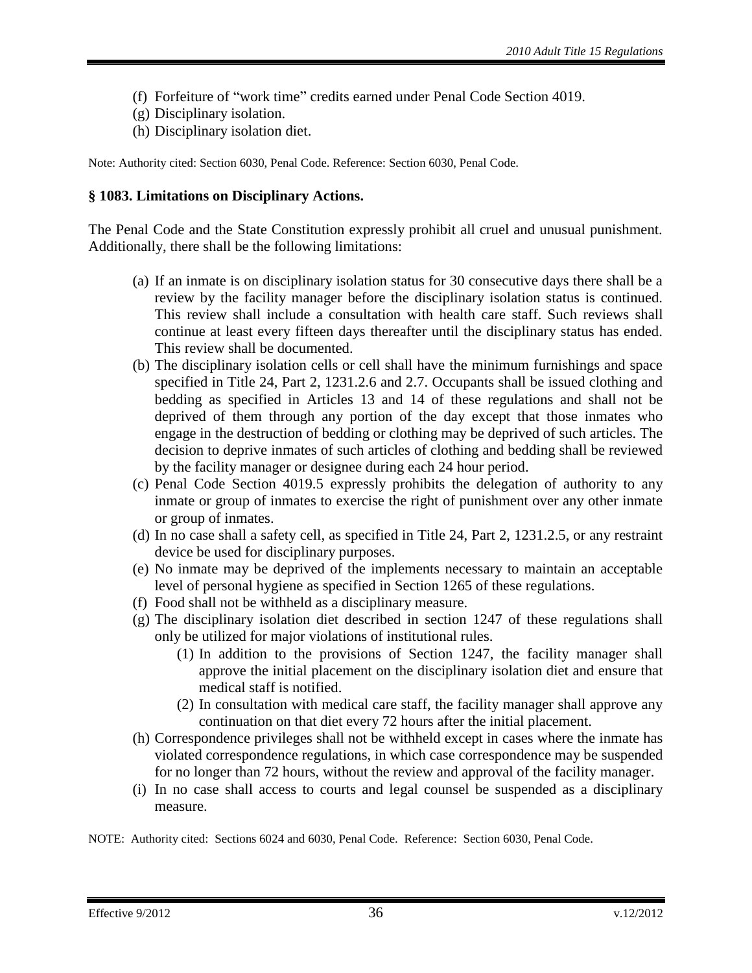- (f) Forfeiture of "work time" credits earned under Penal Code Section 4019.
- (g) Disciplinary isolation.
- (h) Disciplinary isolation diet.

Note: Authority cited: Section 6030, Penal Code. Reference: Section 6030, Penal Code.

#### <span id="page-35-0"></span>**§ 1083. Limitations on Disciplinary Actions.**

The Penal Code and the State Constitution expressly prohibit all cruel and unusual punishment. Additionally, there shall be the following limitations:

- (a) If an inmate is on disciplinary isolation status for 30 consecutive days there shall be a review by the facility manager before the disciplinary isolation status is continued. This review shall include a consultation with health care staff. Such reviews shall continue at least every fifteen days thereafter until the disciplinary status has ended. This review shall be documented.
- (b) The disciplinary isolation cells or cell shall have the minimum furnishings and space specified in Title 24, Part 2, 1231.2.6 and 2.7. Occupants shall be issued clothing and bedding as specified in Articles 13 and 14 of these regulations and shall not be deprived of them through any portion of the day except that those inmates who engage in the destruction of bedding or clothing may be deprived of such articles. The decision to deprive inmates of such articles of clothing and bedding shall be reviewed by the facility manager or designee during each 24 hour period.
- (c) Penal Code Section 4019.5 expressly prohibits the delegation of authority to any inmate or group of inmates to exercise the right of punishment over any other inmate or group of inmates.
- (d) In no case shall a safety cell, as specified in Title 24, Part 2, 1231.2.5, or any restraint device be used for disciplinary purposes.
- (e) No inmate may be deprived of the implements necessary to maintain an acceptable level of personal hygiene as specified in Section 1265 of these regulations.
- (f) Food shall not be withheld as a disciplinary measure.
- (g) The disciplinary isolation diet described in section 1247 of these regulations shall only be utilized for major violations of institutional rules.
	- (1) In addition to the provisions of Section 1247, the facility manager shall approve the initial placement on the disciplinary isolation diet and ensure that medical staff is notified.
	- (2) In consultation with medical care staff, the facility manager shall approve any continuation on that diet every 72 hours after the initial placement.
- (h) Correspondence privileges shall not be withheld except in cases where the inmate has violated correspondence regulations, in which case correspondence may be suspended for no longer than 72 hours, without the review and approval of the facility manager.
- (i) In no case shall access to courts and legal counsel be suspended as a disciplinary measure.

NOTE: Authority cited: Sections 6024 and 6030, Penal Code. Reference: Section 6030, Penal Code.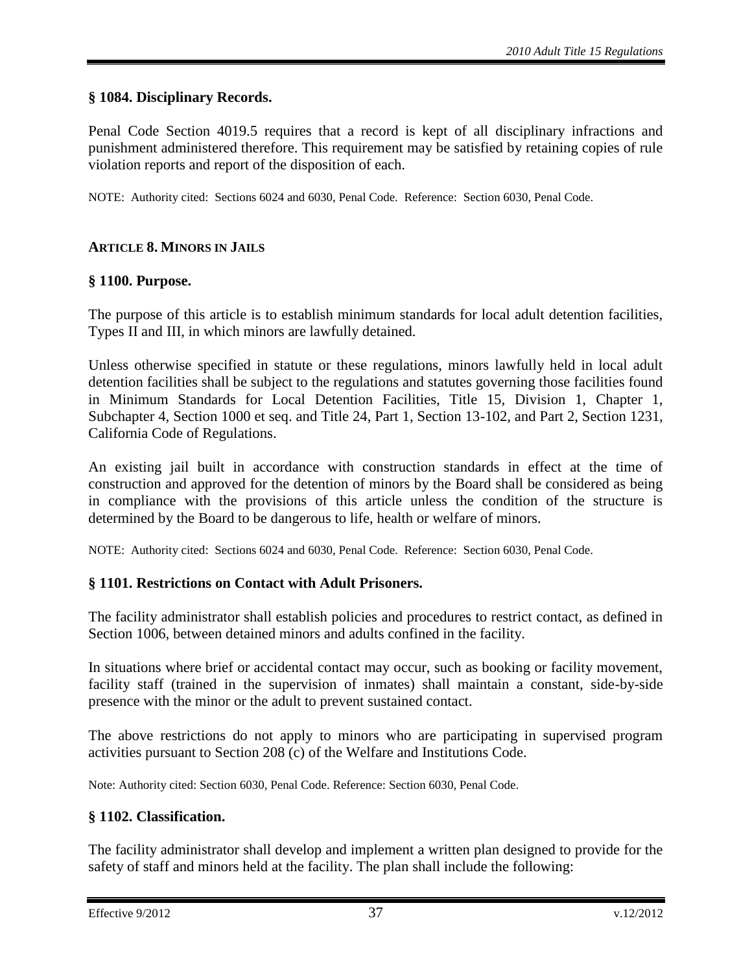## <span id="page-36-0"></span>**§ 1084. Disciplinary Records.**

Penal Code Section 4019.5 requires that a record is kept of all disciplinary infractions and punishment administered therefore. This requirement may be satisfied by retaining copies of rule violation reports and report of the disposition of each.

NOTE: Authority cited: Sections 6024 and 6030, Penal Code. Reference: Section 6030, Penal Code.

#### <span id="page-36-1"></span>**ARTICLE 8. MINORS IN JAILS**

#### <span id="page-36-2"></span>**§ 1100. Purpose.**

The purpose of this article is to establish minimum standards for local adult detention facilities, Types II and III, in which minors are lawfully detained.

Unless otherwise specified in statute or these regulations, minors lawfully held in local adult detention facilities shall be subject to the regulations and statutes governing those facilities found in Minimum Standards for Local Detention Facilities, Title 15, Division 1, Chapter 1, Subchapter 4, Section 1000 et seq. and Title 24, Part 1, Section 13-102, and Part 2, Section 1231, California Code of Regulations.

An existing jail built in accordance with construction standards in effect at the time of construction and approved for the detention of minors by the Board shall be considered as being in compliance with the provisions of this article unless the condition of the structure is determined by the Board to be dangerous to life, health or welfare of minors.

NOTE: Authority cited: Sections 6024 and 6030, Penal Code. Reference: Section 6030, Penal Code.

## <span id="page-36-3"></span>**§ 1101. Restrictions on Contact with Adult Prisoners.**

The facility administrator shall establish policies and procedures to restrict contact, as defined in Section 1006, between detained minors and adults confined in the facility.

In situations where brief or accidental contact may occur, such as booking or facility movement, facility staff (trained in the supervision of inmates) shall maintain a constant, side-by-side presence with the minor or the adult to prevent sustained contact.

The above restrictions do not apply to minors who are participating in supervised program activities pursuant to Section 208 (c) of the Welfare and Institutions Code.

Note: Authority cited: Section 6030, Penal Code. Reference: Section 6030, Penal Code.

#### <span id="page-36-4"></span>**§ 1102. Classification.**

The facility administrator shall develop and implement a written plan designed to provide for the safety of staff and minors held at the facility. The plan shall include the following: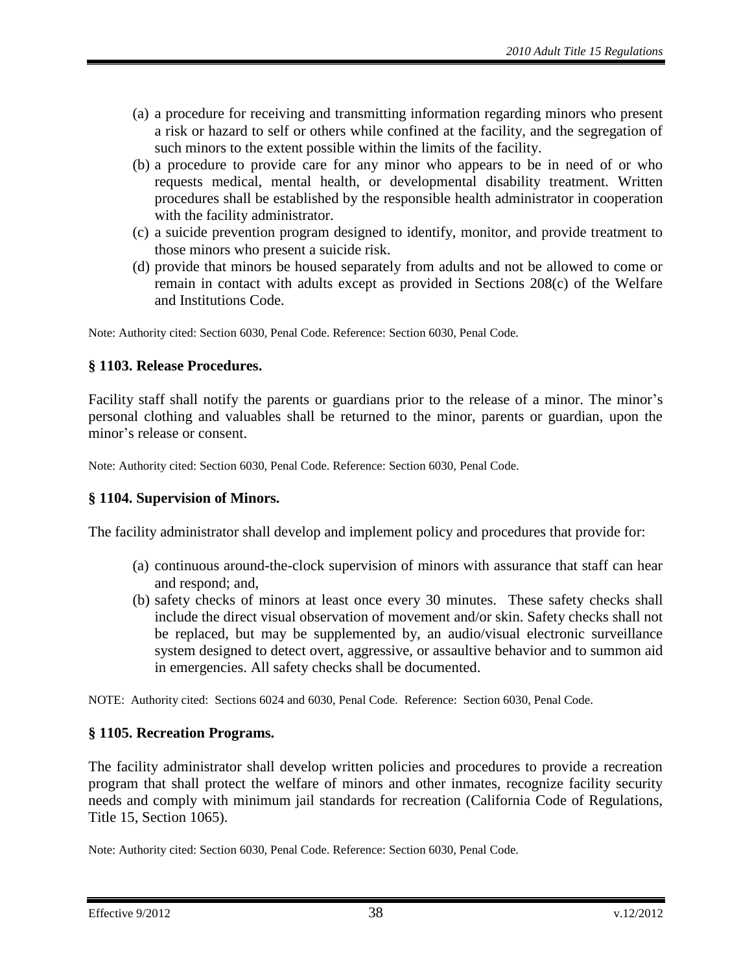- (a) a procedure for receiving and transmitting information regarding minors who present a risk or hazard to self or others while confined at the facility, and the segregation of such minors to the extent possible within the limits of the facility.
- (b) a procedure to provide care for any minor who appears to be in need of or who requests medical, mental health, or developmental disability treatment. Written procedures shall be established by the responsible health administrator in cooperation with the facility administrator.
- (c) a suicide prevention program designed to identify, monitor, and provide treatment to those minors who present a suicide risk.
- (d) provide that minors be housed separately from adults and not be allowed to come or remain in contact with adults except as provided in Sections 208(c) of the Welfare and Institutions Code.

Note: Authority cited: Section 6030, Penal Code. Reference: Section 6030, Penal Code.

## <span id="page-37-0"></span>**§ 1103. Release Procedures.**

Facility staff shall notify the parents or guardians prior to the release of a minor. The minor's personal clothing and valuables shall be returned to the minor, parents or guardian, upon the minor's release or consent.

Note: Authority cited: Section 6030, Penal Code. Reference: Section 6030, Penal Code.

#### <span id="page-37-1"></span>**§ 1104. Supervision of Minors.**

The facility administrator shall develop and implement policy and procedures that provide for:

- (a) continuous around-the-clock supervision of minors with assurance that staff can hear and respond; and,
- (b) safety checks of minors at least once every 30 minutes. These safety checks shall include the direct visual observation of movement and/or skin. Safety checks shall not be replaced, but may be supplemented by, an audio/visual electronic surveillance system designed to detect overt, aggressive, or assaultive behavior and to summon aid in emergencies. All safety checks shall be documented.

NOTE: Authority cited: Sections 6024 and 6030, Penal Code. Reference: Section 6030, Penal Code.

## <span id="page-37-2"></span>**§ 1105. Recreation Programs.**

The facility administrator shall develop written policies and procedures to provide a recreation program that shall protect the welfare of minors and other inmates, recognize facility security needs and comply with minimum jail standards for recreation (California Code of Regulations, Title 15, Section 1065).

Note: Authority cited: Section 6030, Penal Code. Reference: Section 6030, Penal Code.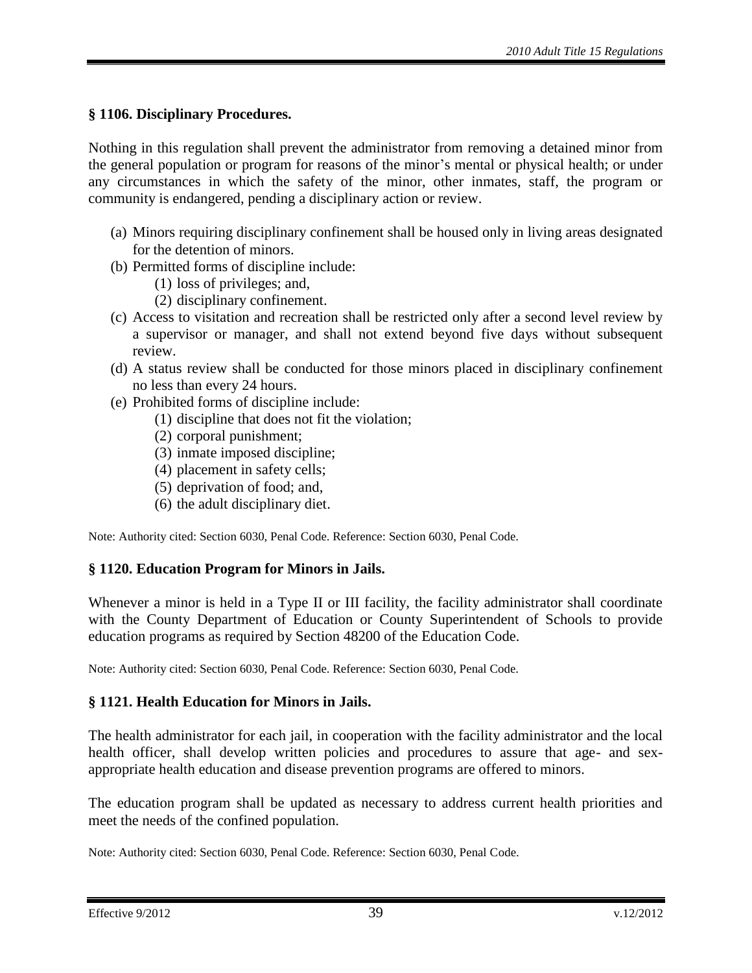# <span id="page-38-0"></span>**§ 1106. Disciplinary Procedures.**

Nothing in this regulation shall prevent the administrator from removing a detained minor from the general population or program for reasons of the minor's mental or physical health; or under any circumstances in which the safety of the minor, other inmates, staff, the program or community is endangered, pending a disciplinary action or review.

- (a) Minors requiring disciplinary confinement shall be housed only in living areas designated for the detention of minors.
- (b) Permitted forms of discipline include:
	- (1) loss of privileges; and,
	- (2) disciplinary confinement.
- (c) Access to visitation and recreation shall be restricted only after a second level review by a supervisor or manager, and shall not extend beyond five days without subsequent review.
- (d) A status review shall be conducted for those minors placed in disciplinary confinement no less than every 24 hours.
- (e) Prohibited forms of discipline include:
	- (1) discipline that does not fit the violation;
	- (2) corporal punishment;
	- (3) inmate imposed discipline;
	- (4) placement in safety cells;
	- (5) deprivation of food; and,
	- (6) the adult disciplinary diet.

Note: Authority cited: Section 6030, Penal Code. Reference: Section 6030, Penal Code.

## <span id="page-38-1"></span>**§ 1120. Education Program for Minors in Jails.**

Whenever a minor is held in a Type II or III facility, the facility administrator shall coordinate with the County Department of Education or County Superintendent of Schools to provide education programs as required by Section 48200 of the Education Code.

Note: Authority cited: Section 6030, Penal Code. Reference: Section 6030, Penal Code.

## <span id="page-38-2"></span>**§ 1121. Health Education for Minors in Jails.**

The health administrator for each jail, in cooperation with the facility administrator and the local health officer, shall develop written policies and procedures to assure that age- and sexappropriate health education and disease prevention programs are offered to minors.

The education program shall be updated as necessary to address current health priorities and meet the needs of the confined population.

Note: Authority cited: Section 6030, Penal Code. Reference: Section 6030, Penal Code.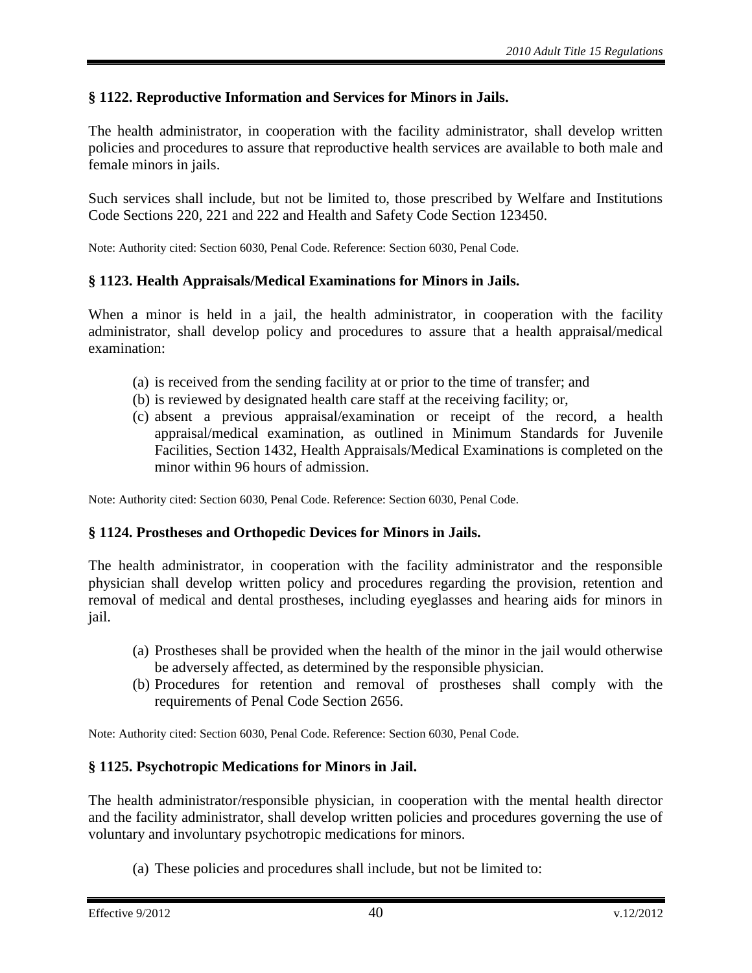# <span id="page-39-0"></span>**§ 1122. Reproductive Information and Services for Minors in Jails.**

The health administrator, in cooperation with the facility administrator, shall develop written policies and procedures to assure that reproductive health services are available to both male and female minors in jails.

Such services shall include, but not be limited to, those prescribed by Welfare and Institutions Code Sections 220, 221 and 222 and Health and Safety Code Section 123450.

Note: Authority cited: Section 6030, Penal Code. Reference: Section 6030, Penal Code.

# <span id="page-39-1"></span>**§ 1123. Health Appraisals/Medical Examinations for Minors in Jails.**

When a minor is held in a jail, the health administrator, in cooperation with the facility administrator, shall develop policy and procedures to assure that a health appraisal/medical examination:

- (a) is received from the sending facility at or prior to the time of transfer; and
- (b) is reviewed by designated health care staff at the receiving facility; or,
- (c) absent a previous appraisal/examination or receipt of the record, a health appraisal/medical examination, as outlined in Minimum Standards for Juvenile Facilities, Section 1432, Health Appraisals/Medical Examinations is completed on the minor within 96 hours of admission.

Note: Authority cited: Section 6030, Penal Code. Reference: Section 6030, Penal Code.

## <span id="page-39-2"></span>**§ 1124. Prostheses and Orthopedic Devices for Minors in Jails.**

The health administrator, in cooperation with the facility administrator and the responsible physician shall develop written policy and procedures regarding the provision, retention and removal of medical and dental prostheses, including eyeglasses and hearing aids for minors in jail.

- (a) Prostheses shall be provided when the health of the minor in the jail would otherwise be adversely affected, as determined by the responsible physician.
- (b) Procedures for retention and removal of prostheses shall comply with the requirements of Penal Code Section 2656.

Note: Authority cited: Section 6030, Penal Code. Reference: Section 6030, Penal Code.

# <span id="page-39-3"></span>**§ 1125. Psychotropic Medications for Minors in Jail.**

The health administrator/responsible physician, in cooperation with the mental health director and the facility administrator, shall develop written policies and procedures governing the use of voluntary and involuntary psychotropic medications for minors.

(a) These policies and procedures shall include, but not be limited to: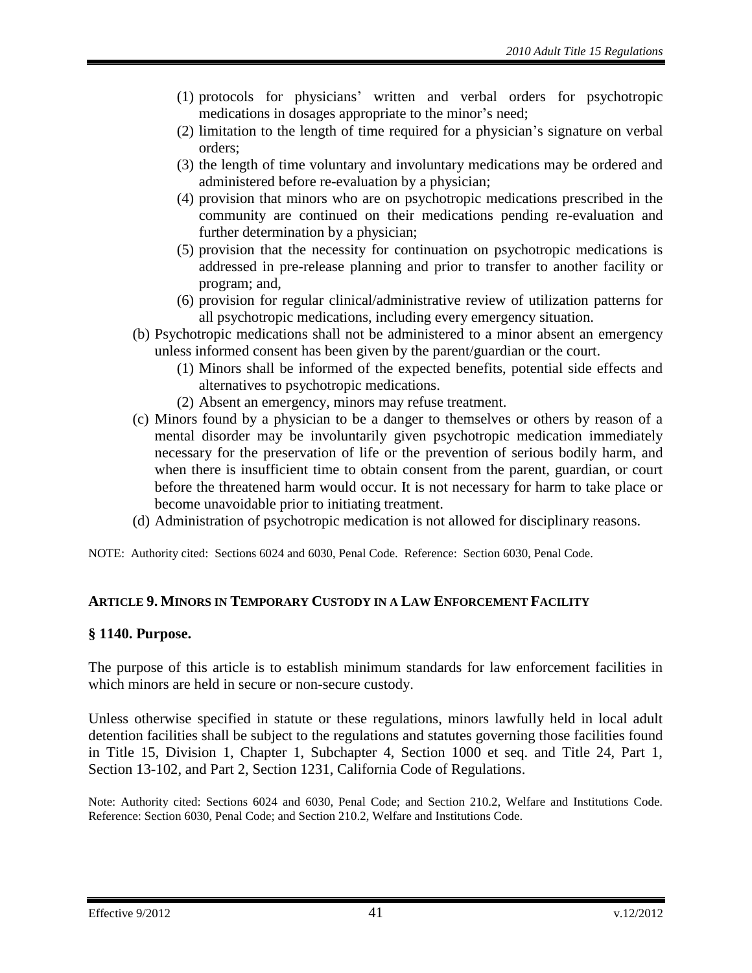- (1) protocols for physicians' written and verbal orders for psychotropic medications in dosages appropriate to the minor's need;
- (2) limitation to the length of time required for a physician's signature on verbal orders;
- (3) the length of time voluntary and involuntary medications may be ordered and administered before re-evaluation by a physician;
- (4) provision that minors who are on psychotropic medications prescribed in the community are continued on their medications pending re-evaluation and further determination by a physician;
- (5) provision that the necessity for continuation on psychotropic medications is addressed in pre-release planning and prior to transfer to another facility or program; and,
- (6) provision for regular clinical/administrative review of utilization patterns for all psychotropic medications, including every emergency situation.
- (b) Psychotropic medications shall not be administered to a minor absent an emergency unless informed consent has been given by the parent/guardian or the court.
	- (1) Minors shall be informed of the expected benefits, potential side effects and alternatives to psychotropic medications.
	- (2) Absent an emergency, minors may refuse treatment.
- (c) Minors found by a physician to be a danger to themselves or others by reason of a mental disorder may be involuntarily given psychotropic medication immediately necessary for the preservation of life or the prevention of serious bodily harm, and when there is insufficient time to obtain consent from the parent, guardian, or court before the threatened harm would occur. It is not necessary for harm to take place or become unavoidable prior to initiating treatment.
- (d) Administration of psychotropic medication is not allowed for disciplinary reasons.

NOTE: Authority cited: Sections 6024 and 6030, Penal Code. Reference: Section 6030, Penal Code.

## <span id="page-40-0"></span>**ARTICLE 9. MINORS IN TEMPORARY CUSTODY IN A LAW ENFORCEMENT FACILITY**

## <span id="page-40-1"></span>**§ 1140. Purpose.**

The purpose of this article is to establish minimum standards for law enforcement facilities in which minors are held in secure or non-secure custody.

Unless otherwise specified in statute or these regulations, minors lawfully held in local adult detention facilities shall be subject to the regulations and statutes governing those facilities found in Title 15, Division 1, Chapter 1, Subchapter 4, Section 1000 et seq. and Title 24, Part 1, Section 13-102, and Part 2, Section 1231, California Code of Regulations.

Note: Authority cited: Sections 6024 and 6030, Penal Code; and Section 210.2, Welfare and Institutions Code. Reference: Section 6030, Penal Code; and Section 210.2, Welfare and Institutions Code.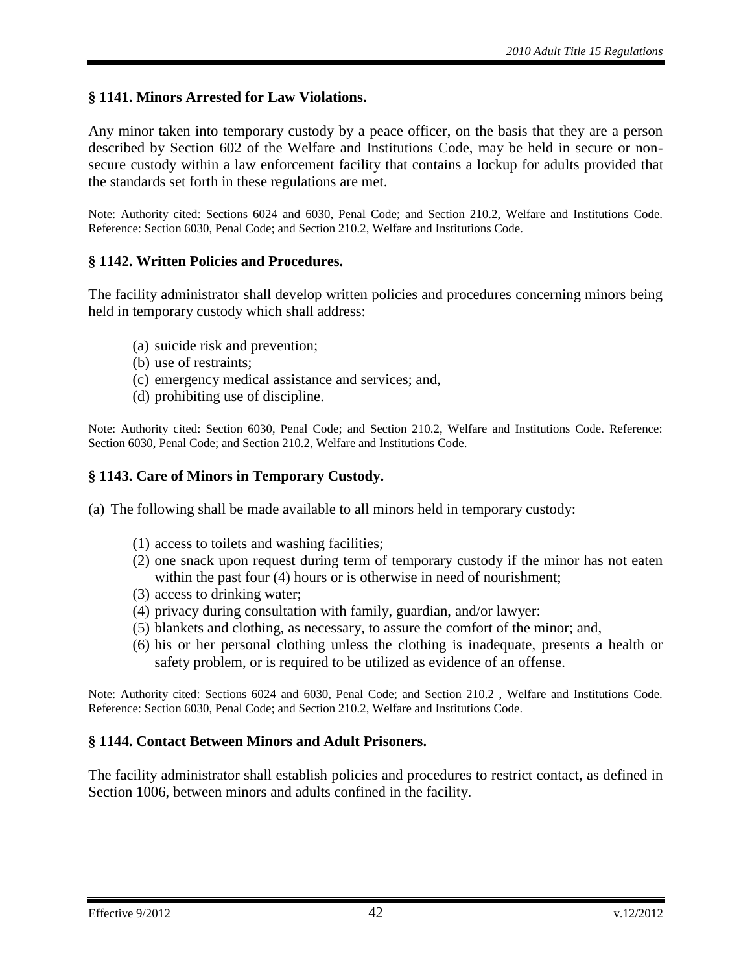# <span id="page-41-0"></span>**§ 1141. Minors Arrested for Law Violations.**

Any minor taken into temporary custody by a peace officer, on the basis that they are a person described by Section 602 of the Welfare and Institutions Code, may be held in secure or nonsecure custody within a law enforcement facility that contains a lockup for adults provided that the standards set forth in these regulations are met.

Note: Authority cited: Sections 6024 and 6030, Penal Code; and Section 210.2, Welfare and Institutions Code. Reference: Section 6030, Penal Code; and Section 210.2, Welfare and Institutions Code.

#### <span id="page-41-1"></span>**§ 1142. Written Policies and Procedures.**

The facility administrator shall develop written policies and procedures concerning minors being held in temporary custody which shall address:

- (a) suicide risk and prevention;
- (b) use of restraints;
- (c) emergency medical assistance and services; and,
- (d) prohibiting use of discipline.

Note: Authority cited: Section 6030, Penal Code; and Section 210.2, Welfare and Institutions Code. Reference: Section 6030, Penal Code; and Section 210.2, Welfare and Institutions Code.

#### <span id="page-41-2"></span>**§ 1143. Care of Minors in Temporary Custody.**

(a) The following shall be made available to all minors held in temporary custody:

- (1) access to toilets and washing facilities;
- (2) one snack upon request during term of temporary custody if the minor has not eaten within the past four (4) hours or is otherwise in need of nourishment;
- (3) access to drinking water;
- (4) privacy during consultation with family, guardian, and/or lawyer:
- (5) blankets and clothing, as necessary, to assure the comfort of the minor; and,
- (6) his or her personal clothing unless the clothing is inadequate, presents a health or safety problem, or is required to be utilized as evidence of an offense.

Note: Authority cited: Sections 6024 and 6030, Penal Code; and Section 210.2 , Welfare and Institutions Code. Reference: Section 6030, Penal Code; and Section 210.2, Welfare and Institutions Code.

#### <span id="page-41-3"></span>**§ 1144. Contact Between Minors and Adult Prisoners.**

The facility administrator shall establish policies and procedures to restrict contact, as defined in Section 1006, between minors and adults confined in the facility.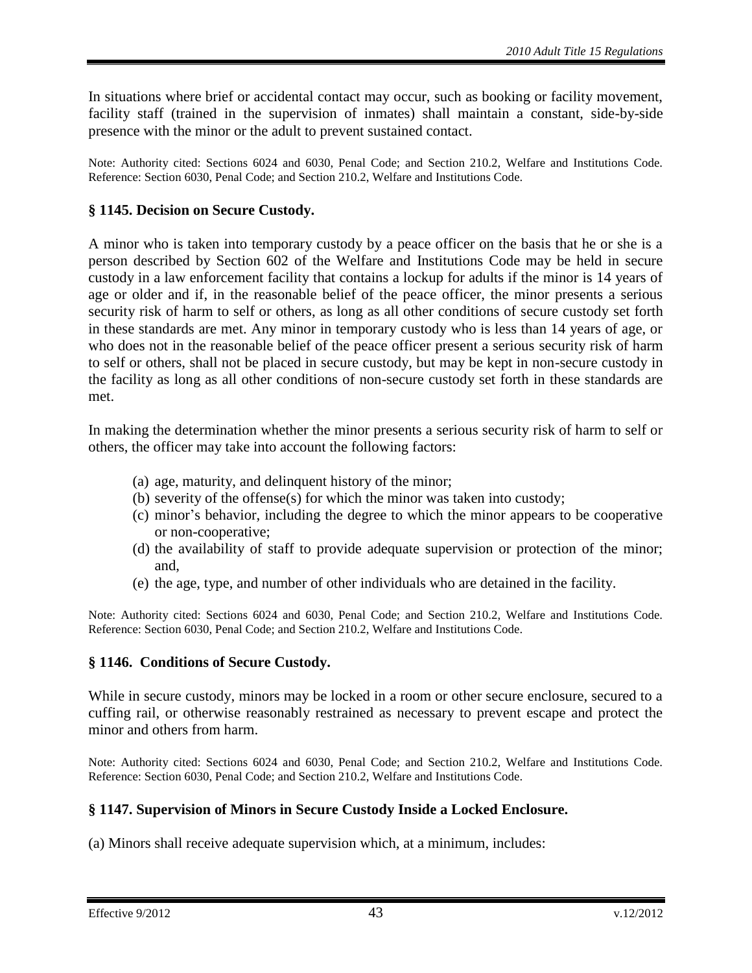In situations where brief or accidental contact may occur, such as booking or facility movement, facility staff (trained in the supervision of inmates) shall maintain a constant, side-by-side presence with the minor or the adult to prevent sustained contact.

Note: Authority cited: Sections 6024 and 6030, Penal Code; and Section 210.2, Welfare and Institutions Code. Reference: Section 6030, Penal Code; and Section 210.2, Welfare and Institutions Code.

## <span id="page-42-0"></span>**§ 1145. Decision on Secure Custody.**

A minor who is taken into temporary custody by a peace officer on the basis that he or she is a person described by Section 602 of the Welfare and Institutions Code may be held in secure custody in a law enforcement facility that contains a lockup for adults if the minor is 14 years of age or older and if, in the reasonable belief of the peace officer, the minor presents a serious security risk of harm to self or others, as long as all other conditions of secure custody set forth in these standards are met. Any minor in temporary custody who is less than 14 years of age, or who does not in the reasonable belief of the peace officer present a serious security risk of harm to self or others, shall not be placed in secure custody, but may be kept in non-secure custody in the facility as long as all other conditions of non-secure custody set forth in these standards are met.

In making the determination whether the minor presents a serious security risk of harm to self or others, the officer may take into account the following factors:

- (a) age, maturity, and delinquent history of the minor;
- (b) severity of the offense(s) for which the minor was taken into custody;
- (c) minor's behavior, including the degree to which the minor appears to be cooperative or non-cooperative;
- (d) the availability of staff to provide adequate supervision or protection of the minor; and,
- (e) the age, type, and number of other individuals who are detained in the facility.

Note: Authority cited: Sections 6024 and 6030, Penal Code; and Section 210.2, Welfare and Institutions Code. Reference: Section 6030, Penal Code; and Section 210.2, Welfare and Institutions Code.

## <span id="page-42-1"></span>**§ 1146. Conditions of Secure Custody.**

While in secure custody, minors may be locked in a room or other secure enclosure, secured to a cuffing rail, or otherwise reasonably restrained as necessary to prevent escape and protect the minor and others from harm.

Note: Authority cited: Sections 6024 and 6030, Penal Code; and Section 210.2, Welfare and Institutions Code. Reference: Section 6030, Penal Code; and Section 210.2, Welfare and Institutions Code.

## <span id="page-42-2"></span>**§ 1147. Supervision of Minors in Secure Custody Inside a Locked Enclosure.**

(a) Minors shall receive adequate supervision which, at a minimum, includes: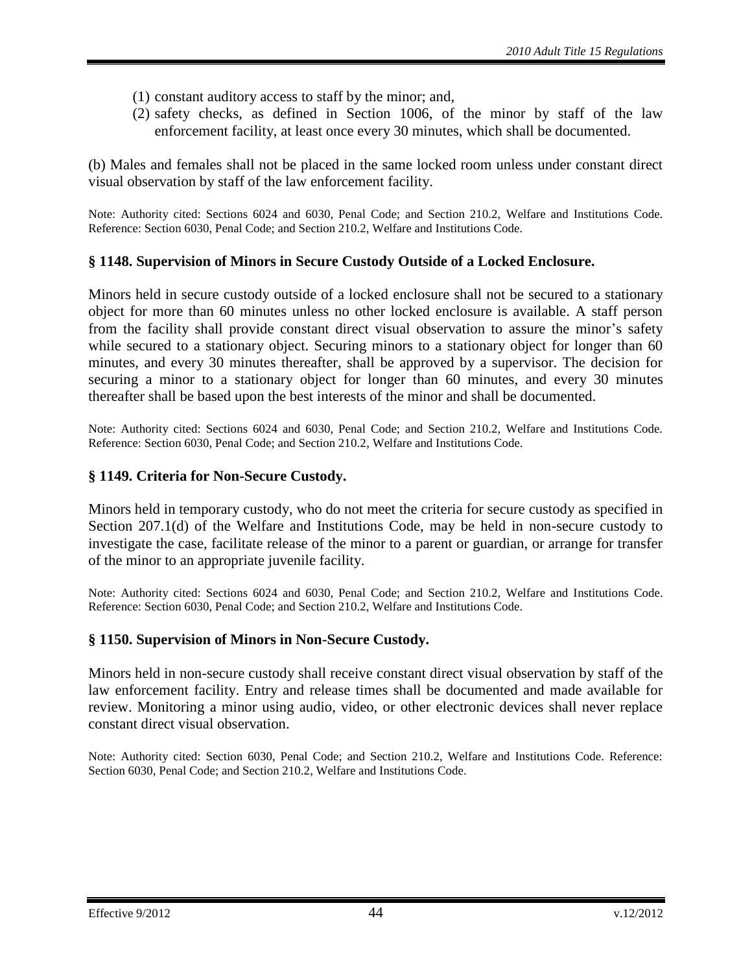- (1) constant auditory access to staff by the minor; and,
- (2) safety checks, as defined in Section 1006, of the minor by staff of the law enforcement facility, at least once every 30 minutes, which shall be documented.

(b) Males and females shall not be placed in the same locked room unless under constant direct visual observation by staff of the law enforcement facility.

Note: Authority cited: Sections 6024 and 6030, Penal Code; and Section 210.2, Welfare and Institutions Code. Reference: Section 6030, Penal Code; and Section 210.2, Welfare and Institutions Code.

#### <span id="page-43-0"></span>**§ 1148. Supervision of Minors in Secure Custody Outside of a Locked Enclosure.**

Minors held in secure custody outside of a locked enclosure shall not be secured to a stationary object for more than 60 minutes unless no other locked enclosure is available. A staff person from the facility shall provide constant direct visual observation to assure the minor's safety while secured to a stationary object. Securing minors to a stationary object for longer than 60 minutes, and every 30 minutes thereafter, shall be approved by a supervisor. The decision for securing a minor to a stationary object for longer than 60 minutes, and every 30 minutes thereafter shall be based upon the best interests of the minor and shall be documented.

Note: Authority cited: Sections 6024 and 6030, Penal Code; and Section 210.2, Welfare and Institutions Code. Reference: Section 6030, Penal Code; and Section 210.2, Welfare and Institutions Code.

#### <span id="page-43-1"></span>**§ 1149. Criteria for Non-Secure Custody.**

Minors held in temporary custody, who do not meet the criteria for secure custody as specified in Section 207.1(d) of the Welfare and Institutions Code, may be held in non-secure custody to investigate the case, facilitate release of the minor to a parent or guardian, or arrange for transfer of the minor to an appropriate juvenile facility.

Note: Authority cited: Sections 6024 and 6030, Penal Code; and Section 210.2, Welfare and Institutions Code. Reference: Section 6030, Penal Code; and Section 210.2, Welfare and Institutions Code.

#### <span id="page-43-2"></span>**§ 1150. Supervision of Minors in Non-Secure Custody.**

Minors held in non-secure custody shall receive constant direct visual observation by staff of the law enforcement facility. Entry and release times shall be documented and made available for review. Monitoring a minor using audio, video, or other electronic devices shall never replace constant direct visual observation.

Note: Authority cited: Section 6030, Penal Code; and Section 210.2, Welfare and Institutions Code. Reference: Section 6030, Penal Code; and Section 210.2, Welfare and Institutions Code.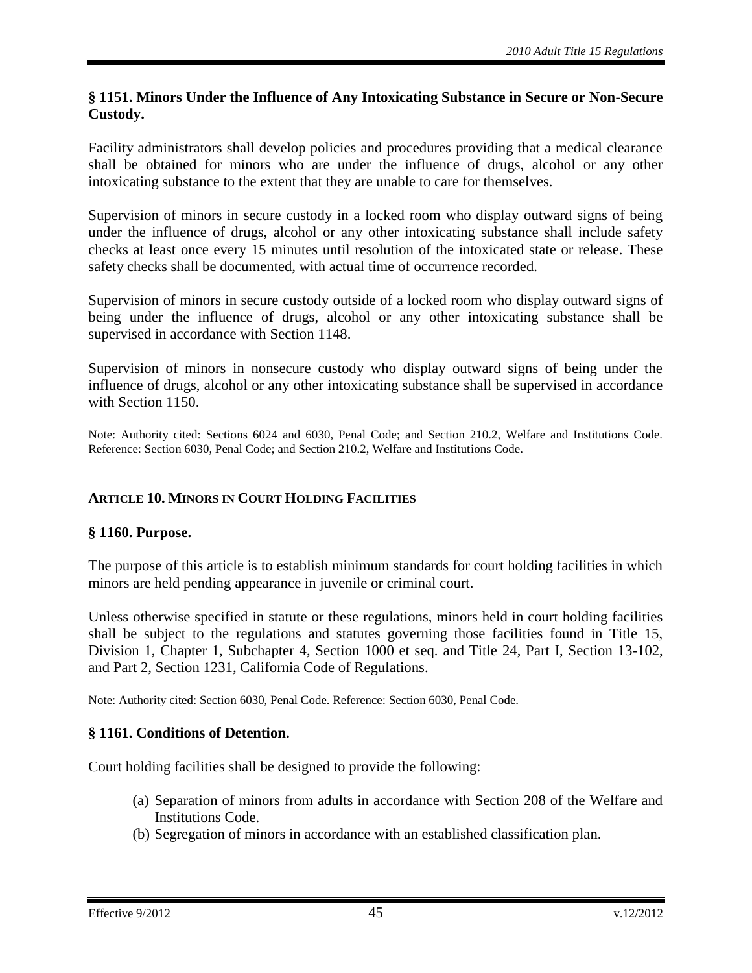#### <span id="page-44-0"></span>**§ 1151. Minors Under the Influence of Any Intoxicating Substance in Secure or Non-Secure Custody.**

Facility administrators shall develop policies and procedures providing that a medical clearance shall be obtained for minors who are under the influence of drugs, alcohol or any other intoxicating substance to the extent that they are unable to care for themselves.

Supervision of minors in secure custody in a locked room who display outward signs of being under the influence of drugs, alcohol or any other intoxicating substance shall include safety checks at least once every 15 minutes until resolution of the intoxicated state or release. These safety checks shall be documented, with actual time of occurrence recorded.

Supervision of minors in secure custody outside of a locked room who display outward signs of being under the influence of drugs, alcohol or any other intoxicating substance shall be supervised in accordance with Section 1148.

Supervision of minors in nonsecure custody who display outward signs of being under the influence of drugs, alcohol or any other intoxicating substance shall be supervised in accordance with Section 1150.

Note: Authority cited: Sections 6024 and 6030, Penal Code; and Section 210.2, Welfare and Institutions Code. Reference: Section 6030, Penal Code; and Section 210.2, Welfare and Institutions Code.

## <span id="page-44-1"></span>**ARTICLE 10. MINORS IN COURT HOLDING FACILITIES**

## <span id="page-44-2"></span>**§ 1160. Purpose.**

The purpose of this article is to establish minimum standards for court holding facilities in which minors are held pending appearance in juvenile or criminal court.

Unless otherwise specified in statute or these regulations, minors held in court holding facilities shall be subject to the regulations and statutes governing those facilities found in Title 15, Division 1, Chapter 1, Subchapter 4, Section 1000 et seq. and Title 24, Part I, Section 13-102, and Part 2, Section 1231, California Code of Regulations.

Note: Authority cited: Section 6030, Penal Code. Reference: Section 6030, Penal Code.

## <span id="page-44-3"></span>**§ 1161. Conditions of Detention.**

Court holding facilities shall be designed to provide the following:

- (a) Separation of minors from adults in accordance with Section 208 of the Welfare and Institutions Code.
- (b) Segregation of minors in accordance with an established classification plan.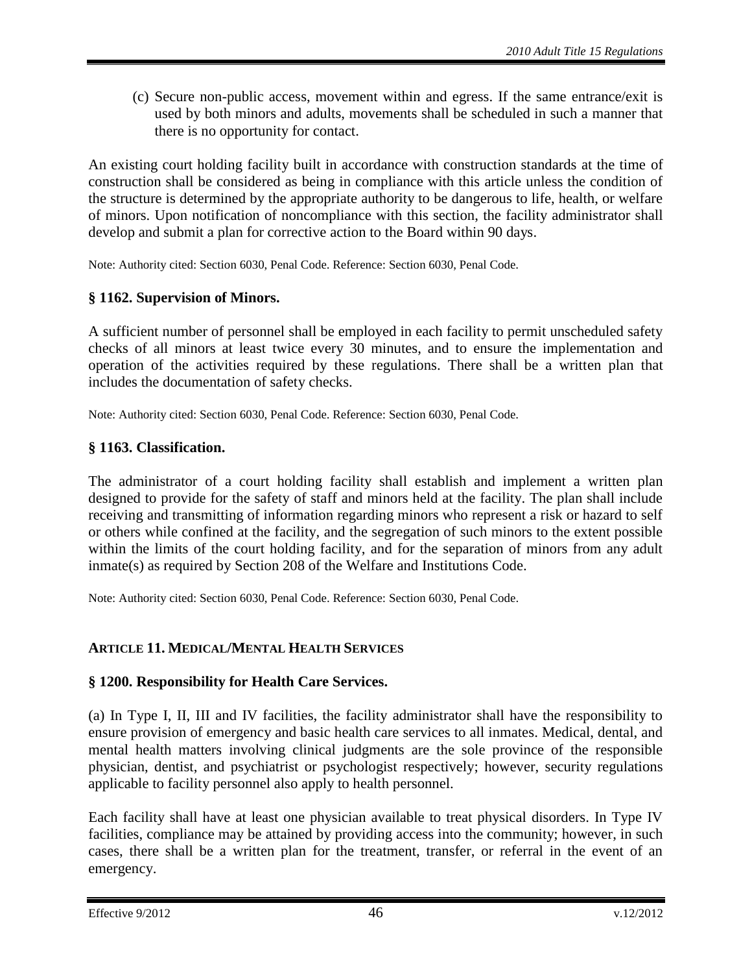(c) Secure non-public access, movement within and egress. If the same entrance/exit is used by both minors and adults, movements shall be scheduled in such a manner that there is no opportunity for contact.

An existing court holding facility built in accordance with construction standards at the time of construction shall be considered as being in compliance with this article unless the condition of the structure is determined by the appropriate authority to be dangerous to life, health, or welfare of minors. Upon notification of noncompliance with this section, the facility administrator shall develop and submit a plan for corrective action to the Board within 90 days.

Note: Authority cited: Section 6030, Penal Code. Reference: Section 6030, Penal Code.

## <span id="page-45-0"></span>**§ 1162. Supervision of Minors.**

A sufficient number of personnel shall be employed in each facility to permit unscheduled safety checks of all minors at least twice every 30 minutes, and to ensure the implementation and operation of the activities required by these regulations. There shall be a written plan that includes the documentation of safety checks.

Note: Authority cited: Section 6030, Penal Code. Reference: Section 6030, Penal Code.

## <span id="page-45-1"></span>**§ 1163. Classification.**

The administrator of a court holding facility shall establish and implement a written plan designed to provide for the safety of staff and minors held at the facility. The plan shall include receiving and transmitting of information regarding minors who represent a risk or hazard to self or others while confined at the facility, and the segregation of such minors to the extent possible within the limits of the court holding facility, and for the separation of minors from any adult inmate(s) as required by Section 208 of the Welfare and Institutions Code.

Note: Authority cited: Section 6030, Penal Code. Reference: Section 6030, Penal Code.

## <span id="page-45-2"></span>**ARTICLE 11. MEDICAL/MENTAL HEALTH SERVICES**

## <span id="page-45-3"></span>**§ 1200. Responsibility for Health Care Services.**

(a) In Type I, II, III and IV facilities, the facility administrator shall have the responsibility to ensure provision of emergency and basic health care services to all inmates. Medical, dental, and mental health matters involving clinical judgments are the sole province of the responsible physician, dentist, and psychiatrist or psychologist respectively; however, security regulations applicable to facility personnel also apply to health personnel.

Each facility shall have at least one physician available to treat physical disorders. In Type IV facilities, compliance may be attained by providing access into the community; however, in such cases, there shall be a written plan for the treatment, transfer, or referral in the event of an emergency.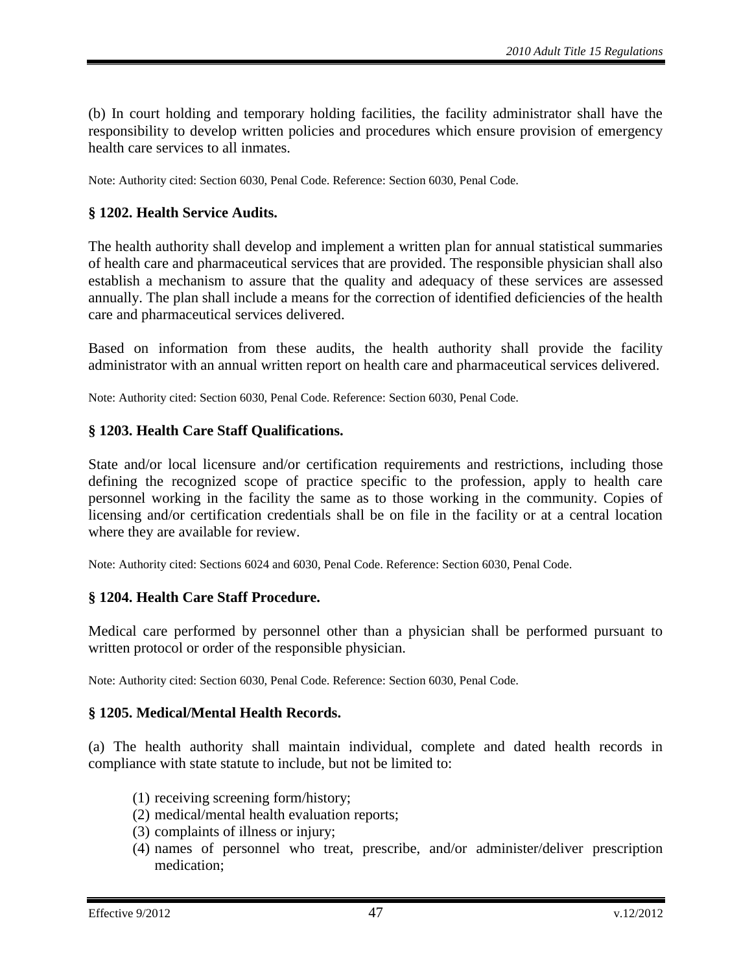(b) In court holding and temporary holding facilities, the facility administrator shall have the responsibility to develop written policies and procedures which ensure provision of emergency health care services to all inmates.

Note: Authority cited: Section 6030, Penal Code. Reference: Section 6030, Penal Code.

#### <span id="page-46-0"></span>**§ 1202. Health Service Audits.**

The health authority shall develop and implement a written plan for annual statistical summaries of health care and pharmaceutical services that are provided. The responsible physician shall also establish a mechanism to assure that the quality and adequacy of these services are assessed annually. The plan shall include a means for the correction of identified deficiencies of the health care and pharmaceutical services delivered.

Based on information from these audits, the health authority shall provide the facility administrator with an annual written report on health care and pharmaceutical services delivered.

Note: Authority cited: Section 6030, Penal Code. Reference: Section 6030, Penal Code.

#### <span id="page-46-1"></span>**§ 1203. Health Care Staff Qualifications.**

State and/or local licensure and/or certification requirements and restrictions, including those defining the recognized scope of practice specific to the profession, apply to health care personnel working in the facility the same as to those working in the community. Copies of licensing and/or certification credentials shall be on file in the facility or at a central location where they are available for review.

Note: Authority cited: Sections 6024 and 6030, Penal Code. Reference: Section 6030, Penal Code.

#### <span id="page-46-2"></span>**§ 1204. Health Care Staff Procedure.**

Medical care performed by personnel other than a physician shall be performed pursuant to written protocol or order of the responsible physician.

Note: Authority cited: Section 6030, Penal Code. Reference: Section 6030, Penal Code.

#### <span id="page-46-3"></span>**§ 1205. Medical/Mental Health Records.**

(a) The health authority shall maintain individual, complete and dated health records in compliance with state statute to include, but not be limited to:

- (1) receiving screening form/history;
- (2) medical/mental health evaluation reports;
- (3) complaints of illness or injury;
- (4) names of personnel who treat, prescribe, and/or administer/deliver prescription medication;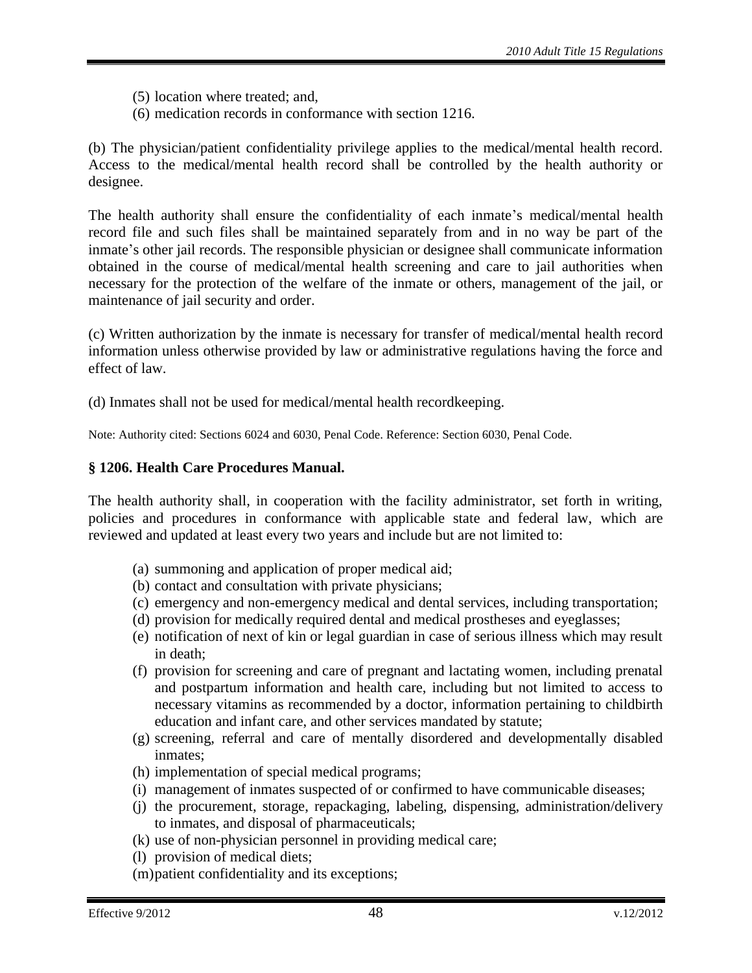- (5) location where treated; and,
- (6) medication records in conformance with section 1216.

(b) The physician/patient confidentiality privilege applies to the medical/mental health record. Access to the medical/mental health record shall be controlled by the health authority or designee.

The health authority shall ensure the confidentiality of each inmate's medical/mental health record file and such files shall be maintained separately from and in no way be part of the inmate's other jail records. The responsible physician or designee shall communicate information obtained in the course of medical/mental health screening and care to jail authorities when necessary for the protection of the welfare of the inmate or others, management of the jail, or maintenance of jail security and order.

(c) Written authorization by the inmate is necessary for transfer of medical/mental health record information unless otherwise provided by law or administrative regulations having the force and effect of law.

(d) Inmates shall not be used for medical/mental health recordkeeping.

Note: Authority cited: Sections 6024 and 6030, Penal Code. Reference: Section 6030, Penal Code.

## <span id="page-47-0"></span>**§ 1206. Health Care Procedures Manual.**

The health authority shall, in cooperation with the facility administrator, set forth in writing, policies and procedures in conformance with applicable state and federal law, which are reviewed and updated at least every two years and include but are not limited to:

- (a) summoning and application of proper medical aid;
- (b) contact and consultation with private physicians;
- (c) emergency and non-emergency medical and dental services, including transportation;
- (d) provision for medically required dental and medical prostheses and eyeglasses;
- (e) notification of next of kin or legal guardian in case of serious illness which may result in death;
- (f) provision for screening and care of pregnant and lactating women, including prenatal and postpartum information and health care, including but not limited to access to necessary vitamins as recommended by a doctor, information pertaining to childbirth education and infant care, and other services mandated by statute;
- (g) screening, referral and care of mentally disordered and developmentally disabled inmates;
- (h) implementation of special medical programs;
- (i) management of inmates suspected of or confirmed to have communicable diseases;
- (j) the procurement, storage, repackaging, labeling, dispensing, administration/delivery to inmates, and disposal of pharmaceuticals;
- (k) use of non-physician personnel in providing medical care;
- (l) provision of medical diets;
- (m)patient confidentiality and its exceptions;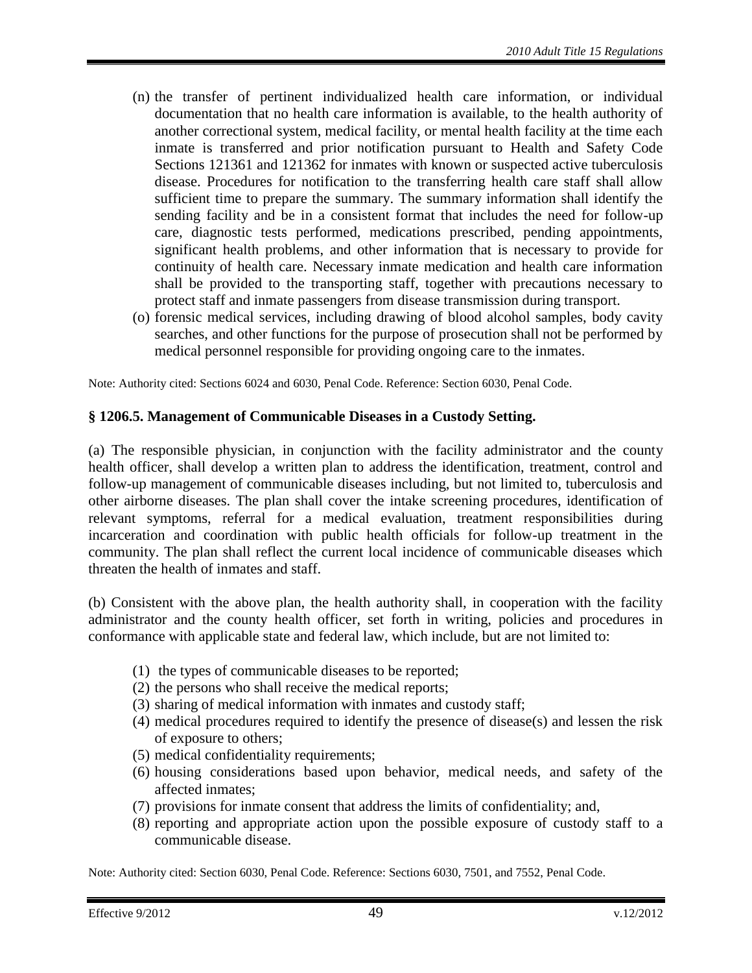- (n) the transfer of pertinent individualized health care information, or individual documentation that no health care information is available, to the health authority of another correctional system, medical facility, or mental health facility at the time each inmate is transferred and prior notification pursuant to Health and Safety Code Sections 121361 and 121362 for inmates with known or suspected active tuberculosis disease. Procedures for notification to the transferring health care staff shall allow sufficient time to prepare the summary. The summary information shall identify the sending facility and be in a consistent format that includes the need for follow-up care, diagnostic tests performed, medications prescribed, pending appointments, significant health problems, and other information that is necessary to provide for continuity of health care. Necessary inmate medication and health care information shall be provided to the transporting staff, together with precautions necessary to protect staff and inmate passengers from disease transmission during transport.
- (o) forensic medical services, including drawing of blood alcohol samples, body cavity searches, and other functions for the purpose of prosecution shall not be performed by medical personnel responsible for providing ongoing care to the inmates.

Note: Authority cited: Sections 6024 and 6030, Penal Code. Reference: Section 6030, Penal Code.

#### <span id="page-48-0"></span>**§ 1206.5. Management of Communicable Diseases in a Custody Setting.**

(a) The responsible physician, in conjunction with the facility administrator and the county health officer, shall develop a written plan to address the identification, treatment, control and follow-up management of communicable diseases including, but not limited to, tuberculosis and other airborne diseases. The plan shall cover the intake screening procedures, identification of relevant symptoms, referral for a medical evaluation, treatment responsibilities during incarceration and coordination with public health officials for follow-up treatment in the community. The plan shall reflect the current local incidence of communicable diseases which threaten the health of inmates and staff.

(b) Consistent with the above plan, the health authority shall, in cooperation with the facility administrator and the county health officer, set forth in writing, policies and procedures in conformance with applicable state and federal law, which include, but are not limited to:

- (1) the types of communicable diseases to be reported;
- (2) the persons who shall receive the medical reports;
- (3) sharing of medical information with inmates and custody staff;
- (4) medical procedures required to identify the presence of disease(s) and lessen the risk of exposure to others;
- (5) medical confidentiality requirements;
- (6) housing considerations based upon behavior, medical needs, and safety of the affected inmates;
- (7) provisions for inmate consent that address the limits of confidentiality; and,
- (8) reporting and appropriate action upon the possible exposure of custody staff to a communicable disease.

Note: Authority cited: Section 6030, Penal Code. Reference: Sections 6030, 7501, and 7552, Penal Code.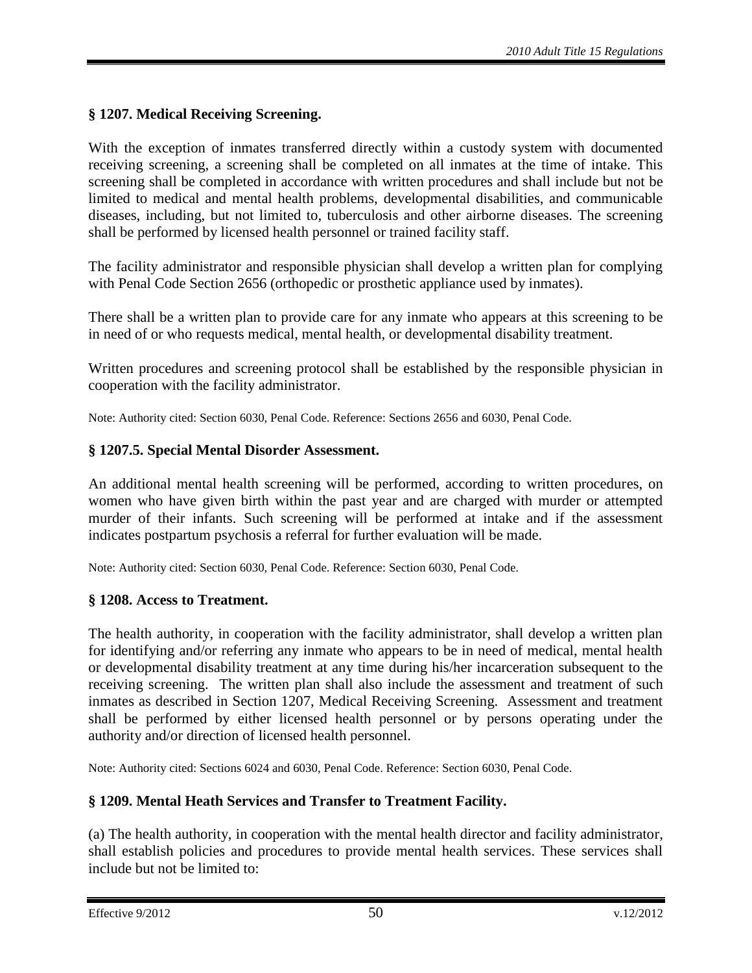# <span id="page-49-0"></span>**§ 1207. Medical Receiving Screening.**

With the exception of inmates transferred directly within a custody system with documented receiving screening, a screening shall be completed on all inmates at the time of intake. This screening shall be completed in accordance with written procedures and shall include but not be limited to medical and mental health problems, developmental disabilities, and communicable diseases, including, but not limited to, tuberculosis and other airborne diseases. The screening shall be performed by licensed health personnel or trained facility staff.

The facility administrator and responsible physician shall develop a written plan for complying with Penal Code Section 2656 (orthopedic or prosthetic appliance used by inmates).

There shall be a written plan to provide care for any inmate who appears at this screening to be in need of or who requests medical, mental health, or developmental disability treatment.

Written procedures and screening protocol shall be established by the responsible physician in cooperation with the facility administrator.

Note: Authority cited: Section 6030, Penal Code. Reference: Sections 2656 and 6030, Penal Code.

#### <span id="page-49-1"></span>**§ 1207.5. Special Mental Disorder Assessment.**

An additional mental health screening will be performed, according to written procedures, on women who have given birth within the past year and are charged with murder or attempted murder of their infants. Such screening will be performed at intake and if the assessment indicates postpartum psychosis a referral for further evaluation will be made.

Note: Authority cited: Section 6030, Penal Code. Reference: Section 6030, Penal Code.

## <span id="page-49-2"></span>**§ 1208. Access to Treatment.**

The health authority, in cooperation with the facility administrator, shall develop a written plan for identifying and/or referring any inmate who appears to be in need of medical, mental health or developmental disability treatment at any time during his/her incarceration subsequent to the receiving screening. The written plan shall also include the assessment and treatment of such inmates as described in Section 1207, Medical Receiving Screening. Assessment and treatment shall be performed by either licensed health personnel or by persons operating under the authority and/or direction of licensed health personnel.

Note: Authority cited: Sections 6024 and 6030, Penal Code. Reference: Section 6030, Penal Code.

## <span id="page-49-3"></span>**§ 1209. Mental Heath Services and Transfer to Treatment Facility.**

(a) The health authority, in cooperation with the mental health director and facility administrator, shall establish policies and procedures to provide mental health services. These services shall include but not be limited to: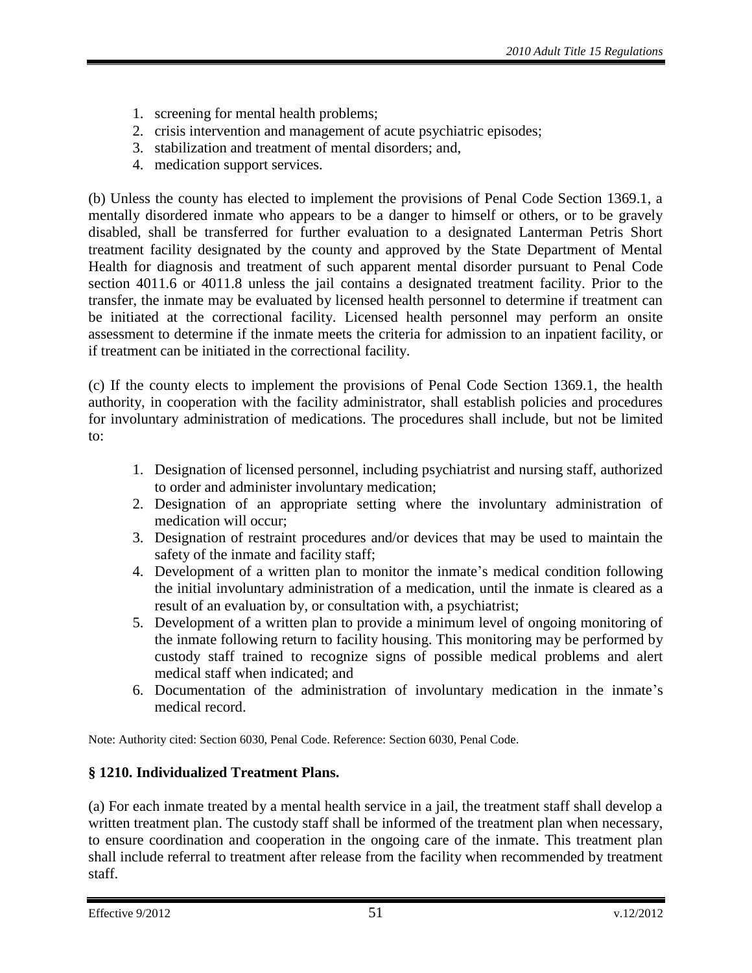- 1. screening for mental health problems;
- 2. crisis intervention and management of acute psychiatric episodes;
- 3. stabilization and treatment of mental disorders; and,
- 4. medication support services.

(b) Unless the county has elected to implement the provisions of Penal Code Section 1369.1, a mentally disordered inmate who appears to be a danger to himself or others, or to be gravely disabled, shall be transferred for further evaluation to a designated Lanterman Petris Short treatment facility designated by the county and approved by the State Department of Mental Health for diagnosis and treatment of such apparent mental disorder pursuant to Penal Code section 4011.6 or 4011.8 unless the jail contains a designated treatment facility. Prior to the transfer, the inmate may be evaluated by licensed health personnel to determine if treatment can be initiated at the correctional facility. Licensed health personnel may perform an onsite assessment to determine if the inmate meets the criteria for admission to an inpatient facility, or if treatment can be initiated in the correctional facility.

(c) If the county elects to implement the provisions of Penal Code Section 1369.1, the health authority, in cooperation with the facility administrator, shall establish policies and procedures for involuntary administration of medications. The procedures shall include, but not be limited to:

- 1. Designation of licensed personnel, including psychiatrist and nursing staff, authorized to order and administer involuntary medication;
- 2. Designation of an appropriate setting where the involuntary administration of medication will occur;
- 3. Designation of restraint procedures and/or devices that may be used to maintain the safety of the inmate and facility staff;
- 4. Development of a written plan to monitor the inmate's medical condition following the initial involuntary administration of a medication, until the inmate is cleared as a result of an evaluation by, or consultation with, a psychiatrist;
- 5. Development of a written plan to provide a minimum level of ongoing monitoring of the inmate following return to facility housing. This monitoring may be performed by custody staff trained to recognize signs of possible medical problems and alert medical staff when indicated; and
- 6. Documentation of the administration of involuntary medication in the inmate's medical record.

Note: Authority cited: Section 6030, Penal Code. Reference: Section 6030, Penal Code.

# <span id="page-50-0"></span>**§ 1210. Individualized Treatment Plans.**

(a) For each inmate treated by a mental health service in a jail, the treatment staff shall develop a written treatment plan. The custody staff shall be informed of the treatment plan when necessary, to ensure coordination and cooperation in the ongoing care of the inmate. This treatment plan shall include referral to treatment after release from the facility when recommended by treatment staff.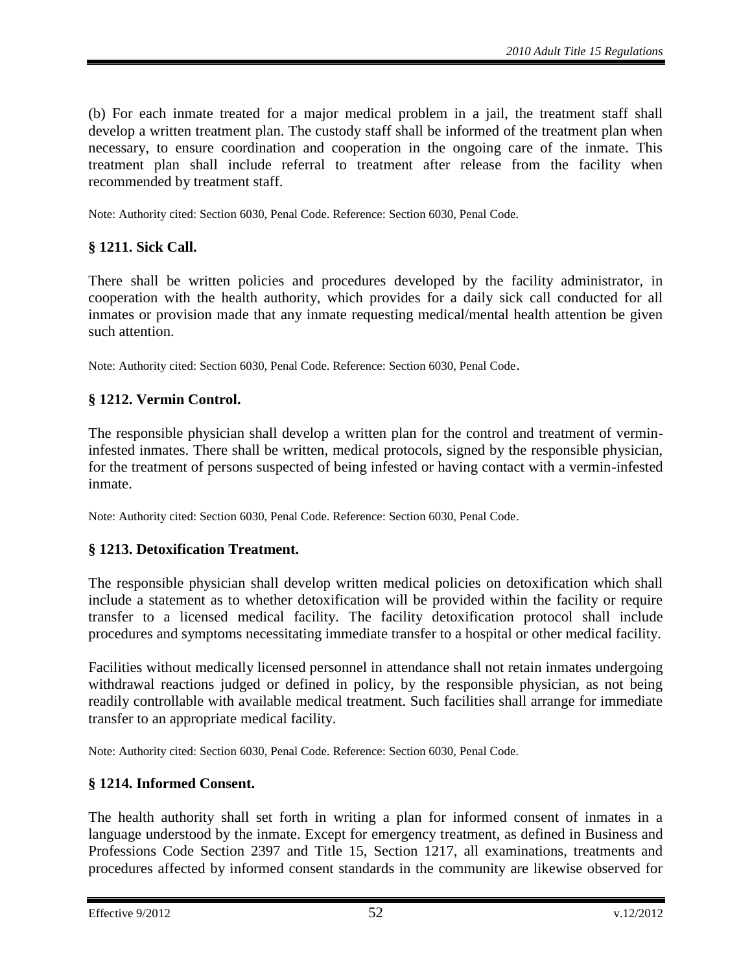(b) For each inmate treated for a major medical problem in a jail, the treatment staff shall develop a written treatment plan. The custody staff shall be informed of the treatment plan when necessary, to ensure coordination and cooperation in the ongoing care of the inmate. This treatment plan shall include referral to treatment after release from the facility when recommended by treatment staff.

Note: Authority cited: Section 6030, Penal Code. Reference: Section 6030, Penal Code.

## <span id="page-51-0"></span>**§ 1211. Sick Call.**

There shall be written policies and procedures developed by the facility administrator, in cooperation with the health authority, which provides for a daily sick call conducted for all inmates or provision made that any inmate requesting medical/mental health attention be given such attention.

Note: Authority cited: Section 6030, Penal Code. Reference: Section 6030, Penal Code.

## <span id="page-51-1"></span>**§ 1212. Vermin Control.**

The responsible physician shall develop a written plan for the control and treatment of vermininfested inmates. There shall be written, medical protocols, signed by the responsible physician, for the treatment of persons suspected of being infested or having contact with a vermin-infested inmate.

Note: Authority cited: Section 6030, Penal Code. Reference: Section 6030, Penal Code.

## <span id="page-51-2"></span>**§ 1213. Detoxification Treatment.**

The responsible physician shall develop written medical policies on detoxification which shall include a statement as to whether detoxification will be provided within the facility or require transfer to a licensed medical facility. The facility detoxification protocol shall include procedures and symptoms necessitating immediate transfer to a hospital or other medical facility.

Facilities without medically licensed personnel in attendance shall not retain inmates undergoing withdrawal reactions judged or defined in policy, by the responsible physician, as not being readily controllable with available medical treatment. Such facilities shall arrange for immediate transfer to an appropriate medical facility.

Note: Authority cited: Section 6030, Penal Code. Reference: Section 6030, Penal Code.

## <span id="page-51-3"></span>**§ 1214. Informed Consent.**

The health authority shall set forth in writing a plan for informed consent of inmates in a language understood by the inmate. Except for emergency treatment, as defined in Business and Professions Code Section 2397 and Title 15, Section 1217, all examinations, treatments and procedures affected by informed consent standards in the community are likewise observed for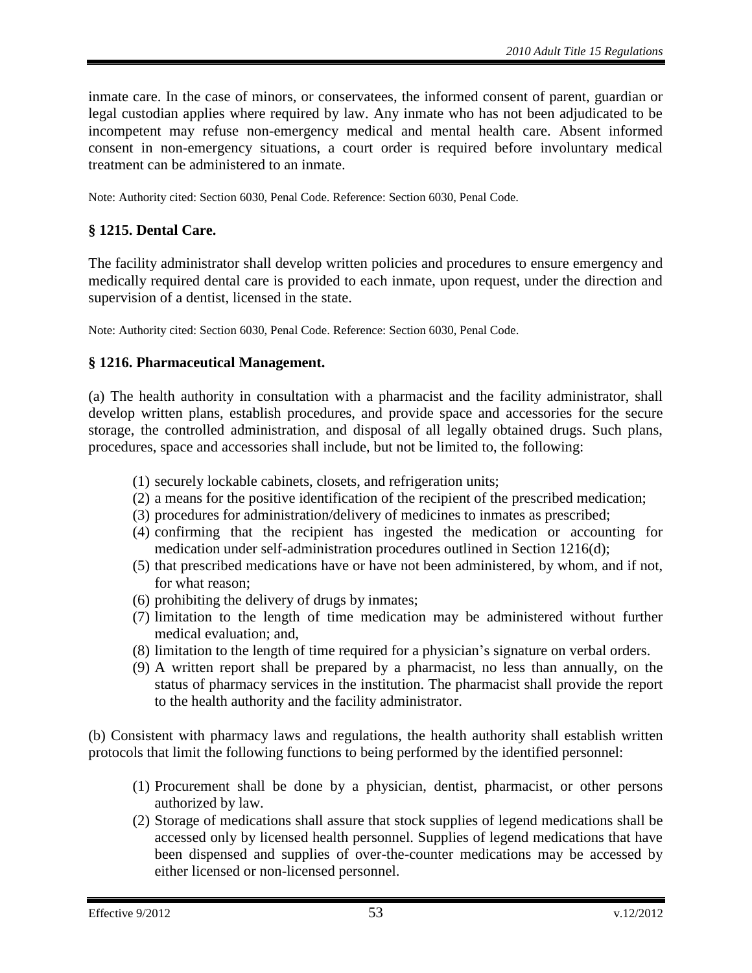inmate care. In the case of minors, or conservatees, the informed consent of parent, guardian or legal custodian applies where required by law. Any inmate who has not been adjudicated to be incompetent may refuse non-emergency medical and mental health care. Absent informed consent in non-emergency situations, a court order is required before involuntary medical treatment can be administered to an inmate.

Note: Authority cited: Section 6030, Penal Code. Reference: Section 6030, Penal Code.

# <span id="page-52-0"></span>**§ 1215. Dental Care.**

The facility administrator shall develop written policies and procedures to ensure emergency and medically required dental care is provided to each inmate, upon request, under the direction and supervision of a dentist, licensed in the state.

Note: Authority cited: Section 6030, Penal Code. Reference: Section 6030, Penal Code.

#### <span id="page-52-1"></span>**§ 1216. Pharmaceutical Management.**

(a) The health authority in consultation with a pharmacist and the facility administrator, shall develop written plans, establish procedures, and provide space and accessories for the secure storage, the controlled administration, and disposal of all legally obtained drugs. Such plans, procedures, space and accessories shall include, but not be limited to, the following:

- (1) securely lockable cabinets, closets, and refrigeration units;
- (2) a means for the positive identification of the recipient of the prescribed medication;
- (3) procedures for administration/delivery of medicines to inmates as prescribed;
- (4) confirming that the recipient has ingested the medication or accounting for medication under self-administration procedures outlined in Section 1216(d);
- (5) that prescribed medications have or have not been administered, by whom, and if not, for what reason;
- (6) prohibiting the delivery of drugs by inmates;
- (7) limitation to the length of time medication may be administered without further medical evaluation; and,
- (8) limitation to the length of time required for a physician's signature on verbal orders.
- (9) A written report shall be prepared by a pharmacist, no less than annually, on the status of pharmacy services in the institution. The pharmacist shall provide the report to the health authority and the facility administrator.

(b) Consistent with pharmacy laws and regulations, the health authority shall establish written protocols that limit the following functions to being performed by the identified personnel:

- (1) Procurement shall be done by a physician, dentist, pharmacist, or other persons authorized by law.
- (2) Storage of medications shall assure that stock supplies of legend medications shall be accessed only by licensed health personnel. Supplies of legend medications that have been dispensed and supplies of over-the-counter medications may be accessed by either licensed or non-licensed personnel.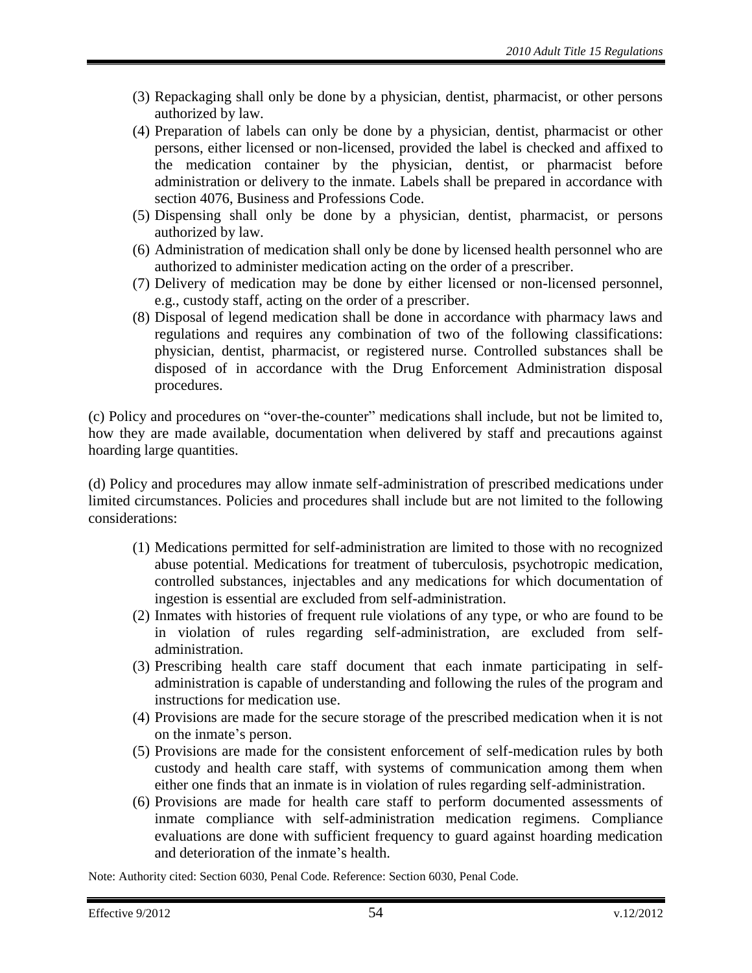- (3) Repackaging shall only be done by a physician, dentist, pharmacist, or other persons authorized by law.
- (4) Preparation of labels can only be done by a physician, dentist, pharmacist or other persons, either licensed or non-licensed, provided the label is checked and affixed to the medication container by the physician, dentist, or pharmacist before administration or delivery to the inmate. Labels shall be prepared in accordance with section 4076, Business and Professions Code.
- (5) Dispensing shall only be done by a physician, dentist, pharmacist, or persons authorized by law.
- (6) Administration of medication shall only be done by licensed health personnel who are authorized to administer medication acting on the order of a prescriber.
- (7) Delivery of medication may be done by either licensed or non-licensed personnel, e.g., custody staff, acting on the order of a prescriber.
- (8) Disposal of legend medication shall be done in accordance with pharmacy laws and regulations and requires any combination of two of the following classifications: physician, dentist, pharmacist, or registered nurse. Controlled substances shall be disposed of in accordance with the Drug Enforcement Administration disposal procedures.

(c) Policy and procedures on "over-the-counter" medications shall include, but not be limited to, how they are made available, documentation when delivered by staff and precautions against hoarding large quantities.

(d) Policy and procedures may allow inmate self-administration of prescribed medications under limited circumstances. Policies and procedures shall include but are not limited to the following considerations:

- (1) Medications permitted for self-administration are limited to those with no recognized abuse potential. Medications for treatment of tuberculosis, psychotropic medication, controlled substances, injectables and any medications for which documentation of ingestion is essential are excluded from self-administration.
- (2) Inmates with histories of frequent rule violations of any type, or who are found to be in violation of rules regarding self-administration, are excluded from selfadministration.
- (3) Prescribing health care staff document that each inmate participating in selfadministration is capable of understanding and following the rules of the program and instructions for medication use.
- (4) Provisions are made for the secure storage of the prescribed medication when it is not on the inmate's person.
- (5) Provisions are made for the consistent enforcement of self-medication rules by both custody and health care staff, with systems of communication among them when either one finds that an inmate is in violation of rules regarding self-administration.
- (6) Provisions are made for health care staff to perform documented assessments of inmate compliance with self-administration medication regimens. Compliance evaluations are done with sufficient frequency to guard against hoarding medication and deterioration of the inmate's health.

Note: Authority cited: Section 6030, Penal Code. Reference: Section 6030, Penal Code.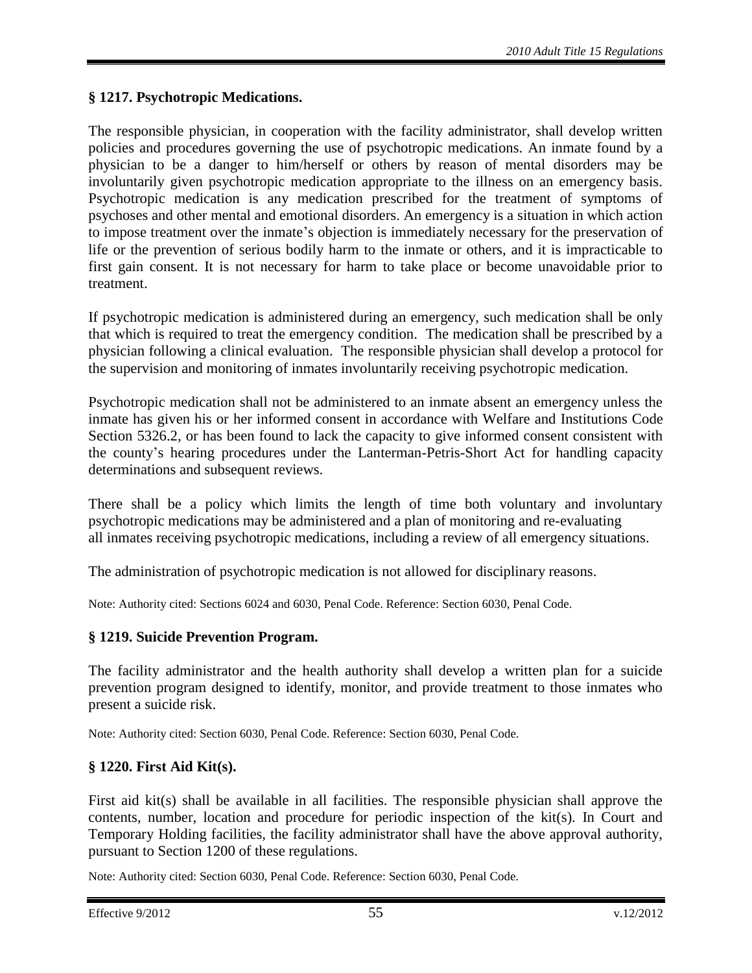# <span id="page-54-0"></span>**§ 1217. Psychotropic Medications.**

The responsible physician, in cooperation with the facility administrator, shall develop written policies and procedures governing the use of psychotropic medications. An inmate found by a physician to be a danger to him/herself or others by reason of mental disorders may be involuntarily given psychotropic medication appropriate to the illness on an emergency basis. Psychotropic medication is any medication prescribed for the treatment of symptoms of psychoses and other mental and emotional disorders. An emergency is a situation in which action to impose treatment over the inmate's objection is immediately necessary for the preservation of life or the prevention of serious bodily harm to the inmate or others, and it is impracticable to first gain consent. It is not necessary for harm to take place or become unavoidable prior to treatment.

If psychotropic medication is administered during an emergency, such medication shall be only that which is required to treat the emergency condition. The medication shall be prescribed by a physician following a clinical evaluation. The responsible physician shall develop a protocol for the supervision and monitoring of inmates involuntarily receiving psychotropic medication.

Psychotropic medication shall not be administered to an inmate absent an emergency unless the inmate has given his or her informed consent in accordance with Welfare and Institutions Code Section 5326.2, or has been found to lack the capacity to give informed consent consistent with the county's hearing procedures under the Lanterman-Petris-Short Act for handling capacity determinations and subsequent reviews.

There shall be a policy which limits the length of time both voluntary and involuntary psychotropic medications may be administered and a plan of monitoring and re-evaluating all inmates receiving psychotropic medications, including a review of all emergency situations.

The administration of psychotropic medication is not allowed for disciplinary reasons.

Note: Authority cited: Sections 6024 and 6030, Penal Code. Reference: Section 6030, Penal Code.

## <span id="page-54-1"></span>**§ 1219. Suicide Prevention Program.**

The facility administrator and the health authority shall develop a written plan for a suicide prevention program designed to identify, monitor, and provide treatment to those inmates who present a suicide risk.

Note: Authority cited: Section 6030, Penal Code. Reference: Section 6030, Penal Code.

## <span id="page-54-2"></span>**§ 1220. First Aid Kit(s).**

First aid kit(s) shall be available in all facilities. The responsible physician shall approve the contents, number, location and procedure for periodic inspection of the kit(s). In Court and Temporary Holding facilities, the facility administrator shall have the above approval authority, pursuant to Section 1200 of these regulations.

Note: Authority cited: Section 6030, Penal Code. Reference: Section 6030, Penal Code.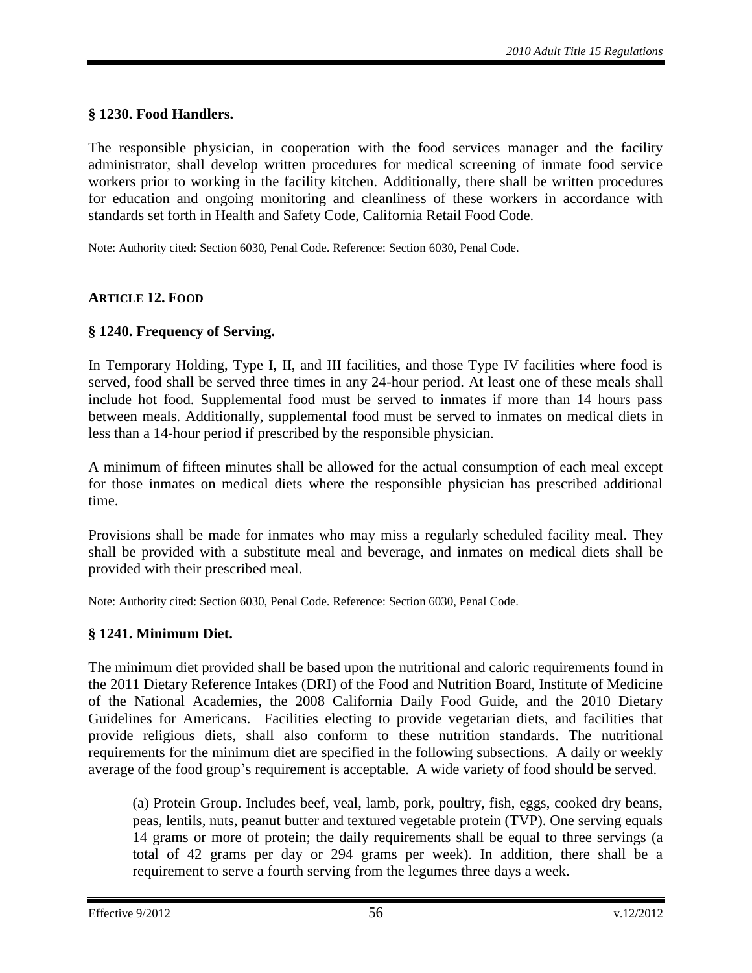## <span id="page-55-0"></span>**§ 1230. Food Handlers.**

The responsible physician, in cooperation with the food services manager and the facility administrator, shall develop written procedures for medical screening of inmate food service workers prior to working in the facility kitchen. Additionally, there shall be written procedures for education and ongoing monitoring and cleanliness of these workers in accordance with standards set forth in Health and Safety Code, California Retail Food Code.

Note: Authority cited: Section 6030, Penal Code. Reference: Section 6030, Penal Code.

#### <span id="page-55-1"></span>**ARTICLE 12. FOOD**

#### <span id="page-55-2"></span>**§ 1240. Frequency of Serving.**

In Temporary Holding, Type I, II, and III facilities, and those Type IV facilities where food is served, food shall be served three times in any 24-hour period. At least one of these meals shall include hot food. Supplemental food must be served to inmates if more than 14 hours pass between meals. Additionally, supplemental food must be served to inmates on medical diets in less than a 14-hour period if prescribed by the responsible physician.

A minimum of fifteen minutes shall be allowed for the actual consumption of each meal except for those inmates on medical diets where the responsible physician has prescribed additional time.

Provisions shall be made for inmates who may miss a regularly scheduled facility meal. They shall be provided with a substitute meal and beverage, and inmates on medical diets shall be provided with their prescribed meal.

Note: Authority cited: Section 6030, Penal Code. Reference: Section 6030, Penal Code.

#### <span id="page-55-3"></span>**§ 1241. Minimum Diet.**

The minimum diet provided shall be based upon the nutritional and caloric requirements found in the 2011 Dietary Reference Intakes (DRI) of the Food and Nutrition Board, Institute of Medicine of the National Academies, the 2008 California Daily Food Guide, and the 2010 Dietary Guidelines for Americans. Facilities electing to provide vegetarian diets, and facilities that provide religious diets, shall also conform to these nutrition standards. The nutritional requirements for the minimum diet are specified in the following subsections. A daily or weekly average of the food group's requirement is acceptable. A wide variety of food should be served.

(a) Protein Group. Includes beef, veal, lamb, pork, poultry, fish, eggs, cooked dry beans, peas, lentils, nuts, peanut butter and textured vegetable protein (TVP). One serving equals 14 grams or more of protein; the daily requirements shall be equal to three servings (a total of 42 grams per day or 294 grams per week). In addition, there shall be a requirement to serve a fourth serving from the legumes three days a week.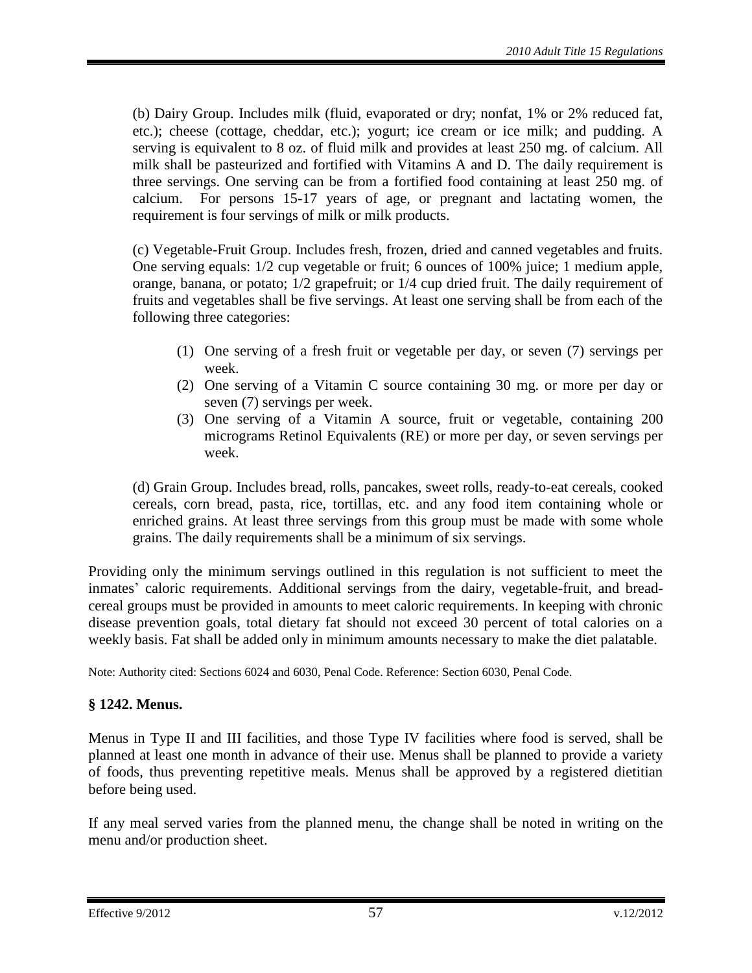(b) Dairy Group. Includes milk (fluid, evaporated or dry; nonfat, 1% or 2% reduced fat, etc.); cheese (cottage, cheddar, etc.); yogurt; ice cream or ice milk; and pudding. A serving is equivalent to 8 oz. of fluid milk and provides at least 250 mg. of calcium. All milk shall be pasteurized and fortified with Vitamins A and D. The daily requirement is three servings. One serving can be from a fortified food containing at least 250 mg. of calcium. For persons 15-17 years of age, or pregnant and lactating women, the requirement is four servings of milk or milk products.

(c) Vegetable-Fruit Group. Includes fresh, frozen, dried and canned vegetables and fruits. One serving equals: 1/2 cup vegetable or fruit; 6 ounces of 100% juice; 1 medium apple, orange, banana, or potato; 1/2 grapefruit; or 1/4 cup dried fruit. The daily requirement of fruits and vegetables shall be five servings. At least one serving shall be from each of the following three categories:

- (1) One serving of a fresh fruit or vegetable per day, or seven (7) servings per week.
- (2) One serving of a Vitamin C source containing 30 mg. or more per day or seven (7) servings per week.
- (3) One serving of a Vitamin A source, fruit or vegetable, containing 200 micrograms Retinol Equivalents (RE) or more per day, or seven servings per week.

(d) Grain Group. Includes bread, rolls, pancakes, sweet rolls, ready-to-eat cereals, cooked cereals, corn bread, pasta, rice, tortillas, etc. and any food item containing whole or enriched grains. At least three servings from this group must be made with some whole grains. The daily requirements shall be a minimum of six servings.

Providing only the minimum servings outlined in this regulation is not sufficient to meet the inmates' caloric requirements. Additional servings from the dairy, vegetable-fruit, and breadcereal groups must be provided in amounts to meet caloric requirements. In keeping with chronic disease prevention goals, total dietary fat should not exceed 30 percent of total calories on a weekly basis. Fat shall be added only in minimum amounts necessary to make the diet palatable.

Note: Authority cited: Sections 6024 and 6030, Penal Code. Reference: Section 6030, Penal Code.

## <span id="page-56-0"></span>**§ 1242. Menus.**

Menus in Type II and III facilities, and those Type IV facilities where food is served, shall be planned at least one month in advance of their use. Menus shall be planned to provide a variety of foods, thus preventing repetitive meals. Menus shall be approved by a registered dietitian before being used.

If any meal served varies from the planned menu, the change shall be noted in writing on the menu and/or production sheet.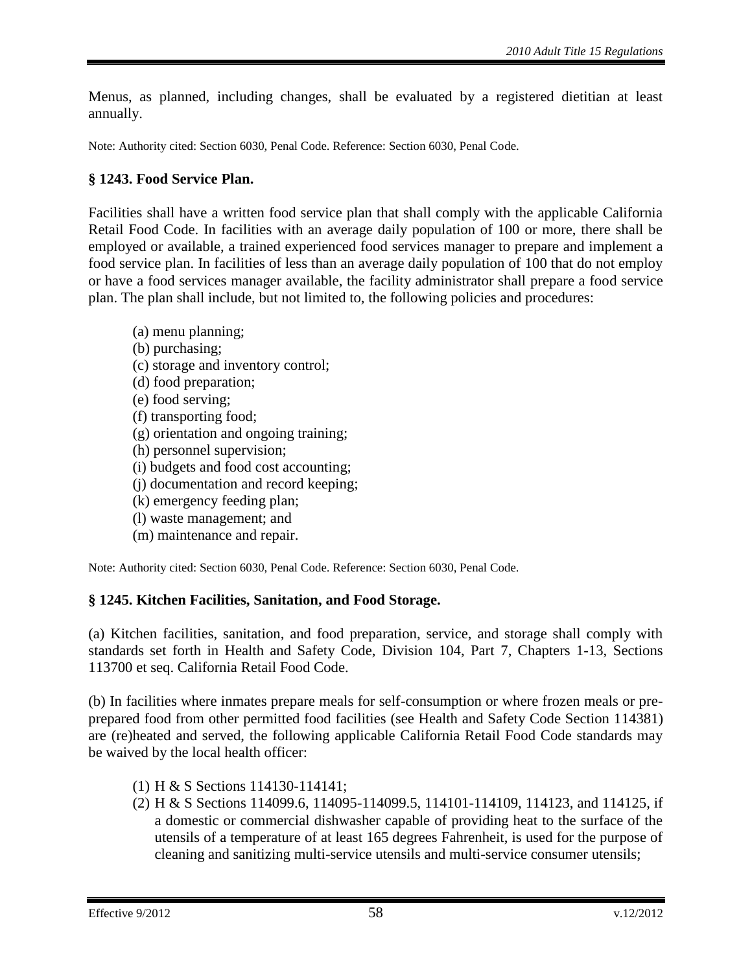Menus, as planned, including changes, shall be evaluated by a registered dietitian at least annually.

Note: Authority cited: Section 6030, Penal Code. Reference: Section 6030, Penal Code.

# <span id="page-57-0"></span>**§ 1243. Food Service Plan.**

Facilities shall have a written food service plan that shall comply with the applicable California Retail Food Code. In facilities with an average daily population of 100 or more, there shall be employed or available, a trained experienced food services manager to prepare and implement a food service plan. In facilities of less than an average daily population of 100 that do not employ or have a food services manager available, the facility administrator shall prepare a food service plan. The plan shall include, but not limited to, the following policies and procedures:

- (a) menu planning; (b) purchasing; (c) storage and inventory control; (d) food preparation; (e) food serving; (f) transporting food; (g) orientation and ongoing training; (h) personnel supervision; (i) budgets and food cost accounting;
- (j) documentation and record keeping;
- (k) emergency feeding plan;
- (l) waste management; and
- (m) maintenance and repair.

Note: Authority cited: Section 6030, Penal Code. Reference: Section 6030, Penal Code.

## <span id="page-57-1"></span>**§ 1245. Kitchen Facilities, Sanitation, and Food Storage.**

(a) Kitchen facilities, sanitation, and food preparation, service, and storage shall comply with standards set forth in Health and Safety Code, Division 104, Part 7, Chapters 1-13, Sections 113700 et seq. California Retail Food Code.

(b) In facilities where inmates prepare meals for self-consumption or where frozen meals or preprepared food from other permitted food facilities (see Health and Safety Code Section 114381) are (re)heated and served, the following applicable California Retail Food Code standards may be waived by the local health officer:

- (1) H & S Sections 114130-114141;
- (2) H & S Sections 114099.6, 114095-114099.5, 114101-114109, 114123, and 114125, if a domestic or commercial dishwasher capable of providing heat to the surface of the utensils of a temperature of at least 165 degrees Fahrenheit, is used for the purpose of cleaning and sanitizing multi-service utensils and multi-service consumer utensils;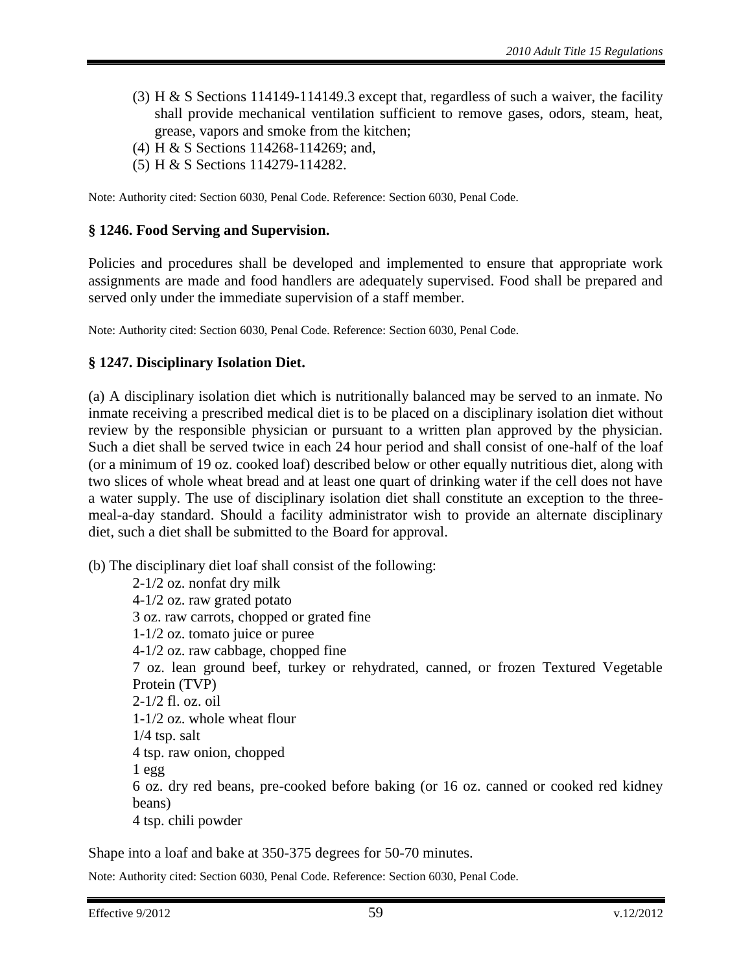- (3) H & S Sections 114149-114149.3 except that, regardless of such a waiver, the facility shall provide mechanical ventilation sufficient to remove gases, odors, steam, heat, grease, vapors and smoke from the kitchen;
- (4) H & S Sections 114268-114269; and,
- (5) H & S Sections 114279-114282.

Note: Authority cited: Section 6030, Penal Code. Reference: Section 6030, Penal Code.

#### <span id="page-58-0"></span>**§ 1246. Food Serving and Supervision.**

Policies and procedures shall be developed and implemented to ensure that appropriate work assignments are made and food handlers are adequately supervised. Food shall be prepared and served only under the immediate supervision of a staff member.

Note: Authority cited: Section 6030, Penal Code. Reference: Section 6030, Penal Code.

#### <span id="page-58-1"></span>**§ 1247. Disciplinary Isolation Diet.**

(a) A disciplinary isolation diet which is nutritionally balanced may be served to an inmate. No inmate receiving a prescribed medical diet is to be placed on a disciplinary isolation diet without review by the responsible physician or pursuant to a written plan approved by the physician. Such a diet shall be served twice in each 24 hour period and shall consist of one-half of the loaf (or a minimum of 19 oz. cooked loaf) described below or other equally nutritious diet, along with two slices of whole wheat bread and at least one quart of drinking water if the cell does not have a water supply. The use of disciplinary isolation diet shall constitute an exception to the threemeal-a-day standard. Should a facility administrator wish to provide an alternate disciplinary diet, such a diet shall be submitted to the Board for approval.

(b) The disciplinary diet loaf shall consist of the following:

2-1/2 oz. nonfat dry milk 4-1/2 oz. raw grated potato 3 oz. raw carrots, chopped or grated fine 1-1/2 oz. tomato juice or puree 4-1/2 oz. raw cabbage, chopped fine 7 oz. lean ground beef, turkey or rehydrated, canned, or frozen Textured Vegetable Protein (TVP) 2-1/2 fl. oz. oil 1-1/2 oz. whole wheat flour 1/4 tsp. salt 4 tsp. raw onion, chopped 1 egg 6 oz. dry red beans, pre-cooked before baking (or 16 oz. canned or cooked red kidney beans) 4 tsp. chili powder

Shape into a loaf and bake at 350-375 degrees for 50-70 minutes.

Note: Authority cited: Section 6030, Penal Code. Reference: Section 6030, Penal Code.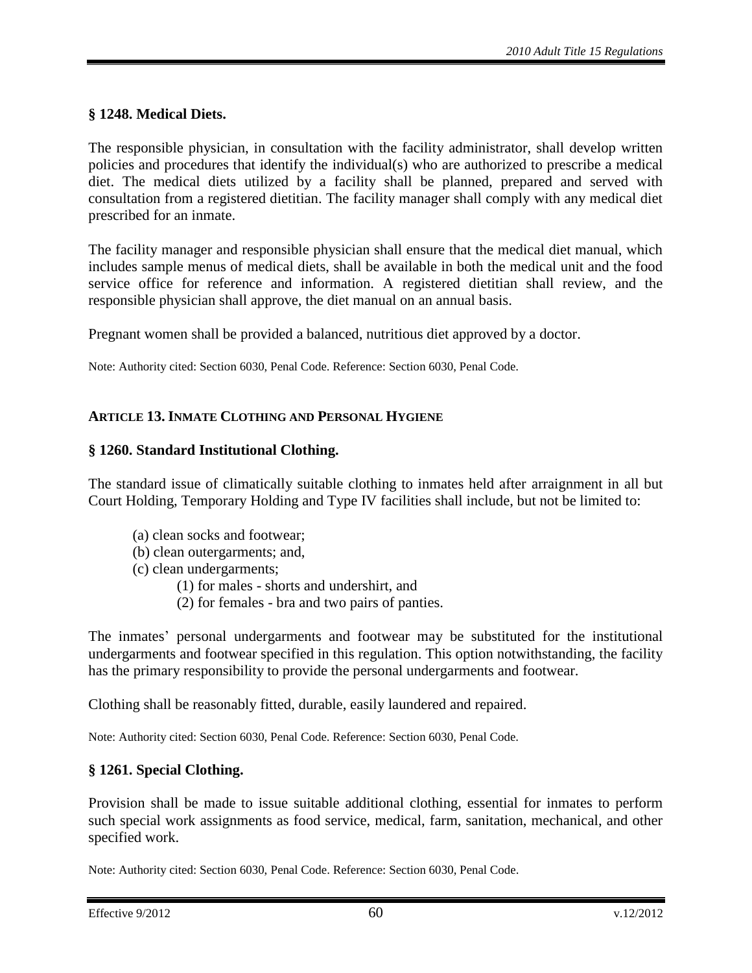## <span id="page-59-0"></span>**§ 1248. Medical Diets.**

The responsible physician, in consultation with the facility administrator, shall develop written policies and procedures that identify the individual(s) who are authorized to prescribe a medical diet. The medical diets utilized by a facility shall be planned, prepared and served with consultation from a registered dietitian. The facility manager shall comply with any medical diet prescribed for an inmate.

The facility manager and responsible physician shall ensure that the medical diet manual, which includes sample menus of medical diets, shall be available in both the medical unit and the food service office for reference and information. A registered dietitian shall review, and the responsible physician shall approve, the diet manual on an annual basis.

Pregnant women shall be provided a balanced, nutritious diet approved by a doctor.

Note: Authority cited: Section 6030, Penal Code. Reference: Section 6030, Penal Code.

## <span id="page-59-1"></span>**ARTICLE 13. INMATE CLOTHING AND PERSONAL HYGIENE**

#### <span id="page-59-2"></span>**§ 1260. Standard Institutional Clothing.**

The standard issue of climatically suitable clothing to inmates held after arraignment in all but Court Holding, Temporary Holding and Type IV facilities shall include, but not be limited to:

- (a) clean socks and footwear;
- (b) clean outergarments; and,
- (c) clean undergarments;
	- (1) for males shorts and undershirt, and
	- (2) for females bra and two pairs of panties.

The inmates' personal undergarments and footwear may be substituted for the institutional undergarments and footwear specified in this regulation. This option notwithstanding, the facility has the primary responsibility to provide the personal undergarments and footwear.

Clothing shall be reasonably fitted, durable, easily laundered and repaired.

Note: Authority cited: Section 6030, Penal Code. Reference: Section 6030, Penal Code.

## <span id="page-59-3"></span>**§ 1261. Special Clothing.**

Provision shall be made to issue suitable additional clothing, essential for inmates to perform such special work assignments as food service, medical, farm, sanitation, mechanical, and other specified work.

Note: Authority cited: Section 6030, Penal Code. Reference: Section 6030, Penal Code.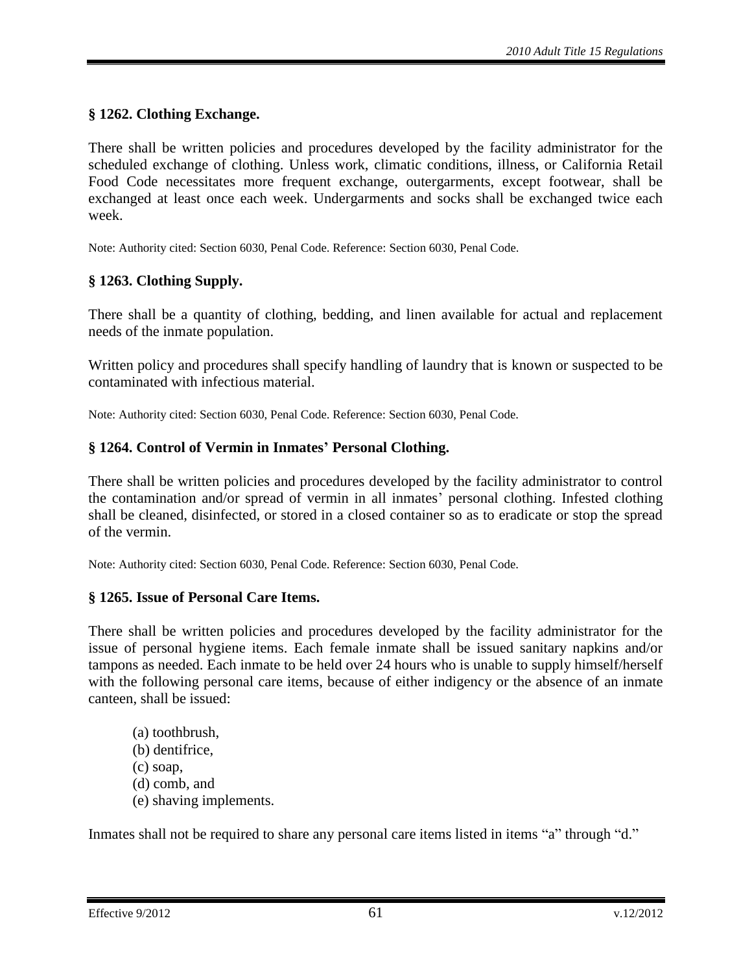# <span id="page-60-0"></span>**§ 1262. Clothing Exchange.**

There shall be written policies and procedures developed by the facility administrator for the scheduled exchange of clothing. Unless work, climatic conditions, illness, or California Retail Food Code necessitates more frequent exchange, outergarments, except footwear, shall be exchanged at least once each week. Undergarments and socks shall be exchanged twice each week.

Note: Authority cited: Section 6030, Penal Code. Reference: Section 6030, Penal Code.

# <span id="page-60-1"></span>**§ 1263. Clothing Supply.**

There shall be a quantity of clothing, bedding, and linen available for actual and replacement needs of the inmate population.

Written policy and procedures shall specify handling of laundry that is known or suspected to be contaminated with infectious material.

Note: Authority cited: Section 6030, Penal Code. Reference: Section 6030, Penal Code.

## <span id="page-60-2"></span>**§ 1264. Control of Vermin in Inmates' Personal Clothing.**

There shall be written policies and procedures developed by the facility administrator to control the contamination and/or spread of vermin in all inmates' personal clothing. Infested clothing shall be cleaned, disinfected, or stored in a closed container so as to eradicate or stop the spread of the vermin.

Note: Authority cited: Section 6030, Penal Code. Reference: Section 6030, Penal Code.

## <span id="page-60-3"></span>**§ 1265. Issue of Personal Care Items.**

There shall be written policies and procedures developed by the facility administrator for the issue of personal hygiene items. Each female inmate shall be issued sanitary napkins and/or tampons as needed. Each inmate to be held over 24 hours who is unable to supply himself/herself with the following personal care items, because of either indigency or the absence of an inmate canteen, shall be issued:

(a) toothbrush, (b) dentifrice, (c) soap, (d) comb, and (e) shaving implements.

Inmates shall not be required to share any personal care items listed in items "a" through "d."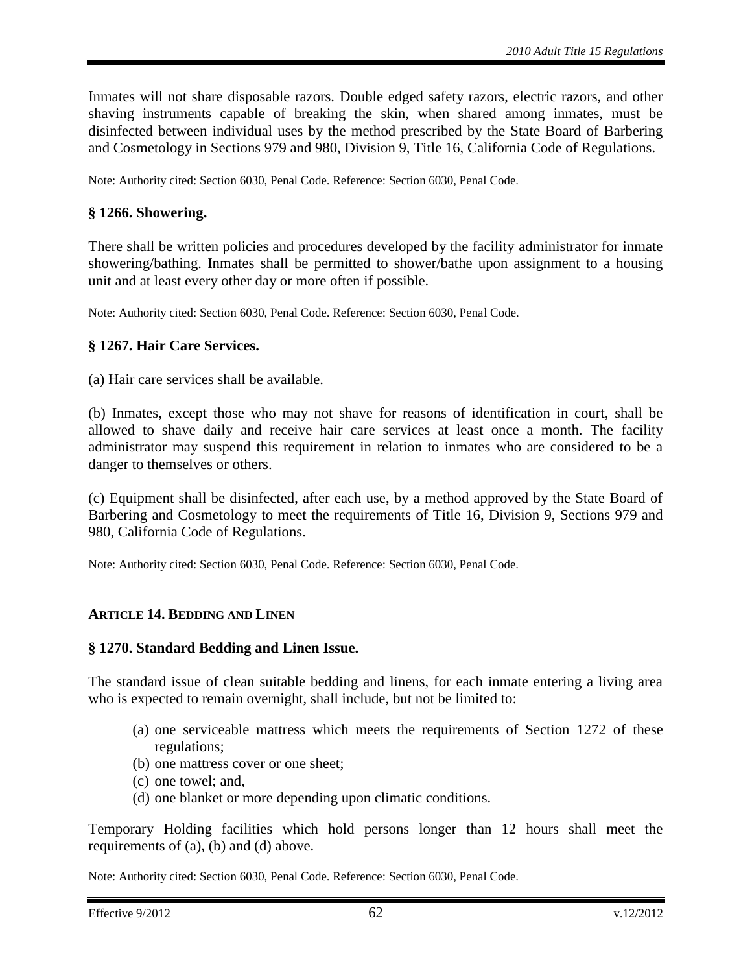Inmates will not share disposable razors. Double edged safety razors, electric razors, and other shaving instruments capable of breaking the skin, when shared among inmates, must be disinfected between individual uses by the method prescribed by the State Board of Barbering and Cosmetology in Sections 979 and 980, Division 9, Title 16, California Code of Regulations.

Note: Authority cited: Section 6030, Penal Code. Reference: Section 6030, Penal Code.

#### <span id="page-61-0"></span>**§ 1266. Showering.**

There shall be written policies and procedures developed by the facility administrator for inmate showering/bathing. Inmates shall be permitted to shower/bathe upon assignment to a housing unit and at least every other day or more often if possible.

Note: Authority cited: Section 6030, Penal Code. Reference: Section 6030, Penal Code.

#### <span id="page-61-1"></span>**§ 1267. Hair Care Services.**

(a) Hair care services shall be available.

(b) Inmates, except those who may not shave for reasons of identification in court, shall be allowed to shave daily and receive hair care services at least once a month. The facility administrator may suspend this requirement in relation to inmates who are considered to be a danger to themselves or others.

(c) Equipment shall be disinfected, after each use, by a method approved by the State Board of Barbering and Cosmetology to meet the requirements of Title 16, Division 9, Sections 979 and 980, California Code of Regulations.

Note: Authority cited: Section 6030, Penal Code. Reference: Section 6030, Penal Code.

## <span id="page-61-2"></span>**ARTICLE 14. BEDDING AND LINEN**

#### <span id="page-61-3"></span>**§ 1270. Standard Bedding and Linen Issue.**

The standard issue of clean suitable bedding and linens, for each inmate entering a living area who is expected to remain overnight, shall include, but not be limited to:

- (a) one serviceable mattress which meets the requirements of Section 1272 of these regulations;
- (b) one mattress cover or one sheet;
- (c) one towel; and,
- (d) one blanket or more depending upon climatic conditions.

Temporary Holding facilities which hold persons longer than 12 hours shall meet the requirements of (a), (b) and (d) above.

Note: Authority cited: Section 6030, Penal Code. Reference: Section 6030, Penal Code.